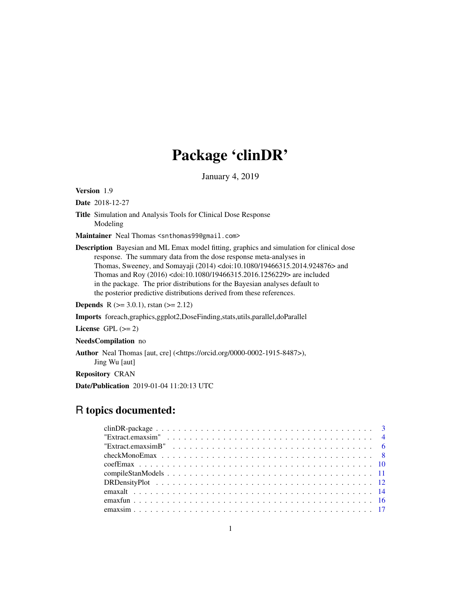# Package 'clinDR'

January 4, 2019

<span id="page-0-0"></span>Version 1.9

Date 2018-12-27

Title Simulation and Analysis Tools for Clinical Dose Response Modeling

Maintainer Neal Thomas <snthomas99@gmail.com>

Description Bayesian and ML Emax model fitting, graphics and simulation for clinical dose response. The summary data from the dose response meta-analyses in Thomas, Sweeney, and Somayaji (2014) <doi:10.1080/19466315.2014.924876> and Thomas and Roy (2016) <doi:10.1080/19466315.2016.1256229> are included in the package. The prior distributions for the Bayesian analyses default to the posterior predictive distributions derived from these references.

**Depends** R ( $>= 3.0.1$ ), rstan ( $>= 2.12$ )

Imports foreach,graphics,ggplot2,DoseFinding,stats,utils,parallel,doParallel

License GPL  $(>= 2)$ 

NeedsCompilation no

Author Neal Thomas [aut, cre] (<https://orcid.org/0000-0002-1915-8487>), Jing Wu [aut]

Repository CRAN

Date/Publication 2019-01-04 11:20:13 UTC

## R topics documented: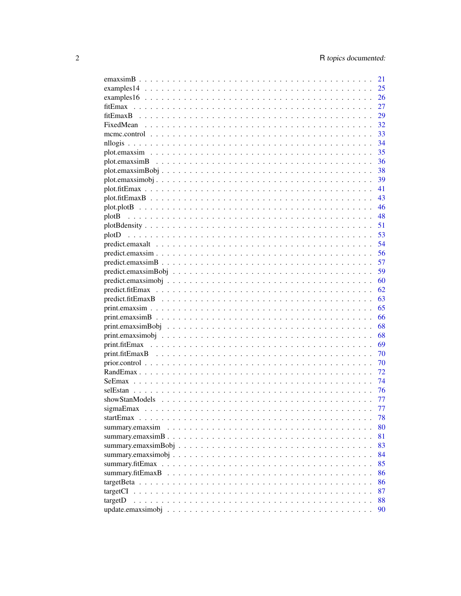|                                                                                                              | 21 |
|--------------------------------------------------------------------------------------------------------------|----|
|                                                                                                              | 25 |
|                                                                                                              | 26 |
| fitEmax                                                                                                      | 27 |
|                                                                                                              | 29 |
|                                                                                                              | 32 |
|                                                                                                              | 33 |
|                                                                                                              | 34 |
|                                                                                                              | 35 |
|                                                                                                              | 36 |
|                                                                                                              | 38 |
|                                                                                                              | 39 |
|                                                                                                              | 41 |
|                                                                                                              | 43 |
|                                                                                                              | 46 |
| plotB                                                                                                        | 48 |
|                                                                                                              | 51 |
|                                                                                                              | 53 |
| plotD                                                                                                        | 54 |
|                                                                                                              |    |
|                                                                                                              | 56 |
|                                                                                                              | 57 |
| $predict. em axisimBobj \dots \dots \dots \dots \dots \dots \dots \dots \dots \dots \dots \dots \dots \dots$ | 59 |
|                                                                                                              | 60 |
|                                                                                                              | 62 |
|                                                                                                              | 63 |
|                                                                                                              | 65 |
|                                                                                                              | 66 |
|                                                                                                              | 68 |
|                                                                                                              | 68 |
|                                                                                                              | 69 |
|                                                                                                              | 70 |
|                                                                                                              | 70 |
|                                                                                                              | 72 |
|                                                                                                              | 74 |
|                                                                                                              | 76 |
|                                                                                                              | 77 |
|                                                                                                              | 77 |
|                                                                                                              | 78 |
|                                                                                                              | 80 |
|                                                                                                              | 81 |
|                                                                                                              | 83 |
|                                                                                                              | 84 |
|                                                                                                              | 85 |
|                                                                                                              | 86 |
|                                                                                                              | 86 |
|                                                                                                              | 87 |
| targetD                                                                                                      | 88 |
|                                                                                                              | 90 |
|                                                                                                              |    |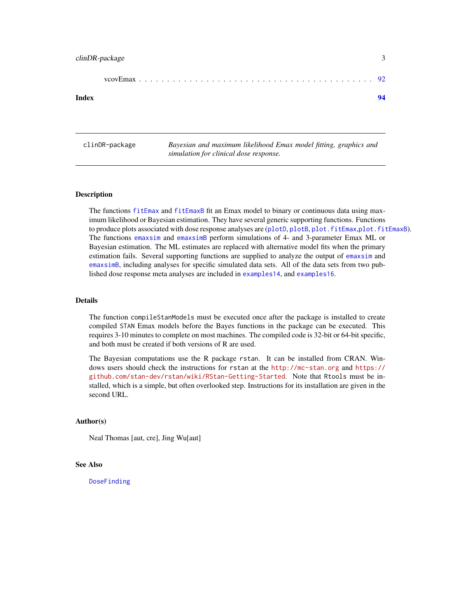<span id="page-2-0"></span>

#### **Index** [94](#page-93-0)

clinDR-package *Bayesian and maximum likelihood Emax model fitting, graphics and simulation for clinical dose response.*

#### Description

The functions [fitEmax](#page-26-1) and [fitEmaxB](#page-28-1) fit an Emax model to binary or continuous data using maximum likelihood or Bayesian estimation. They have several generic supporting functions. Functions to produce plots associated with dose response analyses are ([plotD](#page-52-1), [plotB](#page-47-1), [plot.fitEmax](#page-40-1),[plot.fitEmaxB](#page-42-1)). The functions [emaxsim](#page-16-1) and [emaxsimB](#page-20-1) perform simulations of 4- and 3-parameter Emax ML or Bayesian estimation. The ML estimates are replaced with alternative model fits when the primary estimation fails. Several supporting functions are supplied to analyze the output of [emaxsim](#page-16-1) and [emaxsimB](#page-20-1), including analyses for specific simulated data sets. All of the data sets from two published dose response meta analyses are included in [examples14](#page-24-1), and [examples16](#page-25-1).

## Details

The function compileStanModels must be executed once after the package is installed to create compiled STAN Emax models before the Bayes functions in the package can be executed. This requires 3-10 minutes to complete on most machines. The compiled code is 32-bit or 64-bit specific, and both must be created if both versions of R are used.

The Bayesian computations use the R package rstan. It can be installed from CRAN. Windows users should check the instructions for rstan at the <http://mc-stan.org> and [https://](https://github.com/stan-dev/rstan/wiki/RStan-Getting-Started) [github.com/stan-dev/rstan/wiki/RStan-Getting-Started](https://github.com/stan-dev/rstan/wiki/RStan-Getting-Started). Note that Rtools must be installed, which is a simple, but often overlooked step. Instructions for its installation are given in the second URL.

#### Author(s)

Neal Thomas [aut, cre], Jing Wu[aut]

#### See Also

[DoseFinding](#page-0-0)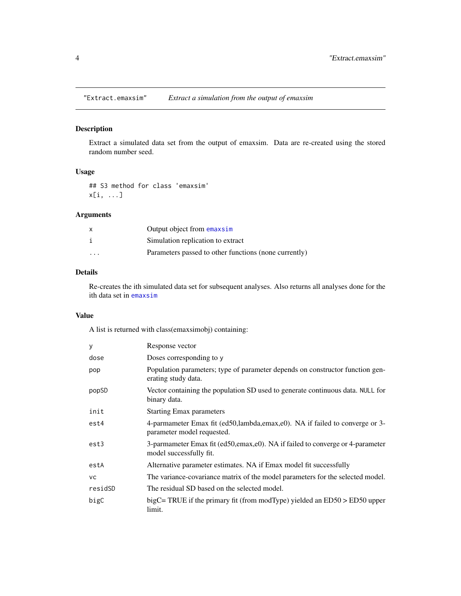<span id="page-3-0"></span>

## Description

Extract a simulated data set from the output of emaxsim. Data are re-created using the stored random number seed.

## Usage

## S3 method for class 'emaxsim' x[i, ...]

## Arguments

| X       | Output object from emaxsim                            |
|---------|-------------------------------------------------------|
|         | Simulation replication to extract                     |
| $\cdot$ | Parameters passed to other functions (none currently) |

## Details

Re-creates the ith simulated data set for subsequent analyses. Also returns all analyses done for the ith data set in [emaxsim](#page-16-1)

## Value

A list is returned with class(emaxsimobj) containing:

| y         | Response vector                                                                                           |
|-----------|-----------------------------------------------------------------------------------------------------------|
| dose      | Doses corresponding to y                                                                                  |
| pop       | Population parameters; type of parameter depends on constructor function gen-<br>erating study data.      |
| popSD     | Vector containing the population SD used to generate continuous data. NULL for<br>binary data.            |
| init      | <b>Starting Emax parameters</b>                                                                           |
| est4      | 4-parmameter Emax fit (ed50,lambda,emax,e0). NA if failed to converge or 3-<br>parameter model requested. |
| est3      | 3-parmameter Emax fit (ed50,emax,e0). NA if failed to converge or 4-parameter<br>model successfully fit.  |
| estA      | Alternative parameter estimates. NA if Emax model fit successfully                                        |
| <b>VC</b> | The variance-covariance matrix of the model parameters for the selected model.                            |
| residSD   | The residual SD based on the selected model.                                                              |
| bigC      | bigC= TRUE if the primary fit (from modType) yielded an $ED50 > ED50$ upper<br>limit.                     |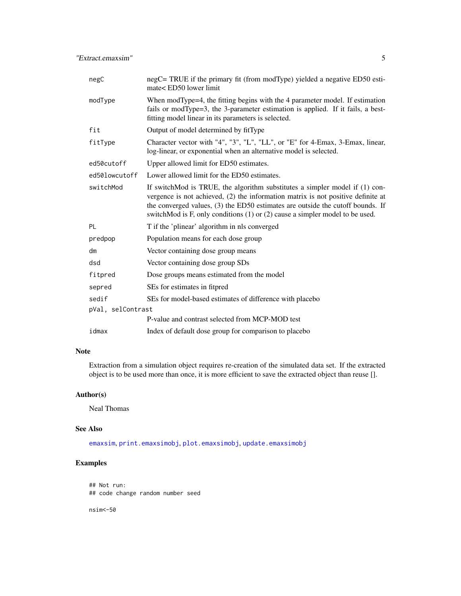| negC              | negC= TRUE if the primary fit (from modType) yielded a negative ED50 esti-<br>mate< ED50 lower limit                                                                                                                                                                                                                                  |
|-------------------|---------------------------------------------------------------------------------------------------------------------------------------------------------------------------------------------------------------------------------------------------------------------------------------------------------------------------------------|
| modType           | When modType=4, the fitting begins with the 4 parameter model. If estimation<br>fails or modType=3, the 3-parameter estimation is applied. If it fails, a best-<br>fitting model linear in its parameters is selected.                                                                                                                |
| fit               | Output of model determined by fitType                                                                                                                                                                                                                                                                                                 |
| fitType           | Character vector with "4", "3", "L", "LL", or "E" for 4-Emax, 3-Emax, linear,<br>log-linear, or exponential when an alternative model is selected.                                                                                                                                                                                    |
| ed50cutoff        | Upper allowed limit for ED50 estimates.                                                                                                                                                                                                                                                                                               |
| ed50lowcutoff     | Lower allowed limit for the ED50 estimates.                                                                                                                                                                                                                                                                                           |
| switchMod         | If switchMod is TRUE, the algorithm substitutes a simpler model if (1) con-<br>vergence is not achieved, (2) the information matrix is not positive definite at<br>the converged values, (3) the ED50 estimates are outside the cutoff bounds. If<br>switchMod is F, only conditions $(1)$ or $(2)$ cause a simpler model to be used. |
| <b>PL</b>         | T if the 'plinear' algorithm in nls converged                                                                                                                                                                                                                                                                                         |
| predpop           | Population means for each dose group                                                                                                                                                                                                                                                                                                  |
| dm                | Vector containing dose group means                                                                                                                                                                                                                                                                                                    |
| dsd               | Vector containing dose group SDs                                                                                                                                                                                                                                                                                                      |
| fitpred           | Dose groups means estimated from the model                                                                                                                                                                                                                                                                                            |
| sepred            | SEs for estimates in fitpred                                                                                                                                                                                                                                                                                                          |
| sedif             | SEs for model-based estimates of difference with placebo                                                                                                                                                                                                                                                                              |
| pVal, selContrast |                                                                                                                                                                                                                                                                                                                                       |
|                   | P-value and contrast selected from MCP-MOD test                                                                                                                                                                                                                                                                                       |
| idmax             | Index of default dose group for comparison to placebo                                                                                                                                                                                                                                                                                 |

## Note

Extraction from a simulation object requires re-creation of the simulated data set. If the extracted object is to be used more than once, it is more efficient to save the extracted object than reuse [].

## Author(s)

Neal Thomas

## See Also

[emaxsim](#page-16-1), [print.emaxsimobj](#page-67-1), [plot.emaxsimobj](#page-38-1), [update.emaxsimobj](#page-89-1)

## Examples

## Not run: ## code change random number seed

nsim<-50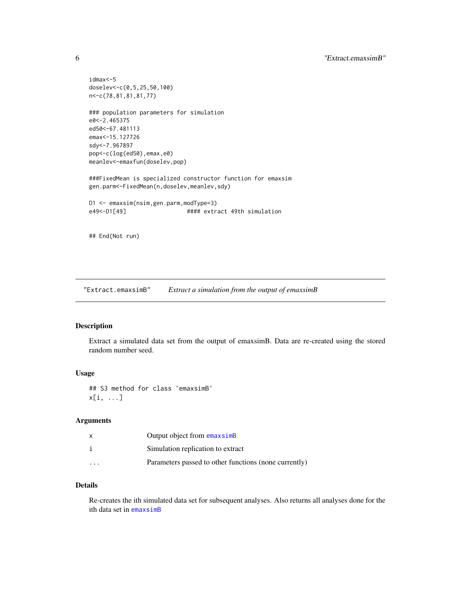```
idmax<-5
doselev<-c(0,5,25,50,100)
n<-c(78,81,81,81,77)
### population parameters for simulation
e0<-2.465375
ed50<-67.481113
emax<-15.127726
sdy<-7.967897
pop<-c(log(ed50),emax,e0)
meanlev<-emaxfun(doselev,pop)
###FixedMean is specialized constructor function for emaxsim
gen.parm<-FixedMean(n,doselev,meanlev,sdy)
D1 <- emaxsim(nsim,gen.parm,modType=3)<br>e49<-D1[49] #### extr
                               #### extract 49th simulation
## End(Not run)
```
"Extract.emaxsimB" *Extract a simulation from the output of emaxsimB*

#### Description

Extract a simulated data set from the output of emaxsimB. Data are re-created using the stored random number seed.

## Usage

## S3 method for class 'emaxsimB' x[i, ...]

## Arguments

|                      | Output object from emaxsimB                           |
|----------------------|-------------------------------------------------------|
|                      | Simulation replication to extract                     |
| $\ddot{\phantom{0}}$ | Parameters passed to other functions (none currently) |

## Details

Re-creates the ith simulated data set for subsequent analyses. Also returns all analyses done for the ith data set in [emaxsimB](#page-20-1)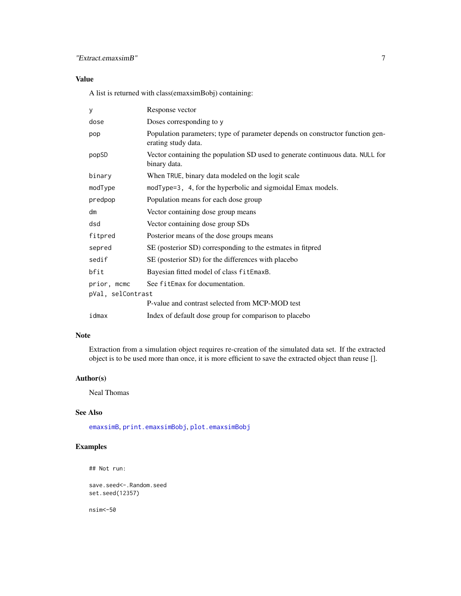## "Extract.emaxsimB" 7

## Value

A list is returned with class(emaxsimBobj) containing:

| У                 | Response vector                                                                                      |
|-------------------|------------------------------------------------------------------------------------------------------|
| dose              | Doses corresponding to y                                                                             |
| pop               | Population parameters; type of parameter depends on constructor function gen-<br>erating study data. |
| popSD             | Vector containing the population SD used to generate continuous data. NULL for<br>binary data.       |
| binary            | When TRUE, binary data modeled on the logit scale                                                    |
| modType           | modType=3, 4, for the hyperbolic and sigmoidal Emax models.                                          |
| predpop           | Population means for each dose group                                                                 |
| dm                | Vector containing dose group means                                                                   |
| dsd               | Vector containing dose group SDs                                                                     |
| fitpred           | Posterior means of the dose groups means                                                             |
| sepred            | SE (posterior SD) corresponding to the estmates in fitpred                                           |
| sedif             | SE (posterior SD) for the differences with placebo                                                   |
| bfit              | Bayesian fitted model of class fitEmaxB.                                                             |
| prior, mcmc       | See fitEmax for documentation.                                                                       |
| pVal, selContrast |                                                                                                      |
|                   | P-value and contrast selected from MCP-MOD test                                                      |
| idmax             | Index of default dose group for comparison to placebo                                                |

## Note

Extraction from a simulation object requires re-creation of the simulated data set. If the extracted object is to be used more than once, it is more efficient to save the extracted object than reuse [].

## Author(s)

Neal Thomas

## See Also

[emaxsimB](#page-20-1), [print.emaxsimBobj](#page-67-2), [plot.emaxsimBobj](#page-37-1)

## Examples

## Not run:

save.seed<-.Random.seed set.seed(12357)

nsim<-50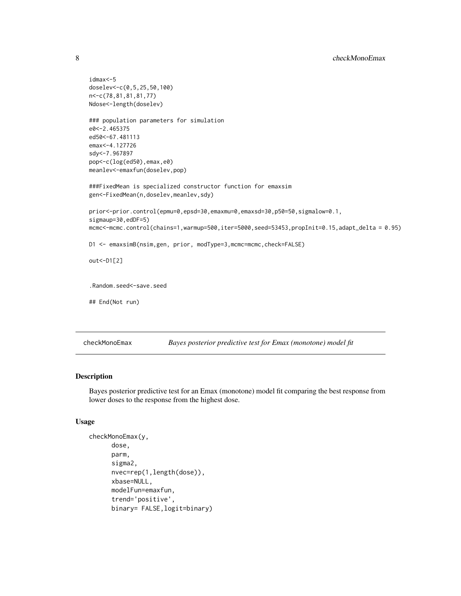```
idmax<-5
doselev<-c(0,5,25,50,100)
n<-c(78,81,81,81,77)
Ndose<-length(doselev)
### population parameters for simulation
e0<-2.465375
ed50<-67.481113
emax<-4.127726
sdy<-7.967897
pop<-c(log(ed50),emax,e0)
meanlev<-emaxfun(doselev,pop)
###FixedMean is specialized constructor function for emaxsim
gen<-FixedMean(n,doselev,meanlev,sdy)
prior<-prior.control(epmu=0,epsd=30,emaxmu=0,emaxsd=30,p50=50,sigmalow=0.1,
sigmaup=30,edDF=5)
mcmc<-mcmc.control(chains=1,warmup=500,iter=5000,seed=53453,propInit=0.15,adapt_delta = 0.95)
D1 <- emaxsimB(nsim,gen, prior, modType=3,mcmc=mcmc,check=FALSE)
out<-D1[2]
.Random.seed<-save.seed
## End(Not run)
```
checkMonoEmax *Bayes posterior predictive test for Emax (monotone) model fit*

## Description

Bayes posterior predictive test for an Emax (monotone) model fit comparing the best response from lower doses to the response from the highest dose.

## Usage

```
checkMonoEmax(y,
      dose,
      parm,
      sigma2,
      nvec=rep(1,length(dose)),
      xbase=NULL,
      modelFun=emaxfun,
      trend='positive',
      binary= FALSE,logit=binary)
```
<span id="page-7-0"></span>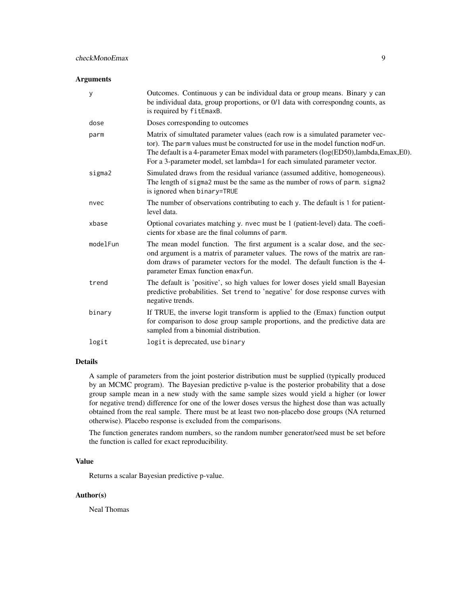#### Arguments

| У        | Outcomes. Continuous y can be individual data or group means. Binary y can<br>be individual data, group proportions, or 0/1 data with correspondng counts, as<br>is required by fitEmaxB.                                                                                                                                             |
|----------|---------------------------------------------------------------------------------------------------------------------------------------------------------------------------------------------------------------------------------------------------------------------------------------------------------------------------------------|
| dose     | Doses corresponding to outcomes                                                                                                                                                                                                                                                                                                       |
| parm     | Matrix of simultated parameter values (each row is a simulated parameter vec-<br>tor). The parm values must be constructed for use in the model function modFun.<br>The default is a 4-parameter Emax model with parameters (log(ED50),lambda,Emax,E0).<br>For a 3-parameter model, set lambda=1 for each simulated parameter vector. |
| sigma2   | Simulated draws from the residual variance (assumed additive, homogeneous).<br>The length of sigma2 must be the same as the number of rows of parm. sigma2<br>is ignored when binary=TRUE                                                                                                                                             |
| nvec     | The number of observations contributing to each y. The default is 1 for patient-<br>level data.                                                                                                                                                                                                                                       |
| xbase    | Optional covariates matching y. nvec must be 1 (patient-level) data. The coefi-<br>cients for xbase are the final columns of parm.                                                                                                                                                                                                    |
| modelFun | The mean model function. The first argument is a scalar dose, and the sec-<br>ond argument is a matrix of parameter values. The rows of the matrix are ran-<br>dom draws of parameter vectors for the model. The default function is the 4-<br>parameter Emax function emaxfun.                                                       |
| trend    | The default is 'positive', so high values for lower doses yield small Bayesian<br>predictive probabilities. Set trend to 'negative' for dose response curves with<br>negative trends.                                                                                                                                                 |
| binary   | If TRUE, the inverse logit transform is applied to the (Emax) function output<br>for comparison to dose group sample proportions, and the predictive data are<br>sampled from a binomial distribution.                                                                                                                                |
| logit    | logit is deprecated, use binary                                                                                                                                                                                                                                                                                                       |

#### Details

A sample of parameters from the joint posterior distribution must be supplied (typically produced by an MCMC program). The Bayesian predictive p-value is the posterior probability that a dose group sample mean in a new study with the same sample sizes would yield a higher (or lower for negative trend) difference for one of the lower doses versus the highest dose than was actually obtained from the real sample. There must be at least two non-placebo dose groups (NA returned otherwise). Placebo response is excluded from the comparisons.

The function generates random numbers, so the random number generator/seed must be set before the function is called for exact reproducibility.

## Value

Returns a scalar Bayesian predictive p-value.

## Author(s)

Neal Thomas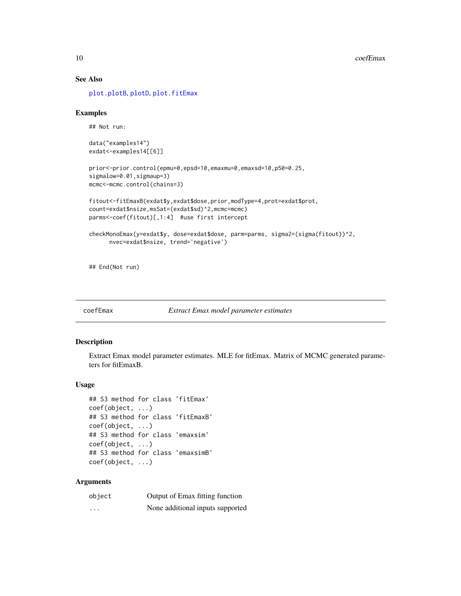## See Also

[plot.plotB](#page-45-1), [plotD](#page-52-1), [plot.fitEmax](#page-40-1)

#### Examples

## Not run:

```
data("examples14")
exdat<-examples14[[6]]
```

```
prior<-prior.control(epmu=0,epsd=10,emaxmu=0,emaxsd=10,p50=0.25,
sigmalow=0.01, sigmaup=3)
mcmc<-mcmc.control(chains=3)
```

```
fitout<-fitEmaxB(exdat$y,exdat$dose,prior,modType=4,prot=exdat$prot,
count=exdat$nsize,msSat=(exdat$sd)^2,mcmc=mcmc)
parms<-coef(fitout)[,1:4] #use first intercept
```

```
checkMonoEmax(y=exdat$y, dose=exdat$dose, parm=parms, sigma2=(sigma(fitout))^2,
     nvec=exdat$nsize, trend='negative')
```
## End(Not run)

coefEmax *Extract Emax model parameter estimates*

#### <span id="page-9-1"></span>Description

Extract Emax model parameter estimates. MLE for fitEmax. Matrix of MCMC generated parameters for fitEmaxB.

## Usage

```
## S3 method for class 'fitEmax'
coef(object, ...)
## S3 method for class 'fitEmaxB'
coef(object, ...)
## S3 method for class 'emaxsim'
coef(object, ...)
## S3 method for class 'emaxsimB'
coef(object, ...)
```
#### Arguments

| object   | Output of Emax fitting function  |
|----------|----------------------------------|
| $\cdots$ | None additional inputs supported |

<span id="page-9-0"></span>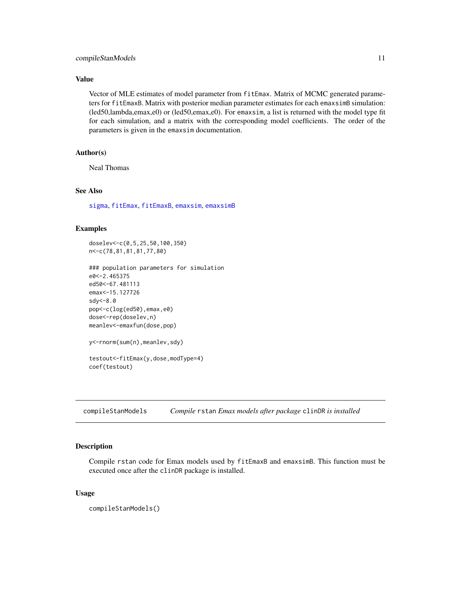## <span id="page-10-0"></span>compileStanModels 11

#### Value

Vector of MLE estimates of model parameter from fitEmax. Matrix of MCMC generated parameters for fitEmaxB. Matrix with posterior median parameter estimates for each emaxsimB simulation: (led50,lambda,emax,e0) or (led50,emax,e0). For emaxsim, a list is returned with the model type fit for each simulation, and a matrix with the corresponding model coefficients. The order of the parameters is given in the emaxsim documentation.

## Author(s)

Neal Thomas

## See Also

[sigma](#page-0-0), [fitEmax](#page-26-1), [fitEmaxB](#page-28-1), [emaxsim](#page-16-1), [emaxsimB](#page-20-1)

#### Examples

```
doselev<-c(0,5,25,50,100,350)
n<-c(78,81,81,81,77,80)
```

```
### population parameters for simulation
e0<-2.465375
ed50<-67.481113
emax<-15.127726
sdy<-8.0
pop<-c(log(ed50),emax,e0)
dose<-rep(doselev,n)
meanlev<-emaxfun(dose,pop)
```

```
y<-rnorm(sum(n),meanlev,sdy)
```

```
testout<-fitEmax(y,dose,modType=4)
coef(testout)
```
compileStanModels *Compile* rstan *Emax models after package* clinDR *is installed*

## Description

Compile rstan code for Emax models used by fitEmaxB and emaxsimB. This function must be executed once after the clinDR package is installed.

#### Usage

compileStanModels()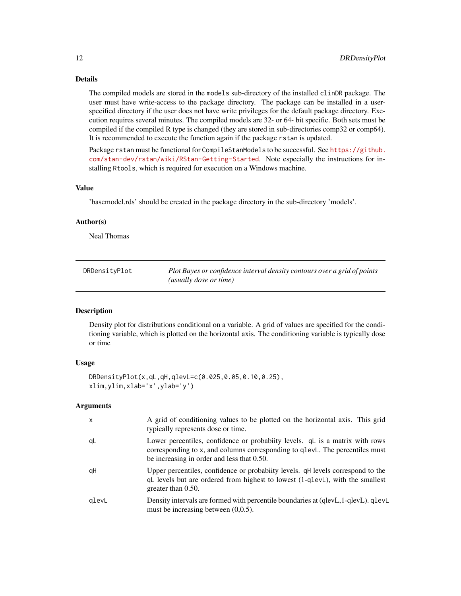## <span id="page-11-0"></span>Details

The compiled models are stored in the models sub-directory of the installed clinDR package. The user must have write-access to the package directory. The package can be installed in a userspecified directory if the user does not have write privileges for the default package directory. Execution requires several minutes. The compiled models are 32- or 64- bit specific. Both sets must be compiled if the compiled R type is changed (they are stored in sub-directories comp32 or comp64). It is recommended to execute the function again if the package rstan is updated.

Package rstan must be functional for CompileStanModels to be successful. See [https://github.](https://github.com/stan-dev/rstan/wiki/RStan-Getting-Started) [com/stan-dev/rstan/wiki/RStan-Getting-Started](https://github.com/stan-dev/rstan/wiki/RStan-Getting-Started). Note especially the instructions for installing Rtools, which is required for execution on a Windows machine.

## Value

'basemodel.rds' should be created in the package directory in the sub-directory 'models'.

#### Author(s)

Neal Thomas

DRDensityPlot *Plot Bayes or confidence interval density contours over a grid of points (usually dose or time)*

## Description

Density plot for distributions conditional on a variable. A grid of values are specified for the conditioning variable, which is plotted on the horizontal axis. The conditioning variable is typically dose or time

#### Usage

```
DRDensityPlot(x,qL,qH,qlevL=c(0.025,0.05,0.10,0.25),
xlim,ylim,xlab='x',ylab='y')
```
## Arguments

| $\times$ | A grid of conditioning values to be plotted on the horizontal axis. This grid<br>typically represents dose or time.                                                                                        |
|----------|------------------------------------------------------------------------------------------------------------------------------------------------------------------------------------------------------------|
| qL       | Lower percentiles, confidence or probability levels. q is a matrix with rows<br>corresponding to x, and columns corresponding to q1evL. The percentiles must<br>be increasing in order and less that 0.50. |
| qH       | Upper percentiles, confidence or probabily levels. qH levels correspond to the<br>qL levels but are ordered from highest to lowest (1-qlevL), with the smallest<br>greater than $0.50$ .                   |
| glevL    | Density intervals are formed with percentile boundaries at (qlevL, 1-qlevL). qlevL<br>must be increasing between $(0,0.5)$ .                                                                               |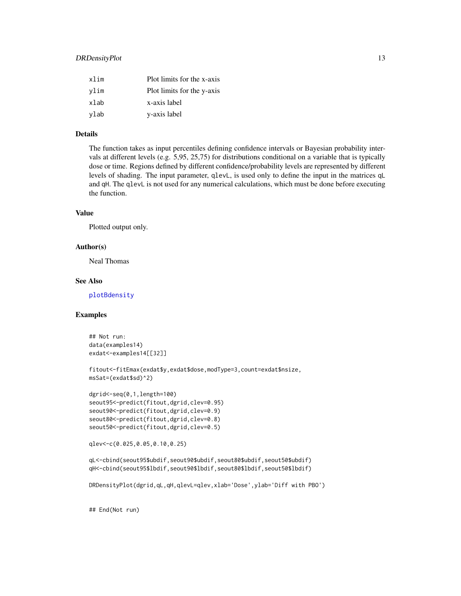## DRDensityPlot 13

| xlim | Plot limits for the x-axis |
|------|----------------------------|
| vlim | Plot limits for the y-axis |
| xlab | x-axis label               |
| ylab | y-axis label               |

## Details

The function takes as input percentiles defining confidence intervals or Bayesian probability intervals at different levels (e.g. 5,95, 25,75) for distributions conditional on a variable that is typically dose or time. Regions defined by different confidence/probability levels are represented by different levels of shading. The input parameter, qlevL, is used only to define the input in the matrices qL and qH. The qlevL is not used for any numerical calculations, which must be done before executing the function.

## Value

Plotted output only.

#### Author(s)

Neal Thomas

## See Also

[plotBdensity](#page-50-1)

## Examples

```
## Not run:
data(examples14)
exdat<-examples14[[32]]
```

```
fitout<-fitEmax(exdat$y,exdat$dose,modType=3,count=exdat$nsize,
msSat=(exdat$sd)^2)
```

```
dgrid<-seq(0,1,length=100)
seout95<-predict(fitout,dgrid,clev=0.95)
seout90<-predict(fitout,dgrid,clev=0.9)
seout80<-predict(fitout,dgrid,clev=0.8)
seout50<-predict(fitout,dgrid,clev=0.5)
```

```
qlev<-c(0.025,0.05,0.10,0.25)
```
qL<-cbind(seout95\$ubdif,seout90\$ubdif,seout80\$ubdif,seout50\$ubdif) qH<-cbind(seout95\$lbdif,seout90\$lbdif,seout80\$lbdif,seout50\$lbdif)

DRDensityPlot(dgrid,qL,qH,qlevL=qlev,xlab='Dose',ylab='Diff with PBO')

## End(Not run)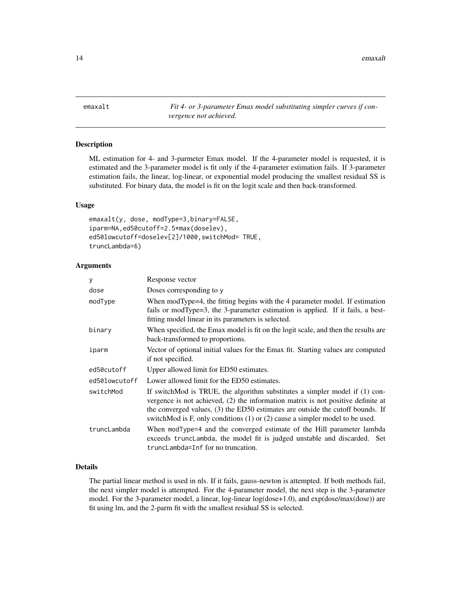<span id="page-13-0"></span>emaxalt *Fit 4- or 3-parameter Emax model substituting simpler curves if convergence not achieved.*

## Description

ML estimation for 4- and 3-parmeter Emax model. If the 4-parameter model is requested, it is estimated and the 3-parameter model is fit only if the 4-parameter estimation fails. If 3-parameter estimation fails, the linear, log-linear, or exponential model producing the smallest residual SS is substituted. For binary data, the model is fit on the logit scale and then back-transformed.

#### Usage

```
emaxalt(y, dose, modType=3,binary=FALSE,
iparm=NA,ed50cutoff=2.5*max(doselev),
ed50lowcutoff=doselev[2]/1000,switchMod= TRUE,
truncLambda=6)
```
## Arguments

| У             | Response vector                                                                                                                                                                                                                                                                                                                       |
|---------------|---------------------------------------------------------------------------------------------------------------------------------------------------------------------------------------------------------------------------------------------------------------------------------------------------------------------------------------|
| dose          | Doses corresponding to y                                                                                                                                                                                                                                                                                                              |
| modType       | When modType=4, the fitting begins with the 4 parameter model. If estimation<br>fails or modType=3, the 3-parameter estimation is applied. If it fails, a best-<br>fitting model linear in its parameters is selected.                                                                                                                |
| binary        | When specified, the Emax model is fit on the logit scale, and then the results are<br>back-transformed to proportions.                                                                                                                                                                                                                |
| iparm         | Vector of optional initial values for the Emax fit. Starting values are computed<br>if not specified.                                                                                                                                                                                                                                 |
| ed50cutoff    | Upper allowed limit for ED50 estimates.                                                                                                                                                                                                                                                                                               |
| ed50lowcutoff | Lower allowed limit for the ED50 estimates.                                                                                                                                                                                                                                                                                           |
| switchMod     | If switchMod is TRUE, the algorithm substitutes a simpler model if (1) con-<br>vergence is not achieved, (2) the information matrix is not positive definite at<br>the converged values, (3) the ED50 estimates are outside the cutoff bounds. If<br>switchMod is F, only conditions $(1)$ or $(2)$ cause a simpler model to be used. |
| truncLambda   | When modType=4 and the converged estimate of the Hill parameter lambda<br>exceeds trunclambda, the model fit is judged unstable and discarded. Set<br>truncLambda=Inf for no truncation.                                                                                                                                              |

#### Details

The partial linear method is used in nls. If it fails, gauss-newton is attempted. If both methods fail, the next simpler model is attempted. For the 4-parameter model, the next step is the 3-parameter model. For the 3-parameter model, a linear, log-linear log(dose+1.0), and exp(dose/max(dose)) are fit using lm, and the 2-parm fit with the smallest residual SS is selected.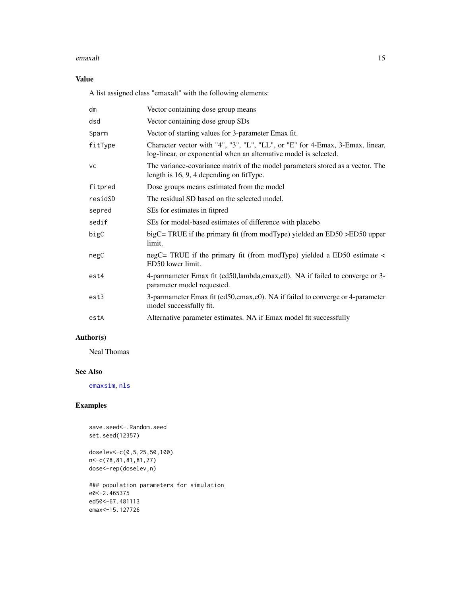#### emaxalt and the state of the state of the state of the state of the state of the state of the state of the state of the state of the state of the state of the state of the state of the state of the state of the state of th

## Value

A list assigned class "emaxalt" with the following elements:

| dm        | Vector containing dose group means                                                                                                                 |
|-----------|----------------------------------------------------------------------------------------------------------------------------------------------------|
| dsd       | Vector containing dose group SDs                                                                                                                   |
| Sparm     | Vector of starting values for 3-parameter Emax fit.                                                                                                |
| fitType   | Character vector with "4", "3", "L", "LL", or "E" for 4-Emax, 3-Emax, linear,<br>log-linear, or exponential when an alternative model is selected. |
| <b>VC</b> | The variance-covariance matrix of the model parameters stored as a vector. The<br>length is $16, 9, 4$ depending on fitType.                       |
| fitpred   | Dose groups means estimated from the model                                                                                                         |
| residSD   | The residual SD based on the selected model.                                                                                                       |
| sepred    | SEs for estimates in fitpred                                                                                                                       |
| sedif     | SEs for model-based estimates of difference with placebo                                                                                           |
| bigC      | bigC= TRUE if the primary fit (from modType) yielded an $ED50 > ED50$ upper<br>limit.                                                              |
| negC      | negC= TRUE if the primary fit (from modType) yielded a ED50 estimate <<br>ED50 lower limit.                                                        |
| est4      | 4-parmameter Emax fit (ed50,lambda,emax,e0). NA if failed to converge or 3-<br>parameter model requested.                                          |
| est3      | 3-parmameter Emax fit (ed50,emax,e0). NA if failed to converge or 4-parameter<br>model successfully fit.                                           |
| estA      | Alternative parameter estimates. NA if Emax model fit successfully                                                                                 |

## Author(s)

Neal Thomas

## See Also

[emaxsim](#page-16-1), [nls](#page-0-0)

## Examples

save.seed <-. Random.seed set.seed(12357)

```
doselev<-c(0,5,25,50,100)
n<-c(78,81,81,81,77)
dose<-rep(doselev,n)
```

```
### population parameters for simulation
e0<-2.465375
ed50<-67.481113
emax<-15.127726
```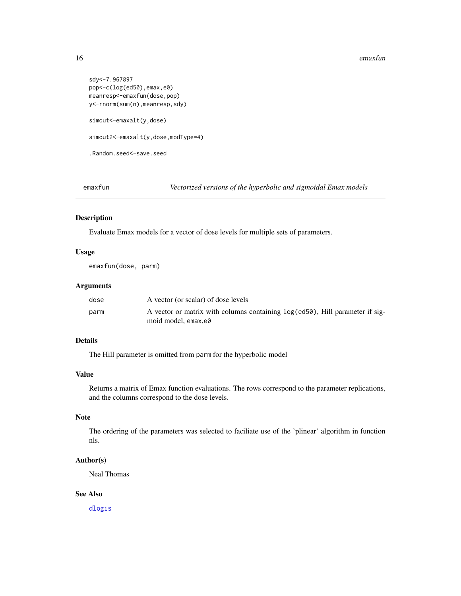#### <span id="page-15-0"></span>16 emaxfunction of the contract of the contract of the contract of the contract of the contract of the contract of the contract of the contract of the contract of the contract of the contract of the contract of the contrac

```
sdy<-7.967897
pop<-c(log(ed50),emax,e0)
meanresp<-emaxfun(dose,pop)
y<-rnorm(sum(n),meanresp,sdy)
simout<-emaxalt(y,dose)
simout2<-emaxalt(y,dose,modType=4)
.Random.seed<-save.seed
```
<span id="page-15-1"></span>emaxfun *Vectorized versions of the hyperbolic and sigmoidal Emax models*

#### Description

Evaluate Emax models for a vector of dose levels for multiple sets of parameters.

## Usage

emaxfun(dose, parm)

## Arguments

| dose | A vector (or scalar) of dose levels                                             |
|------|---------------------------------------------------------------------------------|
| parm | A vector or matrix with columns containing $log(ed50)$ , Hill parameter if sig- |
|      | moid model, emax.e0                                                             |

## Details

The Hill parameter is omitted from parm for the hyperbolic model

## Value

Returns a matrix of Emax function evaluations. The rows correspond to the parameter replications, and the columns correspond to the dose levels.

## Note

The ordering of the parameters was selected to faciliate use of the 'plinear' algorithm in function nls.

#### Author(s)

Neal Thomas

## See Also

[dlogis](#page-0-0)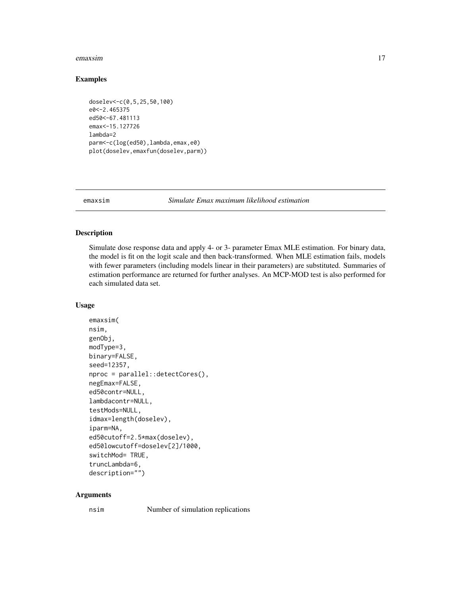#### <span id="page-16-0"></span>emaxsim and the contract of the contract of the contract of the contract of the contract of the contract of the contract of the contract of the contract of the contract of the contract of the contract of the contract of th

#### Examples

```
doselev<-c(0,5,25,50,100)
e0<-2.465375
ed50<-67.481113
emax<-15.127726
lambda=2
parm<-c(log(ed50),lambda,emax,e0)
plot(doselev,emaxfun(doselev,parm))
```
<span id="page-16-1"></span>emaxsim *Simulate Emax maximum likelihood estimation*

## Description

Simulate dose response data and apply 4- or 3- parameter Emax MLE estimation. For binary data, the model is fit on the logit scale and then back-transformed. When MLE estimation fails, models with fewer parameters (including models linear in their parameters) are substituted. Summaries of estimation performance are returned for further analyses. An MCP-MOD test is also performed for each simulated data set.

#### Usage

```
emaxsim(
nsim,
genObj,
modType=3,
binary=FALSE,
seed=12357,
nproc = parallel::detectCores(),
negEmax=FALSE,
ed50contr=NULL,
lambdacontr=NULL,
testMods=NULL,
idmax=length(doselev),
iparm=NA,
ed50cutoff=2.5*max(doselev),
ed50lowcutoff=doselev[2]/1000,
switchMod= TRUE,
truncLambda=6,
description="")
```
#### Arguments

nsim Number of simulation replications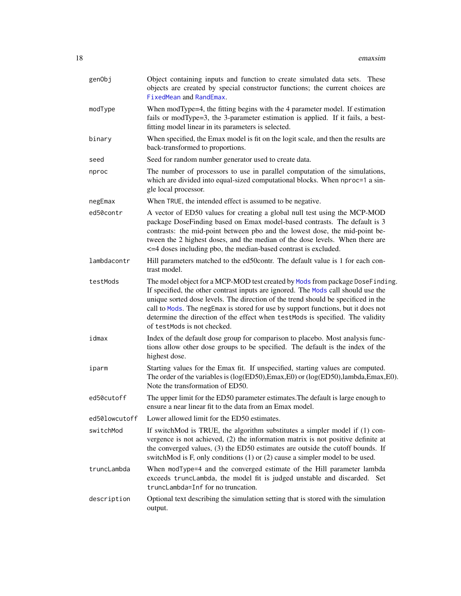| genObj        | Object containing inputs and function to create simulated data sets. These<br>objects are created by special constructor functions; the current choices are<br>FixedMean and RandEmax.                                                                                                                                                                                                                                                                        |
|---------------|---------------------------------------------------------------------------------------------------------------------------------------------------------------------------------------------------------------------------------------------------------------------------------------------------------------------------------------------------------------------------------------------------------------------------------------------------------------|
| modType       | When modType=4, the fitting begins with the 4 parameter model. If estimation<br>fails or modType=3, the 3-parameter estimation is applied. If it fails, a best-<br>fitting model linear in its parameters is selected.                                                                                                                                                                                                                                        |
| binary        | When specified, the Emax model is fit on the logit scale, and then the results are<br>back-transformed to proportions.                                                                                                                                                                                                                                                                                                                                        |
| seed          | Seed for random number generator used to create data.                                                                                                                                                                                                                                                                                                                                                                                                         |
| nproc         | The number of processors to use in parallel computation of the simulations,<br>which are divided into equal-sized computational blocks. When nproc=1 a sin-<br>gle local processor.                                                                                                                                                                                                                                                                           |
| negEmax       | When TRUE, the intended effect is assumed to be negative.                                                                                                                                                                                                                                                                                                                                                                                                     |
| ed50contr     | A vector of ED50 values for creating a global null test using the MCP-MOD<br>package DoseFinding based on Emax model-based contrasts. The default is 3<br>contrasts: the mid-point between pbo and the lowest dose, the mid-point be-<br>tween the 2 highest doses, and the median of the dose levels. When there are<br><= 4 doses including pbo, the median-based contrast is excluded.                                                                     |
| lambdacontr   | Hill parameters matched to the ed50contr. The default value is 1 for each con-<br>trast model.                                                                                                                                                                                                                                                                                                                                                                |
| testMods      | The model object for a MCP-MOD test created by Mods from package DoseFinding.<br>If specified, the other contrast inputs are ignored. The Mods call should use the<br>unique sorted dose levels. The direction of the trend should be specificed in the<br>call to Mods. The negEmax is stored for use by support functions, but it does not<br>determine the direction of the effect when testMods is specified. The validity<br>of testMods is not checked. |
| idmax         | Index of the default dose group for comparison to placebo. Most analysis func-<br>tions allow other dose groups to be specified. The default is the index of the<br>highest dose.                                                                                                                                                                                                                                                                             |
| iparm         | Starting values for the Emax fit. If unspecified, starting values are computed.<br>The order of the variables is (log(ED50), Emax, E0) or (log(ED50), lambda, Emax, E0).<br>Note the transformation of ED50.                                                                                                                                                                                                                                                  |
| ed50cutoff    | The upper limit for the ED50 parameter estimates. The default is large enough to<br>ensure a near linear fit to the data from an Emax model.                                                                                                                                                                                                                                                                                                                  |
| ed50lowcutoff | Lower allowed limit for the ED50 estimates.                                                                                                                                                                                                                                                                                                                                                                                                                   |
| switchMod     | If switchMod is TRUE, the algorithm substitutes a simpler model if (1) con-<br>vergence is not achieved, (2) the information matrix is not positive definite at<br>the converged values, (3) the ED50 estimates are outside the cutoff bounds. If<br>switchMod is F, only conditions (1) or (2) cause a simpler model to be used.                                                                                                                             |
| truncLambda   | When modType=4 and the converged estimate of the Hill parameter lambda<br>exceeds truncLambda, the model fit is judged unstable and discarded. Set<br>truncLambda=Inf for no truncation.                                                                                                                                                                                                                                                                      |
| description   | Optional text describing the simulation setting that is stored with the simulation<br>output.                                                                                                                                                                                                                                                                                                                                                                 |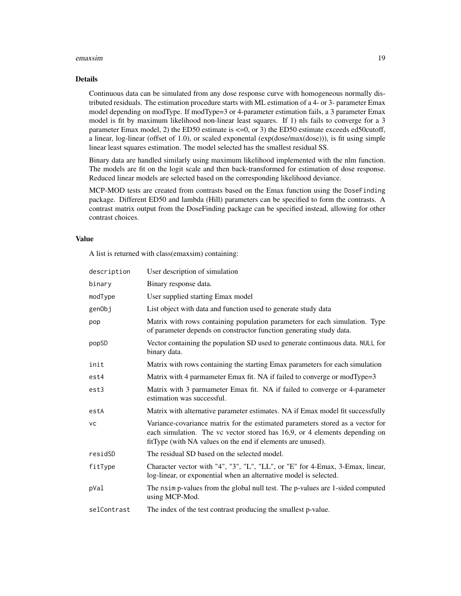#### emaxsim and the contract of the contract of the contract of the contract of the contract of the contract of the contract of the contract of the contract of the contract of the contract of the contract of the contract of th

## Details

Continuous data can be simulated from any dose response curve with homogeneous normally distributed residuals. The estimation procedure starts with ML estimation of a 4- or 3- parameter Emax model depending on modType. If modType=3 or 4-parameter estimation fails, a 3 parameter Emax model is fit by maximum likelihood non-linear least squares. If 1) nls fails to converge for a 3 parameter Emax model, 2) the ED50 estimate is <=0, or 3) the ED50 estimate exceeds ed50cutoff, a linear, log-linear (offset of 1.0), or scaled exponental (exp(dose/max(dose))), is fit using simple linear least squares estimation. The model selected has the smallest residual SS.

Binary data are handled similarly using maximum likelihood implemented with the nlm function. The models are fit on the logit scale and then back-transformed for estimation of dose response. Reduced linear models are selected based on the corresponding likelihood deviance.

MCP-MOD tests are created from contrasts based on the Emax function using the DoseFinding package. Different ED50 and lambda (Hill) parameters can be specified to form the contrasts. A contrast matrix output from the DoseFinding package can be specified instead, allowing for other contrast choices.

## Value

A list is returned with class(emaxsim) containing:

| description | User description of simulation                                                                                                                                                                                              |
|-------------|-----------------------------------------------------------------------------------------------------------------------------------------------------------------------------------------------------------------------------|
| binary      | Binary response data.                                                                                                                                                                                                       |
| modType     | User supplied starting Emax model                                                                                                                                                                                           |
| genObj      | List object with data and function used to generate study data                                                                                                                                                              |
| pop         | Matrix with rows containing population parameters for each simulation. Type<br>of parameter depends on constructor function generating study data.                                                                          |
| popSD       | Vector containing the population SD used to generate continuous data. NULL for<br>binary data.                                                                                                                              |
| init        | Matrix with rows containing the starting Emax parameters for each simulation                                                                                                                                                |
| est4        | Matrix with 4 parmameter Emax fit. NA if failed to converge or modType=3                                                                                                                                                    |
| est3        | Matrix with 3 parmameter Emax fit. NA if failed to converge or 4-parameter<br>estimation was successful.                                                                                                                    |
| estA        | Matrix with alternative parameter estimates. NA if Emax model fit successfully                                                                                                                                              |
| <b>VC</b>   | Variance-covariance matrix for the estimated parameters stored as a vector for<br>each simulation. The vc vector stored has 16,9, or 4 elements depending on<br>fitType (with NA values on the end if elements are unused). |
| residSD     | The residual SD based on the selected model.                                                                                                                                                                                |
| fitType     | Character vector with "4", "3", "L", "LL", or "E" for 4-Emax, 3-Emax, linear,<br>log-linear, or exponential when an alternative model is selected.                                                                          |
| pVal        | The nsim p-values from the global null test. The p-values are 1-sided computed<br>using MCP-Mod.                                                                                                                            |
| selContrast | The index of the test contrast producing the smallest p-value.                                                                                                                                                              |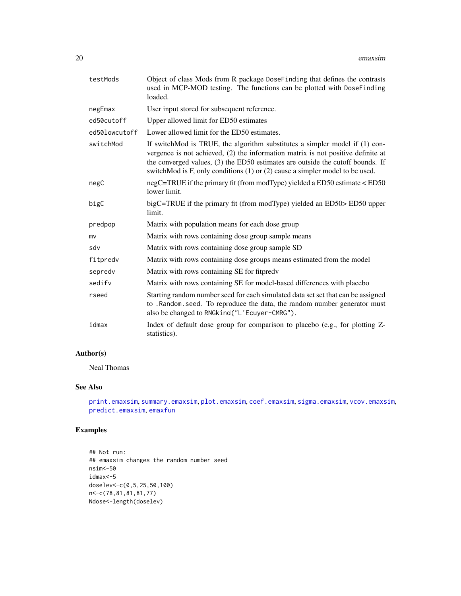| testMods      | Object of class Mods from R package DoseFinding that defines the contrasts<br>used in MCP-MOD testing. The functions can be plotted with DoseFinding<br>loaded.                                                                                                                                                                       |
|---------------|---------------------------------------------------------------------------------------------------------------------------------------------------------------------------------------------------------------------------------------------------------------------------------------------------------------------------------------|
| negEmax       | User input stored for subsequent reference.                                                                                                                                                                                                                                                                                           |
| ed50cutoff    | Upper allowed limit for ED50 estimates                                                                                                                                                                                                                                                                                                |
| ed50lowcutoff | Lower allowed limit for the ED50 estimates.                                                                                                                                                                                                                                                                                           |
| switchMod     | If switchMod is TRUE, the algorithm substitutes a simpler model if (1) con-<br>vergence is not achieved, (2) the information matrix is not positive definite at<br>the converged values, (3) the ED50 estimates are outside the cutoff bounds. If<br>switchMod is F, only conditions $(1)$ or $(2)$ cause a simpler model to be used. |
| negC          | negC=TRUE if the primary fit (from modType) yielded a ED50 estimate < ED50<br>lower limit.                                                                                                                                                                                                                                            |
| bigC          | bigC=TRUE if the primary fit (from modType) yielded an ED50> ED50 upper<br>limit.                                                                                                                                                                                                                                                     |
| predpop       | Matrix with population means for each dose group                                                                                                                                                                                                                                                                                      |
| mv            | Matrix with rows containing dose group sample means                                                                                                                                                                                                                                                                                   |
| sdv           | Matrix with rows containing dose group sample SD                                                                                                                                                                                                                                                                                      |
| fitpredv      | Matrix with rows containing dose groups means estimated from the model                                                                                                                                                                                                                                                                |
| sepredv       | Matrix with rows containing SE for fitpredv                                                                                                                                                                                                                                                                                           |
| sedify        | Matrix with rows containing SE for model-based differences with placebo                                                                                                                                                                                                                                                               |
| rseed         | Starting random number seed for each simulated data set set that can be assigned<br>to .Random.seed. To reproduce the data, the random number generator must<br>also be changed to RNGkind("L'Ecuyer-CMRG").                                                                                                                          |
| idmax         | Index of default dose group for comparison to placebo (e.g., for plotting Z-<br>statistics).                                                                                                                                                                                                                                          |

## Author(s)

Neal Thomas

## See Also

```
print.emaxsim, summary.emaxsim, plot.emaxsim, coef.emaxsim, sigma.emaxsim, vcov.emaxsim,
predict.emaxsim, emaxfun
```
## Examples

```
## Not run:
## emaxsim changes the random number seed
nsim<-50
idmax<-5
doselev<-c(0,5,25,50,100)
n<-c(78,81,81,81,77)
Ndose<-length(doselev)
```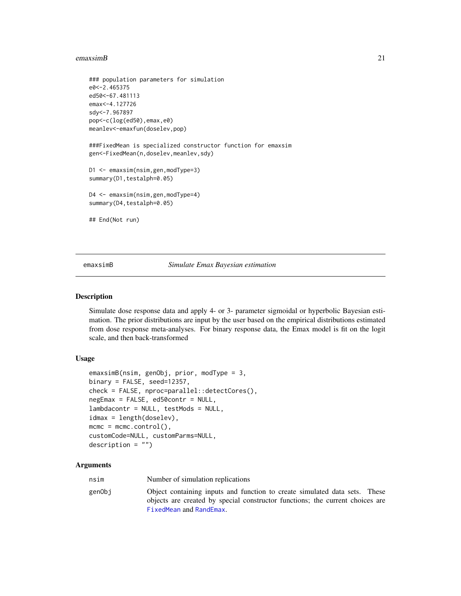#### <span id="page-20-0"></span>emaxsimB 21

```
### population parameters for simulation
e0<-2.465375
ed50<-67.481113
emax<-4.127726
sdy<-7.967897
pop<-c(log(ed50),emax,e0)
meanlev<-emaxfun(doselev,pop)
###FixedMean is specialized constructor function for emaxsim
gen<-FixedMean(n,doselev,meanlev,sdy)
D1 <- emaxsim(nsim,gen,modType=3)
summary(D1, testalph=0.05)
D4 <- emaxsim(nsim,gen,modType=4)
summary(D4, testalph=0.05)
## End(Not run)
```
<span id="page-20-1"></span>emaxsimB *Simulate Emax Bayesian estimation*

#### Description

Simulate dose response data and apply 4- or 3- parameter sigmoidal or hyperbolic Bayesian estimation. The prior distributions are input by the user based on the empirical distributions estimated from dose response meta-analyses. For binary response data, the Emax model is fit on the logit scale, and then back-transformed

#### Usage

```
emaxsimB(nsim, genObj, prior, modType = 3,
binary = FALSE, seed=12357,
check = FALSE, nproc=parallel::detectCores(),
negEmax = FALSE, ed50contr = NULL,
lambdacontr = NULL, testMods = NULL,
idmax = length(doselev),
mcmc = mcmc.control(),
customCode=NULL, customParms=NULL,
description = "")
```
## **Arguments**

| Number of simulation replications<br>nsim                                                                                                                                                        |  |
|--------------------------------------------------------------------------------------------------------------------------------------------------------------------------------------------------|--|
| Object containing inputs and function to create simulated data sets. These<br>genObj<br>objects are created by special constructor functions; the current choices are<br>FixedMean and RandEmax. |  |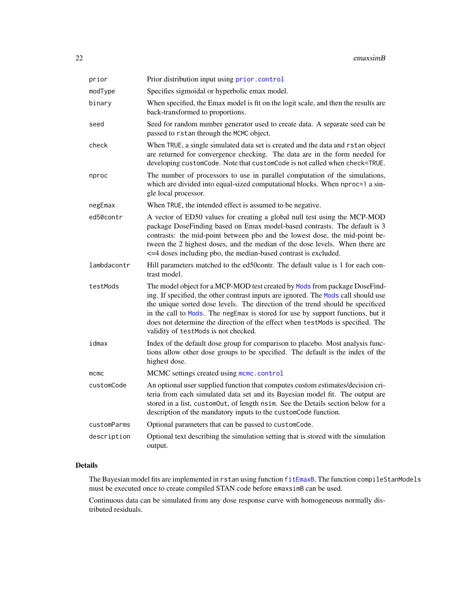| prior       | Prior distribution input using prior.control                                                                                                                                                                                                                                                                                                                                                                                                                    |
|-------------|-----------------------------------------------------------------------------------------------------------------------------------------------------------------------------------------------------------------------------------------------------------------------------------------------------------------------------------------------------------------------------------------------------------------------------------------------------------------|
| modType     | Specifies sigmoidal or hyperbolic emax model.                                                                                                                                                                                                                                                                                                                                                                                                                   |
| binary      | When specified, the Emax model is fit on the logit scale, and then the results are<br>back-transformed to proportions.                                                                                                                                                                                                                                                                                                                                          |
| seed        | Seed for random number generator used to create data. A separate seed can be<br>passed to rstan through the MCMC object.                                                                                                                                                                                                                                                                                                                                        |
| check       | When TRUE, a single simulated data set is created and the data and rstan object<br>are returned for convergence checking. The data are in the form needed for<br>developing customCode. Note that customCode is not called when check=TRUE.                                                                                                                                                                                                                     |
| nproc       | The number of processors to use in parallel computation of the simulations,<br>which are divided into equal-sized computational blocks. When nproc=1 a sin-<br>gle local processor.                                                                                                                                                                                                                                                                             |
| negEmax     | When TRUE, the intended effect is assumed to be negative.                                                                                                                                                                                                                                                                                                                                                                                                       |
| ed50contr   | A vector of ED50 values for creating a global null test using the MCP-MOD<br>package DoseFinding based on Emax model-based contrasts. The default is 3<br>contrasts: the mid-point between pbo and the lowest dose, the mid-point be-<br>tween the 2 highest doses, and the median of the dose levels. When there are<br><= 4 doses including pbo, the median-based contrast is excluded.                                                                       |
| lambdacontr | Hill parameters matched to the ed50contr. The default value is 1 for each con-<br>trast model.                                                                                                                                                                                                                                                                                                                                                                  |
| testMods    | The model object for a MCP-MOD test created by Mods from package DoseFind-<br>ing. If specified, the other contrast inputs are ignored. The Mods call should use<br>the unique sorted dose levels. The direction of the trend should be specificed<br>in the call to Mods. The negEmax is stored for use by support functions, but it<br>does not determine the direction of the effect when testMods is specified. The<br>validity of testMods is not checked. |
| idmax       | Index of the default dose group for comparison to placebo. Most analysis func-<br>tions allow other dose groups to be specified. The default is the index of the<br>highest dose.                                                                                                                                                                                                                                                                               |
| $m$ cmc     | MCMC settings created using mcmc.control                                                                                                                                                                                                                                                                                                                                                                                                                        |
| customCode  | An optional user supplied function that computes custom estimates/decision cri-<br>teria from each simulated data set and its Bayesian model fit. The output are<br>stored in a list, customOut, of length nsim. See the Details section below for a<br>description of the mandatory inputs to the customCode function.                                                                                                                                         |
| customParms | Optional parameters that can be passed to customCode.                                                                                                                                                                                                                                                                                                                                                                                                           |
| description | Optional text describing the simulation setting that is stored with the simulation<br>output.                                                                                                                                                                                                                                                                                                                                                                   |

## Details

The Bayesian model fits are implemented in rstan using function [fitEmaxB](#page-28-1). The function compileStanModels must be executed once to create compiled STAN code before emaxsimB can be used.

Continuous data can be simulated from any dose response curve with homogeneous normally distributed residuals.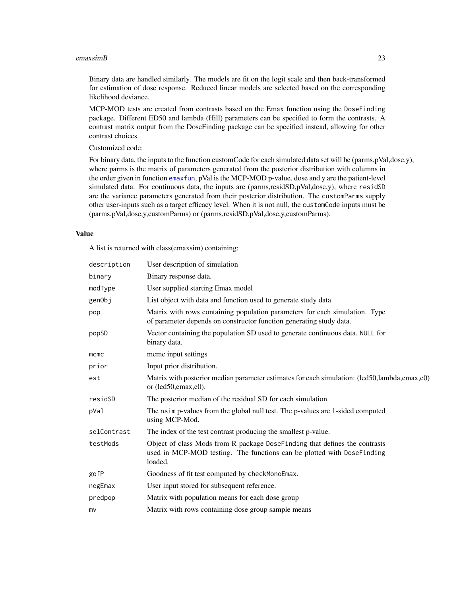#### emaxsimB 23

Binary data are handled similarly. The models are fit on the logit scale and then back-transformed for estimation of dose response. Reduced linear models are selected based on the corresponding likelihood deviance.

MCP-MOD tests are created from contrasts based on the Emax function using the DoseFinding package. Different ED50 and lambda (Hill) parameters can be specified to form the contrasts. A contrast matrix output from the DoseFinding package can be specified instead, allowing for other contrast choices.

Customized code:

For binary data, the inputs to the function customCode for each simulated data set will be (parms,pVal,dose,y), where parms is the matrix of parameters generated from the posterior distribution with columns in the order given in function [emaxfun](#page-15-1), pVal is the MCP-MOD p-value, dose and y are the patient-level simulated data. For continuous data, the inputs are (parms,residSD,pVal,dose,y), where residSD are the variance parameters generated from their posterior distribution. The customParms supply other user-inputs such as a target efficacy level. When it is not null, the customCode inputs must be (parms,pVal,dose,y,customParms) or (parms,residSD,pVal,dose,y,customParms).

#### Value

A list is returned with class(emaxsim) containing:

| description | User description of simulation                                                                                                                                  |
|-------------|-----------------------------------------------------------------------------------------------------------------------------------------------------------------|
| binary      | Binary response data.                                                                                                                                           |
| modType     | User supplied starting Emax model                                                                                                                               |
| genObj      | List object with data and function used to generate study data                                                                                                  |
| pop         | Matrix with rows containing population parameters for each simulation. Type<br>of parameter depends on constructor function generating study data.              |
| popSD       | Vector containing the population SD used to generate continuous data. NULL for<br>binary data.                                                                  |
| $m$ cmc     | mcmc input settings                                                                                                                                             |
| prior       | Input prior distribution.                                                                                                                                       |
| est         | Matrix with posterior median parameter estimates for each simulation: (led50,lambda,emax,e0)<br>or (led50,emax,e0).                                             |
| residSD     | The posterior median of the residual SD for each simulation.                                                                                                    |
| pVal        | The nsimp-values from the global null test. The p-values are 1-sided computed<br>using MCP-Mod.                                                                 |
| selContrast | The index of the test contrast producing the smallest p-value.                                                                                                  |
| testMods    | Object of class Mods from R package DoseFinding that defines the contrasts<br>used in MCP-MOD testing. The functions can be plotted with DoseFinding<br>loaded. |
| gofP        | Goodness of fit test computed by checkMonoEmax.                                                                                                                 |
| negEmax     | User input stored for subsequent reference.                                                                                                                     |
| predpop     | Matrix with population means for each dose group                                                                                                                |
| mv          | Matrix with rows containing dose group sample means                                                                                                             |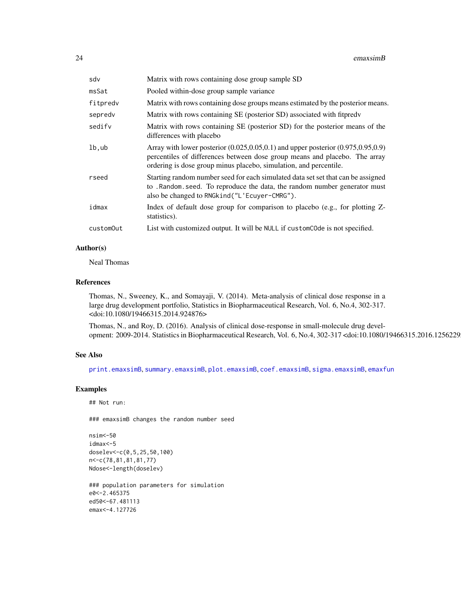| sdv       | Matrix with rows containing dose group sample SD                                                                                                                                                                                            |
|-----------|---------------------------------------------------------------------------------------------------------------------------------------------------------------------------------------------------------------------------------------------|
| msSat     | Pooled within-dose group sample variance                                                                                                                                                                                                    |
| fitpredv  | Matrix with rows containing dose groups means estimated by the posterior means.                                                                                                                                                             |
| sepredv   | Matrix with rows containing SE (posterior SD) associated with fitpred v                                                                                                                                                                     |
| sedifv    | Matrix with rows containing SE (posterior SD) for the posterior means of the<br>differences with placebo                                                                                                                                    |
| lb,ub     | Array with lower posterior $(0.025, 0.05, 0.1)$ and upper posterior $(0.975, 0.95, 0.9)$<br>percentiles of differences between dose group means and placebo. The array<br>ordering is dose group minus placebo, simulation, and percentile. |
| rseed     | Starting random number seed for each simulated data set set that can be assigned<br>to . Random. seed. To reproduce the data, the random number generator must<br>also be changed to RNGkind ("L'Ecuyer-CMRG").                             |
| idmax     | Index of default dose group for comparison to placebo (e.g., for plotting Z-<br>statistics).                                                                                                                                                |
| customOut | List with customized output. It will be NULL if customCOde is not specified.                                                                                                                                                                |

## Author(s)

Neal Thomas

#### References

Thomas, N., Sweeney, K., and Somayaji, V. (2014). Meta-analysis of clinical dose response in a large drug development portfolio, Statistics in Biopharmaceutical Research, Vol. 6, No.4, 302-317. <doi:10.1080/19466315.2014.924876>

Thomas, N., and Roy, D. (2016). Analysis of clinical dose-response in small-molecule drug development: 2009-2014. Statistics in Biopharmaceutical Research, Vol. 6, No.4, 302-317 <doi:10.1080/19466315.2016.1256229>

## See Also

[print.emaxsimB](#page-65-1), [summary.emaxsimB](#page-80-1), [plot.emaxsimB](#page-35-1), [coef.emaxsimB](#page-9-1), [sigma.emaxsimB](#page-76-1), [emaxfun](#page-15-1)

## Examples

```
## Not run:
```
### emaxsimB changes the random number seed

```
nsim<-50
idmax<-5
doselev<-c(0,5,25,50,100)
n<-c(78,81,81,81,77)
Ndose<-length(doselev)
```

```
### population parameters for simulation
e0<-2.465375
ed50<-67.481113
emax<-4.127726
```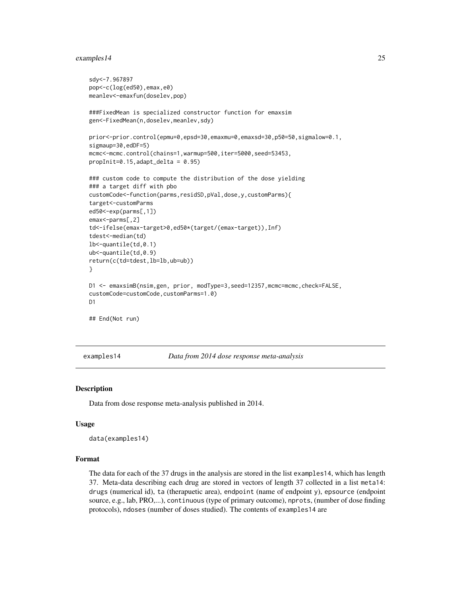#### <span id="page-24-0"></span>examples 14 25

```
sdy<-7.967897
pop<-c(log(ed50),emax,e0)
meanlev<-emaxfun(doselev,pop)
###FixedMean is specialized constructor function for emaxsim
gen<-FixedMean(n,doselev,meanlev,sdy)
prior<-prior.control(epmu=0,epsd=30,emaxmu=0,emaxsd=30,p50=50,sigmalow=0.1,
sigmaup=30,edDF=5)
mcmc<-mcmc.control(chains=1,warmup=500,iter=5000,seed=53453,
propInit=0.15,adapt_delta = 0.95)
### custom code to compute the distribution of the dose yielding
### a target diff with pbo
customCode<-function(parms,residSD,pVal,dose,y,customParms){
target<-customParms
ed50<-exp(parms[,1])
emax<-parms[,2]
td<-ifelse(emax-target>0,ed50*(target/(emax-target)),Inf)
tdest<-median(td)
lb<-quantile(td,0.1)
ub<-quantile(td,0.9)
return(c(td=tdest,lb=lb,ub=ub))
}
D1 <- emaxsimB(nsim,gen, prior, modType=3,seed=12357,mcmc=mcmc,check=FALSE,
customCode=customCode,customParms=1.0)
D<sub>1</sub>
## End(Not run)
```
<span id="page-24-1"></span>

examples14 *Data from 2014 dose response meta-analysis*

#### Description

Data from dose response meta-analysis published in 2014.

#### Usage

data(examples14)

## Format

The data for each of the 37 drugs in the analysis are stored in the list examples14, which has length 37. Meta-data describing each drug are stored in vectors of length 37 collected in a list meta14: drugs (numerical id), ta (therapuetic area), endpoint (name of endpoint y), epsource (endpoint source, e.g., lab, PRO,...), continuous (type of primary outcome), nprots, (number of dose finding protocols), ndoses (number of doses studied). The contents of examples14 are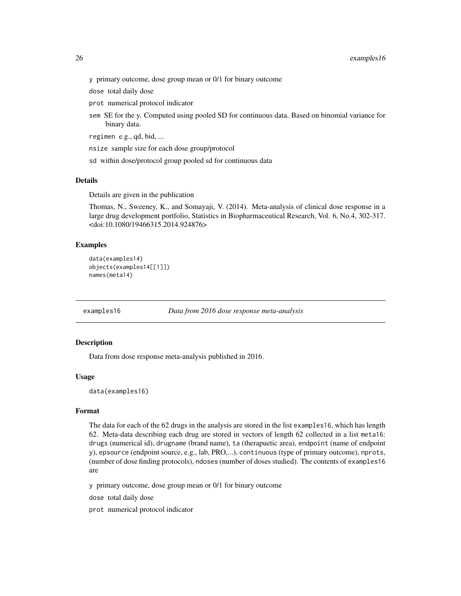<span id="page-25-0"></span>y primary outcome, dose group mean or 0/1 for binary outcome

dose total daily dose

prot numerical protocol indicator

sem SE for the y. Computed using pooled SD for continuous data. Based on binomial variance for binary data.

regimen e.g., qd, bid, ...

nsize sample size for each dose group/protocol

sd within dose/protocol group pooled sd for continuous data

#### Details

Details are given in the publication

Thomas, N., Sweeney, K., and Somayaji, V. (2014). Meta-analysis of clinical dose response in a large drug development portfolio, Statistics in Biopharmaceutical Research, Vol. 6, No.4, 302-317. <doi:10.1080/19466315.2014.924876>

## Examples

```
data(examples14)
objects(examples14[[1]])
names(meta14)
```
<span id="page-25-1"></span>examples16 *Data from 2016 dose response meta-analysis*

#### Description

Data from dose response meta-analysis published in 2016.

#### Usage

data(examples16)

#### Format

The data for each of the 62 drugs in the analysis are stored in the list examples16, which has length 62. Meta-data describing each drug are stored in vectors of length 62 collected in a list meta16: drugs (numerical id), drugname (brand name), ta (therapuetic area), endpoint (name of endpoint y), epsource (endpoint source, e.g., lab, PRO,...), continuous (type of primary outcome), nprots, (number of dose finding protocols), ndoses (number of doses studied). The contents of examples16 are

y primary outcome, dose group mean or 0/1 for binary outcome

dose total daily dose

prot numerical protocol indicator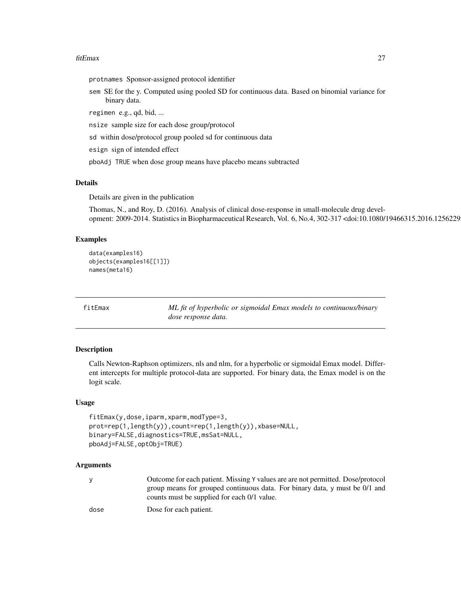#### <span id="page-26-0"></span>fitEmax 27

protnames Sponsor-assigned protocol identifier

sem SE for the y. Computed using pooled SD for continuous data. Based on binomial variance for binary data.

regimen e.g., qd, bid, ...

nsize sample size for each dose group/protocol

sd within dose/protocol group pooled sd for continuous data

esign sign of intended effect

pboAdj TRUE when dose group means have placebo means subtracted

#### Details

Details are given in the publication

Thomas, N., and Roy, D. (2016). Analysis of clinical dose-response in small-molecule drug development: 2009-2014. Statistics in Biopharmaceutical Research, Vol. 6, No.4, 302-317 <doi:10.1080/19466315.2016.1256229>

## Examples

```
data(examples16)
objects(examples16[[1]])
names(meta16)
```
<span id="page-26-1"></span>

fitEmax *ML fit of hyperbolic or sigmoidal Emax models to continuous/binary dose response data.*

#### Description

Calls Newton-Raphson optimizers, nls and nlm, for a hyperbolic or sigmoidal Emax model. Different intercepts for multiple protocol-data are supported. For binary data, the Emax model is on the logit scale.

#### Usage

```
fitEmax(y,dose,iparm,xparm,modType=3,
prot=rep(1,length(y)),count=rep(1,length(y)),xbase=NULL,
binary=FALSE,diagnostics=TRUE,msSat=NULL,
pboAdj=FALSE,optObj=TRUE)
```
#### Arguments

| Outcome for each patient. Missing Y values are are not permitted. Dose/protocol    |
|------------------------------------------------------------------------------------|
| group means for grouped continuous data. For binary data, $\gamma$ must be 0/1 and |
| counts must be supplied for each 0/1 value.                                        |

dose Dose for each patient.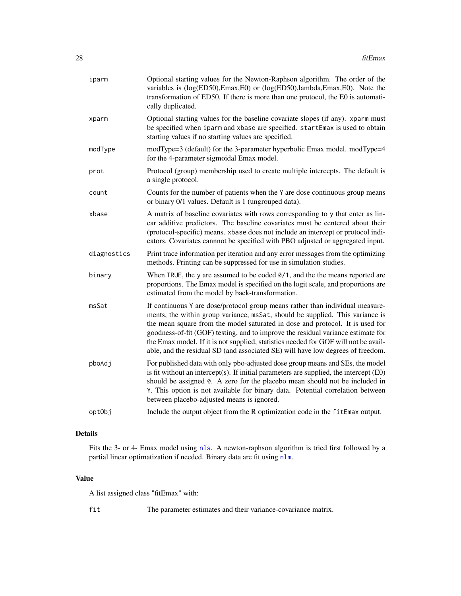| iparm       | Optional starting values for the Newton-Raphson algorithm. The order of the<br>variables is (log(ED50), Emax, E0) or (log(ED50), lambda, Emax, E0). Note the<br>transformation of ED50. If there is more than one protocol, the E0 is automati-<br>cally duplicated.                                                                                                                                                                                                                                          |
|-------------|---------------------------------------------------------------------------------------------------------------------------------------------------------------------------------------------------------------------------------------------------------------------------------------------------------------------------------------------------------------------------------------------------------------------------------------------------------------------------------------------------------------|
| xparm       | Optional starting values for the baseline covariate slopes (if any). xparm must<br>be specified when iparm and xbase are specified. startEmax is used to obtain<br>starting values if no starting values are specified.                                                                                                                                                                                                                                                                                       |
| modType     | modType=3 (default) for the 3-parameter hyperbolic Emax model. modType=4<br>for the 4-parameter sigmoidal Emax model.                                                                                                                                                                                                                                                                                                                                                                                         |
| prot        | Protocol (group) membership used to create multiple intercepts. The default is<br>a single protocol.                                                                                                                                                                                                                                                                                                                                                                                                          |
| count       | Counts for the number of patients when the Y are dose continuous group means<br>or binary 0/1 values. Default is 1 (ungrouped data).                                                                                                                                                                                                                                                                                                                                                                          |
| xbase       | A matrix of baseline covariates with rows corresponding to y that enter as lin-<br>ear additive predictors. The baseline covariates must be centered about their<br>(protocol-specific) means. xbase does not include an intercept or protocol indi-<br>cators. Covariates cannnot be specified with PBO adjusted or aggregated input.                                                                                                                                                                        |
| diagnostics | Print trace information per iteration and any error messages from the optimizing<br>methods. Printing can be suppressed for use in simulation studies.                                                                                                                                                                                                                                                                                                                                                        |
| binary      | When TRUE, the y are assumed to be coded $\theta/1$ , and the the means reported are<br>proportions. The Emax model is specified on the logit scale, and proportions are<br>estimated from the model by back-transformation.                                                                                                                                                                                                                                                                                  |
| msSat       | If continuous Y are dose/protocol group means rather than individual measure-<br>ments, the within group variance, msSat, should be supplied. This variance is<br>the mean square from the model saturated in dose and protocol. It is used for<br>goodness-of-fit (GOF) testing, and to improve the residual variance estimate for<br>the Emax model. If it is not supplied, statistics needed for GOF will not be avail-<br>able, and the residual SD (and associated SE) will have low degrees of freedom. |
| pboAdj      | For published data with only pbo-adjusted dose group means and SEs, the model<br>is fit without an intercept(s). If initial parameters are supplied, the intercept (E0)<br>should be assigned 0. A zero for the placebo mean should not be included in<br>Y. This option is not available for binary data. Potential correlation between<br>between placebo-adjusted means is ignored.                                                                                                                        |
| optObj      | Include the output object from the R optimization code in the fitEmax output.                                                                                                                                                                                                                                                                                                                                                                                                                                 |

## Details

Fits the 3- or 4- Emax model using [nls](#page-0-0). A newton-raphson algorithm is tried first followed by a partial linear optimatization if needed. Binary data are fit using [nlm](#page-0-0).

#### Value

A list assigned class "fitEmax" with:

fit The parameter estimates and their variance-covariance matrix.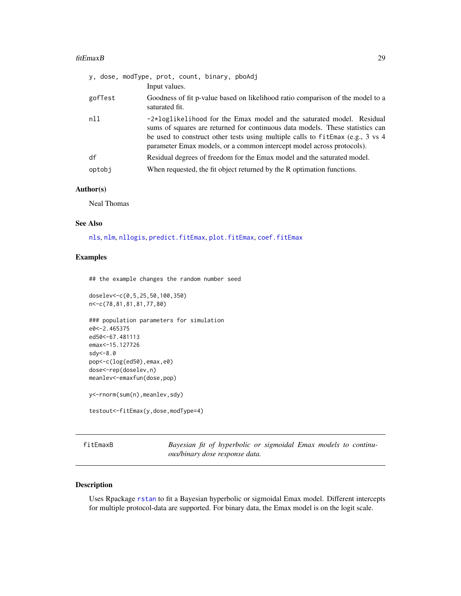#### <span id="page-28-0"></span>fitEmaxB 29

| gofTest<br>Goodness of fit p-value based on likelihood ratio comparison of the model to a<br>saturated fit.<br>nll<br>$-2 \times \log 1$ ikelihood for the Emax model and the saturated model. Residual                                      |  |
|----------------------------------------------------------------------------------------------------------------------------------------------------------------------------------------------------------------------------------------------|--|
|                                                                                                                                                                                                                                              |  |
| sums of squares are returned for continuous data models. These statistics can<br>be used to construct other tests using multiple calls to $f$ it Emax (e.g., 3 vs 4<br>parameter Emax models, or a common intercept model across protocols). |  |
| df<br>Residual degrees of freedom for the Emax model and the saturated model.                                                                                                                                                                |  |
| When requested, the fit object returned by the R optimation functions.<br>optobj                                                                                                                                                             |  |

## Author(s)

Neal Thomas

#### See Also

[nls](#page-0-0), [nlm](#page-0-0), [nllogis](#page-33-1), [predict.fitEmax](#page-61-1), [plot.fitEmax](#page-40-1), [coef.fitEmax](#page-9-1)

## Examples

## the example changes the random number seed

doselev<-c(0,5,25,50,100,350) n<-c(78,81,81,81,77,80)

```
### population parameters for simulation
e0<-2.465375
ed50<-67.481113
emax<-15.127726
sdy<-8.0
pop<-c(log(ed50),emax,e0)
dose<-rep(doselev,n)
meanlev<-emaxfun(dose,pop)
y<-rnorm(sum(n),meanlev,sdy)
```

```
testout<-fitEmax(y,dose,modType=4)
```
<span id="page-28-1"></span>fitEmaxB *Bayesian fit of hyperbolic or sigmoidal Emax models to continuous/binary dose response data.*

## Description

Uses Rpackage [rstan](#page-0-0) to fit a Bayesian hyperbolic or sigmoidal Emax model. Different intercepts for multiple protocol-data are supported. For binary data, the Emax model is on the logit scale.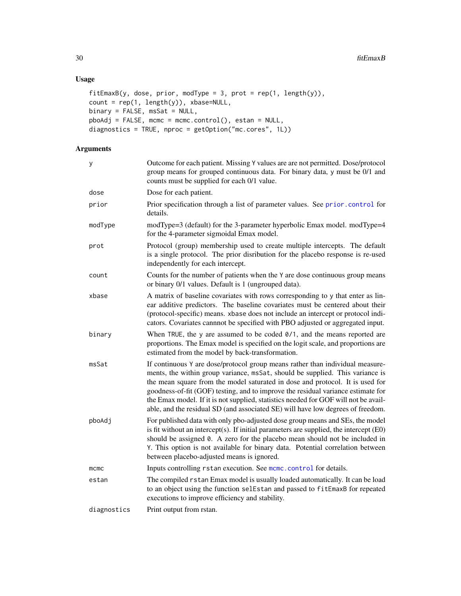## Usage

```
fitEmaxB(y, dose, prior, modType = 3, prot = rep(1, length(y)),count = rep(1, length(y)), xbase=NULL,binary = FALSE, mssat = NULL,pboAdj = FALSE, mcmc = mcmc.control(), estan = NULL,
diagnostics = TRUE, nproc = getOption("mc.cores", 1L))
```
## Arguments

| y           | Outcome for each patient. Missing Y values are are not permitted. Dose/protocol<br>group means for grouped continuous data. For binary data, y must be 0/1 and<br>counts must be supplied for each 0/1 value.                                                                                                                                                                                                                                                                                                 |
|-------------|---------------------------------------------------------------------------------------------------------------------------------------------------------------------------------------------------------------------------------------------------------------------------------------------------------------------------------------------------------------------------------------------------------------------------------------------------------------------------------------------------------------|
| dose        | Dose for each patient.                                                                                                                                                                                                                                                                                                                                                                                                                                                                                        |
| prior       | Prior specification through a list of parameter values. See prior control for<br>details.                                                                                                                                                                                                                                                                                                                                                                                                                     |
| modType     | modType=3 (default) for the 3-parameter hyperbolic Emax model. modType=4<br>for the 4-parameter sigmoidal Emax model.                                                                                                                                                                                                                                                                                                                                                                                         |
| prot        | Protocol (group) membership used to create multiple intercepts. The default<br>is a single protocol. The prior disribution for the placebo response is re-used<br>independently for each intercept.                                                                                                                                                                                                                                                                                                           |
| count       | Counts for the number of patients when the Y are dose continuous group means<br>or binary 0/1 values. Default is 1 (ungrouped data).                                                                                                                                                                                                                                                                                                                                                                          |
| xbase       | A matrix of baseline covariates with rows corresponding to y that enter as lin-<br>ear additive predictors. The baseline covariates must be centered about their<br>(protocol-specific) means. xbase does not include an intercept or protocol indi-<br>cators. Covariates cannnot be specified with PBO adjusted or aggregated input.                                                                                                                                                                        |
| binary      | When TRUE, the y are assumed to be coded $0/1$ , and the means reported are<br>proportions. The Emax model is specified on the logit scale, and proportions are<br>estimated from the model by back-transformation.                                                                                                                                                                                                                                                                                           |
| msSat       | If continuous Y are dose/protocol group means rather than individual measure-<br>ments, the within group variance, msSat, should be supplied. This variance is<br>the mean square from the model saturated in dose and protocol. It is used for<br>goodness-of-fit (GOF) testing, and to improve the residual variance estimate for<br>the Emax model. If it is not supplied, statistics needed for GOF will not be avail-<br>able, and the residual SD (and associated SE) will have low degrees of freedom. |
| pboAdj      | For published data with only pbo-adjusted dose group means and SEs, the model<br>is fit without an intercept(s). If initial parameters are supplied, the intercept $(EO)$<br>should be assigned 0. A zero for the placebo mean should not be included in<br>Y. This option is not available for binary data. Potential correlation between<br>between placebo-adjusted means is ignored.                                                                                                                      |
| mcmc        | Inputs controlling rstan execution. See mcmc.control for details.                                                                                                                                                                                                                                                                                                                                                                                                                                             |
| estan       | The compiled rstan Emax model is usually loaded automatically. It can be load<br>to an object using the function selEstan and passed to fitEmaxB for repeated<br>executions to improve efficiency and stability.                                                                                                                                                                                                                                                                                              |
| diagnostics | Print output from rstan.                                                                                                                                                                                                                                                                                                                                                                                                                                                                                      |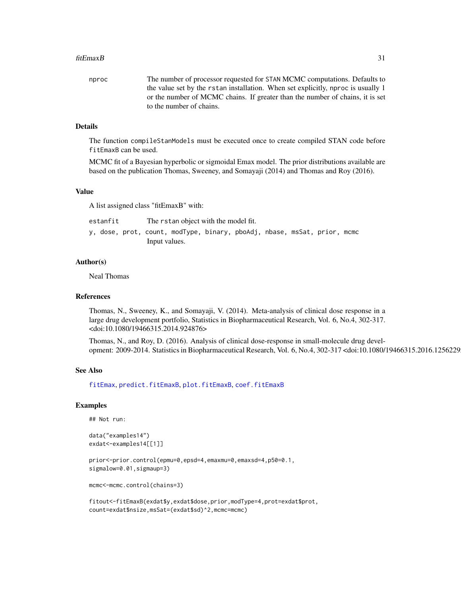#### fitEmaxB 31

| nproc | The number of processor requested for STAN MCMC computations. Defaults to        |
|-------|----------------------------------------------------------------------------------|
|       | the value set by the rstan installation. When set explicitly, nproc is usually 1 |
|       | or the number of MCMC chains. If greater than the number of chains, it is set    |
|       | to the number of chains.                                                         |

#### Details

The function compileStanModels must be executed once to create compiled STAN code before fitEmaxB can be used.

MCMC fit of a Bayesian hyperbolic or sigmoidal Emax model. The prior distributions available are based on the publication Thomas, Sweeney, and Somayaji (2014) and Thomas and Roy (2016).

## Value

A list assigned class "fitEmaxB" with:

| estanfit |  |               |                                                                          | The rstan object with the model fit. |  |  |  |  |
|----------|--|---------------|--------------------------------------------------------------------------|--------------------------------------|--|--|--|--|
|          |  |               | y, dose, prot, count, modType, binary, pboAdj, nbase, msSat, prior, mcmc |                                      |  |  |  |  |
|          |  | Input values. |                                                                          |                                      |  |  |  |  |

#### Author(s)

Neal Thomas

#### References

Thomas, N., Sweeney, K., and Somayaji, V. (2014). Meta-analysis of clinical dose response in a large drug development portfolio, Statistics in Biopharmaceutical Research, Vol. 6, No.4, 302-317. <doi:10.1080/19466315.2014.924876>

Thomas, N., and Roy, D. (2016). Analysis of clinical dose-response in small-molecule drug development: 2009-2014. Statistics in Biopharmaceutical Research, Vol. 6, No.4, 302-317 <doi:10.1080/19466315.2016.1256229>

## See Also

[fitEmax](#page-26-1), [predict.fitEmaxB](#page-62-1), [plot.fitEmaxB](#page-42-1), [coef.fitEmaxB](#page-9-1)

#### Examples

## Not run:

```
data("examples14")
exdat<-examples14[[1]]
```
prior<-prior.control(epmu=0,epsd=4,emaxmu=0,emaxsd=4,p50=0.1, sigmalow=0.01,sigmaup=3)

mcmc<-mcmc.control(chains=3)

fitout<-fitEmaxB(exdat\$y,exdat\$dose,prior,modType=4,prot=exdat\$prot, count=exdat\$nsize,msSat=(exdat\$sd)^2,mcmc=mcmc)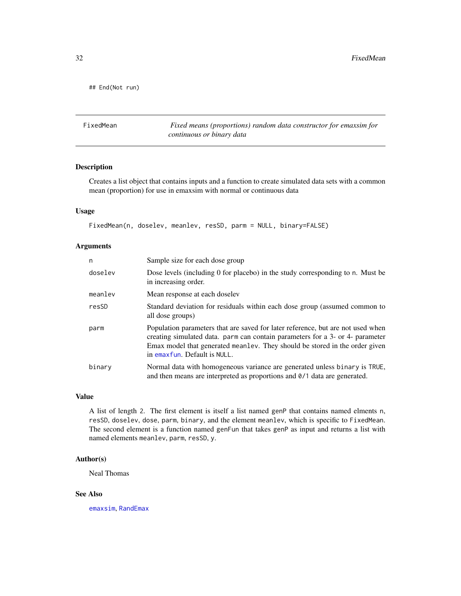<span id="page-31-0"></span>## End(Not run)

<span id="page-31-1"></span>FixedMean *Fixed means (proportions) random data constructor for emaxsim for continuous or binary data*

## Description

Creates a list object that contains inputs and a function to create simulated data sets with a common mean (proportion) for use in emaxsim with normal or continuous data

## Usage

```
FixedMean(n, doselev, meanlev, resSD, parm = NULL, binary=FALSE)
```
## Arguments

| n       | Sample size for each dose group                                                                                                                                                                                                                                                 |
|---------|---------------------------------------------------------------------------------------------------------------------------------------------------------------------------------------------------------------------------------------------------------------------------------|
| doselev | Dose levels (including 0 for placebo) in the study corresponding to n. Must be<br>in increasing order.                                                                                                                                                                          |
| meanley | Mean response at each doselev                                                                                                                                                                                                                                                   |
| resSD   | Standard deviation for residuals within each dose group (assumed common to<br>all dose groups)                                                                                                                                                                                  |
| parm    | Population parameters that are saved for later reference, but are not used when<br>creating simulated data. parm can contain parameters for a 3- or 4- parameter<br>Emax model that generated meanlev. They should be stored in the order given<br>in emaxfun. Default is NULL. |
| binary  | Normal data with homogeneous variance are generated unless binary is TRUE,<br>and then means are interpreted as proportions and 0/1 data are generated.                                                                                                                         |

## Value

A list of length 2. The first element is itself a list named genP that contains named elments n, resSD, doselev, dose, parm, binary, and the element meanlev, which is specific to FixedMean. The second element is a function named genFun that takes genP as input and returns a list with named elements meanlev, parm, resSD, y.

## Author(s)

Neal Thomas

#### See Also

[emaxsim](#page-16-1), [RandEmax](#page-71-1)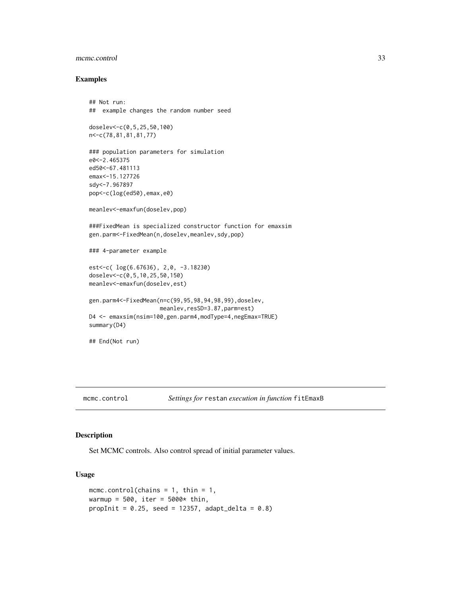## <span id="page-32-0"></span>mcmc.control 33

#### Examples

```
## Not run:
## example changes the random number seed
```

```
doselev<-c(0,5,25,50,100)
n<-c(78,81,81,81,77)
```

```
### population parameters for simulation
e0<-2.465375
ed50<-67.481113
emax<-15.127726
sdy<-7.967897
pop<-c(log(ed50),emax,e0)
```
meanlev<-emaxfun(doselev,pop)

###FixedMean is specialized constructor function for emaxsim gen.parm<-FixedMean(n,doselev,meanlev,sdy,pop)

### 4-parameter example

```
est<-c( log(6.67636), 2,0, -3.18230)
doselev<-c(0,5,10,25,50,150)
meanlev<-emaxfun(doselev,est)
```

```
gen.parm4<-FixedMean(n=c(99,95,98,94,98,99),doselev,
                    meanlev,resSD=3.87,parm=est)
D4 <- emaxsim(nsim=100,gen.parm4,modType=4,negEmax=TRUE)
summary(D4)
```

```
## End(Not run)
```
<span id="page-32-1"></span>

## Description

Set MCMC controls. Also control spread of initial parameter values.

## Usage

```
mcmc.control(chains = 1, thin = 1,
warmup = 500, iter = 5000* thin,
propInit = 0.25, seed = 12357, adapt_delta = 0.8)
```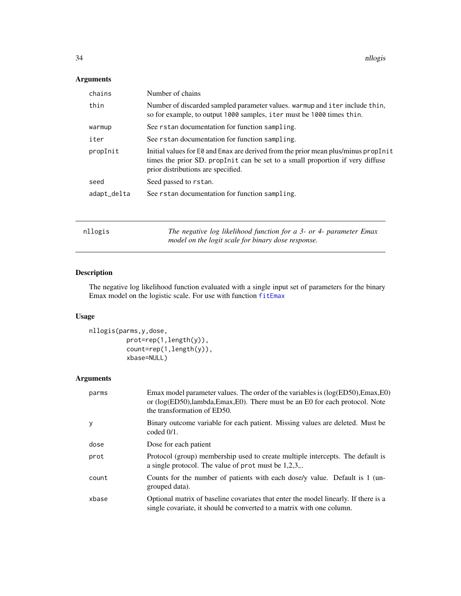## <span id="page-33-0"></span>Arguments

| chains      | Number of chains                                                                                                                                                                                          |
|-------------|-----------------------------------------------------------------------------------------------------------------------------------------------------------------------------------------------------------|
| thin        | Number of discarded sampled parameter values. warmup and iter include thin,<br>so for example, to output 1000 samples, iter must be 1000 times thin.                                                      |
| warmup      | See rstan documentation for function sampling.                                                                                                                                                            |
| iter        | See rstan documentation for function sampling.                                                                                                                                                            |
| propInit    | Initial values for E0 and Emax are derived from the prior mean plus/minus propInit<br>times the prior SD. propInit can be set to a small proportion if very diffuse<br>prior distributions are specified. |
| seed        | Seed passed to rstan.                                                                                                                                                                                     |
| adapt_delta | See rstan documentation for function sampling.                                                                                                                                                            |
|             |                                                                                                                                                                                                           |
| nllogis     | The negative log likelihood function for a 3- or 4- parameter Emax<br>model on the logit scale for binary dose response.                                                                                  |

## <span id="page-33-1"></span>Description

The negative log likelihood function evaluated with a single input set of parameters for the binary Emax model on the logistic scale. For use with function [fitEmax](#page-26-1)

## Usage

```
nllogis(parms,y,dose,
         prot=rep(1,length(y)),
          count=rep(1,length(y)),
          xbase=NULL)
```
## Arguments

| parms | Emax model parameter values. The order of the variables is $(log(ED50), Emax, E0)$<br>or $(log(ED50), lambda, Emax, E0)$ . There must be an E0 for each protocol. Note<br>the transformation of ED50. |
|-------|-------------------------------------------------------------------------------------------------------------------------------------------------------------------------------------------------------|
| y     | Binary outcome variable for each patient. Missing values are deleted. Must be<br>coded $0/1$ .                                                                                                        |
| dose  | Dose for each patient                                                                                                                                                                                 |
| prot  | Protocol (group) membership used to create multiple intercepts. The default is<br>a single protocol. The value of prot must be $1,2,3,$                                                               |
| count | Counts for the number of patients with each dose/y value. Default is 1 (un-<br>grouped data).                                                                                                         |
| xbase | Optional matrix of baseline covariates that enter the model linearly. If there is a<br>single covariate, it should be converted to a matrix with one column.                                          |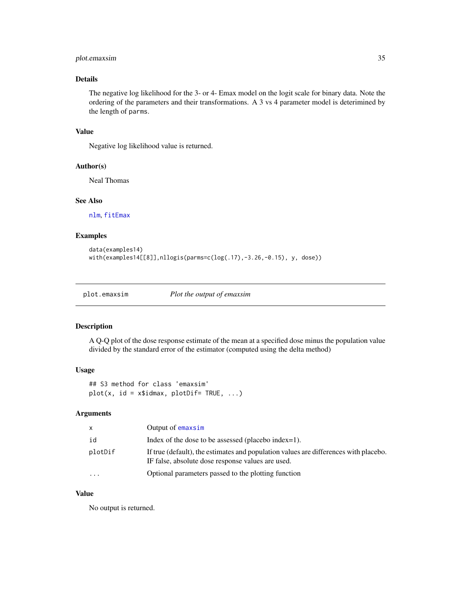## <span id="page-34-0"></span>plot.emaxsim 35

## Details

The negative log likelihood for the 3- or 4- Emax model on the logit scale for binary data. Note the ordering of the parameters and their transformations. A 3 vs 4 parameter model is deterimined by the length of parms.

## Value

Negative log likelihood value is returned.

#### Author(s)

Neal Thomas

#### See Also

[nlm](#page-0-0), [fitEmax](#page-26-1)

## Examples

```
data(examples14)
with(examples14[[8]],nllogis(parms=c(log(.17),-3.26,-0.15), y, dose))
```
<span id="page-34-1"></span>plot.emaxsim *Plot the output of emaxsim*

#### Description

A Q-Q plot of the dose response estimate of the mean at a specified dose minus the population value divided by the standard error of the estimator (computed using the delta method)

#### Usage

## S3 method for class 'emaxsim'  $plot(x, id = x$idmax, plotDir = TRUE, ...)$ 

## Arguments

| X       | Output of emaxsim                                                                                                                         |
|---------|-------------------------------------------------------------------------------------------------------------------------------------------|
| id      | Index of the dose to be assessed (placebo index=1).                                                                                       |
| plotDif | If true (default), the estimates and population values are differences with placebo.<br>IF false, absolute dose response values are used. |
| $\cdot$ | Optional parameters passed to the plotting function                                                                                       |

## Value

No output is returned.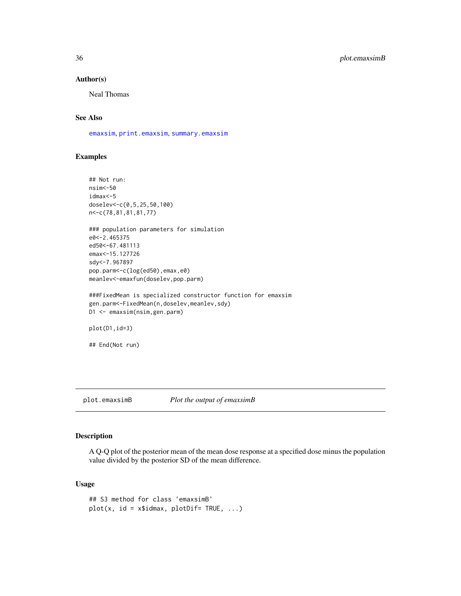## Author(s)

Neal Thomas

## See Also

[emaxsim](#page-16-1), [print.emaxsim](#page-64-1), [summary.emaxsim](#page-79-1)

## Examples

```
## Not run:
nsim<-50
idmax<-5
doselev<-c(0,5,25,50,100)
n<-c(78,81,81,81,77)
### population parameters for simulation
e0<-2.465375
ed50<-67.481113
emax<-15.127726
sdy<-7.967897
pop.parm<-c(log(ed50),emax,e0)
meanlev<-emaxfun(doselev,pop.parm)
###FixedMean is specialized constructor function for emaxsim
gen.parm<-FixedMean(n,doselev,meanlev,sdy)
D1 <- emaxsim(nsim,gen.parm)
plot(D1,id=3)
## End(Not run)
```
<span id="page-35-1"></span>plot.emaxsimB *Plot the output of emaxsimB*

## Description

A Q-Q plot of the posterior mean of the mean dose response at a specified dose minus the population value divided by the posterior SD of the mean difference.

#### Usage

```
## S3 method for class 'emaxsimB'
plot(x, id = x$idmax, plotDir = TRUE, ...)
```
<span id="page-35-0"></span>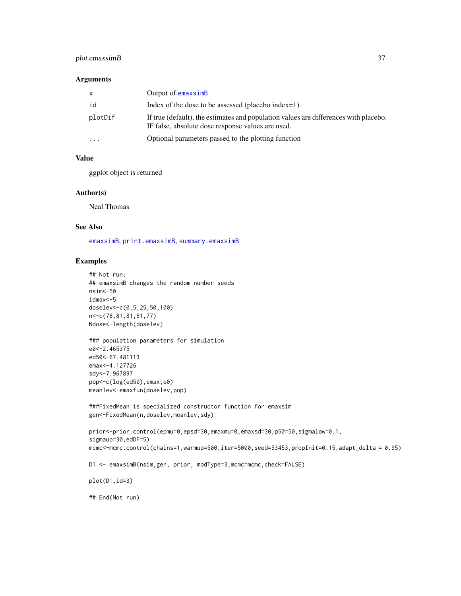### plot.emaxsimB 37

#### Arguments

| X.        | Output of emaxsimB                                                                                                                        |
|-----------|-------------------------------------------------------------------------------------------------------------------------------------------|
| id        | Index of the dose to be assessed (placebo index=1).                                                                                       |
| plotDif   | If true (default), the estimates and population values are differences with placebo.<br>IF false, absolute dose response values are used. |
| $\ddotsc$ | Optional parameters passed to the plotting function                                                                                       |

#### Value

ggplot object is returned

#### Author(s)

Neal Thomas

#### See Also

[emaxsimB](#page-20-0), [print.emaxsimB](#page-65-0), [summary.emaxsimB](#page-80-0)

#### Examples

```
## Not run:
## emaxsimB changes the random number seeds
nsim<-50
idmax<-5
doselev<-c(0,5,25,50,100)
n<-c(78,81,81,81,77)
Ndose<-length(doselev)
### population parameters for simulation
e0<-2.465375
ed50<-67.481113
emax<-4.127726
sdy<-7.967897
pop<-c(log(ed50),emax,e0)
meanlev<-emaxfun(doselev,pop)
###FixedMean is specialized constructor function for emaxsim
gen<-FixedMean(n,doselev,meanlev,sdy)
prior<-prior.control(epmu=0,epsd=30,emaxmu=0,emaxsd=30,p50=50,sigmalow=0.1,
sigmaup=30,edDF=5)
mcmc<-mcmc.control(chains=1,warmup=500,iter=5000,seed=53453,propInit=0.15,adapt_delta = 0.95)
D1 <- emaxsimB(nsim,gen, prior, modType=3,mcmc=mcmc,check=FALSE)
plot(D1,id=3)
## End(Not run)
```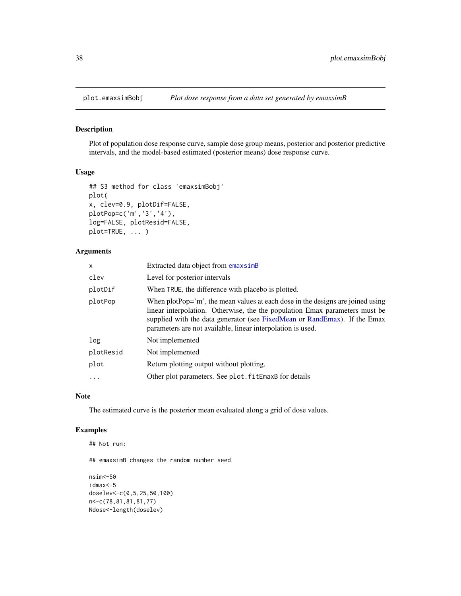#### Description

Plot of population dose response curve, sample dose group means, posterior and posterior predictive intervals, and the model-based estimated (posterior means) dose response curve.

#### Usage

```
## S3 method for class 'emaxsimBobj'
plot(
x, clev=0.9, plotDif=FALSE,
plotPop=c('m','3','4'),
log=FALSE, plotResid=FALSE,
plot=TRUE, ... )
```
#### Arguments

| X          | Extracted data object from emaxsimB                                                                                                                                                                                                                                                                       |
|------------|-----------------------------------------------------------------------------------------------------------------------------------------------------------------------------------------------------------------------------------------------------------------------------------------------------------|
| clev       | Level for posterior intervals                                                                                                                                                                                                                                                                             |
| plotDif    | When TRUE, the difference with placebo is plotted.                                                                                                                                                                                                                                                        |
| plotPop    | When plotPop='m', the mean values at each dose in the designs are joined using<br>linear interpolation. Otherwise, the the population Emax parameters must be<br>supplied with the data generator (see FixedMean or RandEmax). If the Emax<br>parameters are not available, linear interpolation is used. |
| log        | Not implemented                                                                                                                                                                                                                                                                                           |
| plotResid  | Not implemented                                                                                                                                                                                                                                                                                           |
| plot       | Return plotting output without plotting.                                                                                                                                                                                                                                                                  |
| $\ddots$ . | Other plot parameters. See plot. fitEmaxB for details                                                                                                                                                                                                                                                     |
|            |                                                                                                                                                                                                                                                                                                           |

#### Note

The estimated curve is the posterior mean evaluated along a grid of dose values.

### Examples

```
## Not run:
## emaxsimB changes the random number seed
nsim<-50
idmax<-5
doselev<-c(0,5,25,50,100)
n<-c(78,81,81,81,77)
Ndose<-length(doselev)
```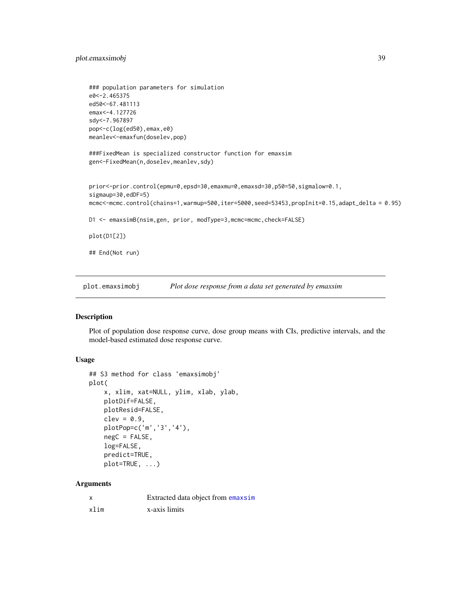### plot.emaxsimobj 39

```
### population parameters for simulation
e0<-2.465375
ed50<-67.481113
emax<-4.127726
sdy<-7.967897
pop<-c(log(ed50),emax,e0)
meanlev<-emaxfun(doselev,pop)
###FixedMean is specialized constructor function for emaxsim
gen<-FixedMean(n,doselev,meanlev,sdy)
prior<-prior.control(epmu=0,epsd=30,emaxmu=0,emaxsd=30,p50=50,sigmalow=0.1,
sigmaup=30,edDF=5)
mcmc<-mcmc.control(chains=1,warmup=500,iter=5000,seed=53453,propInit=0.15,adapt_delta = 0.95)
D1 <- emaxsimB(nsim,gen, prior, modType=3,mcmc=mcmc,check=FALSE)
plot(D1[2])
## End(Not run)
```
<span id="page-38-0"></span>plot.emaxsimobj *Plot dose response from a data set generated by emaxsim*

#### Description

Plot of population dose response curve, dose group means with CIs, predictive intervals, and the model-based estimated dose response curve.

### Usage

```
## S3 method for class 'emaxsimobj'
plot(
    x, xlim, xat=NULL, ylim, xlab, ylab,
    plotDif=FALSE,
    plotResid=FALSE,
    clev = 0.9,
    plotPop=c('m','3','4'),
    negC = FALSE,
    log=FALSE,
    predict=TRUE,
    plot=TRUE, ...)
```
### Arguments

|      | Extracted data object from emaxsim |
|------|------------------------------------|
| xlim | x-axis limits                      |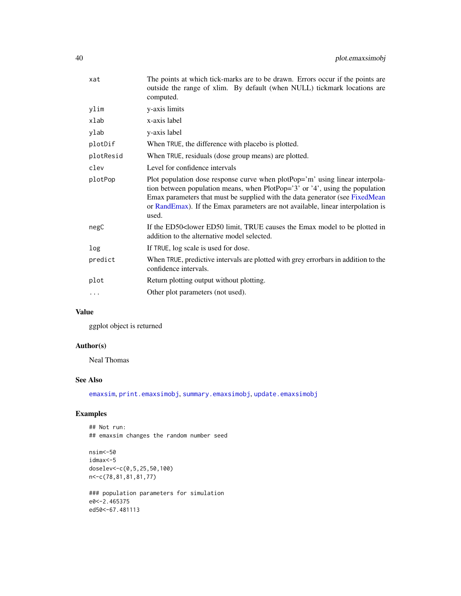| xat       | The points at which tick-marks are to be drawn. Errors occur if the points are<br>outside the range of xlim. By default (when NULL) tickmark locations are<br>computed.                                                                                                                                                                  |
|-----------|------------------------------------------------------------------------------------------------------------------------------------------------------------------------------------------------------------------------------------------------------------------------------------------------------------------------------------------|
| ylim      | y-axis limits                                                                                                                                                                                                                                                                                                                            |
| xlab      | x-axis label                                                                                                                                                                                                                                                                                                                             |
| ylab      | y-axis label                                                                                                                                                                                                                                                                                                                             |
| plotDif   | When TRUE, the difference with placebo is plotted.                                                                                                                                                                                                                                                                                       |
| plotResid | When TRUE, residuals (dose group means) are plotted.                                                                                                                                                                                                                                                                                     |
| clev      | Level for confidence intervals                                                                                                                                                                                                                                                                                                           |
| plotPop   | Plot population dose response curve when plotPop='m' using linear interpola-<br>tion between population means, when PlotPop='3' or '4', using the population<br>Emax parameters that must be supplied with the data generator (see FixedMean<br>or RandEmax). If the Emax parameters are not available, linear interpolation is<br>used. |
| negC      | If the ED50 <lower be="" causes="" ed50="" emax="" in<br="" limit,="" model="" plotted="" the="" to="" true="">addition to the alternative model selected.</lower>                                                                                                                                                                       |
| log       | If TRUE, log scale is used for dose.                                                                                                                                                                                                                                                                                                     |
| predict   | When TRUE, predictive intervals are plotted with grey errorbars in addition to the<br>confidence intervals.                                                                                                                                                                                                                              |
| plot      | Return plotting output without plotting.                                                                                                                                                                                                                                                                                                 |
| .         | Other plot parameters (not used).                                                                                                                                                                                                                                                                                                        |

### Value

ggplot object is returned

### Author(s)

Neal Thomas

### See Also

[emaxsim](#page-16-0), [print.emaxsimobj](#page-67-0), [summary.emaxsimobj](#page-83-0), [update.emaxsimobj](#page-89-0)

### Examples

## Not run: ## emaxsim changes the random number seed

nsim<-50 idmax<-5 doselev<-c(0,5,25,50,100) n<-c(78,81,81,81,77)

### population parameters for simulation e0<-2.465375 ed50<-67.481113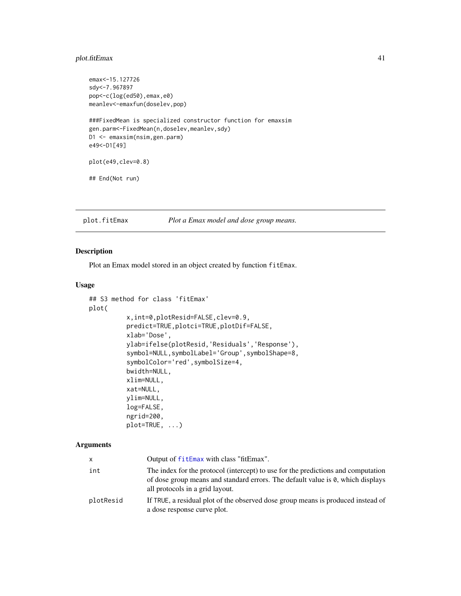### plot.fitEmax 41

```
emax<-15.127726
sdy<-7.967897
pop<-c(log(ed50),emax,e0)
meanlev<-emaxfun(doselev,pop)
###FixedMean is specialized constructor function for emaxsim
gen.parm<-FixedMean(n,doselev,meanlev,sdy)
D1 <- emaxsim(nsim,gen.parm)
e49<-D1[49]
plot(e49,clev=0.8)
## End(Not run)
```
<span id="page-40-0"></span>plot.fitEmax *Plot a Emax model and dose group means.*

## Description

Plot an Emax model stored in an object created by function fitEmax.

### Usage

```
## S3 method for class 'fitEmax'
plot(
          x,int=0,plotResid=FALSE,clev=0.9,
          predict=TRUE,plotci=TRUE,plotDif=FALSE,
          xlab='Dose',
          ylab=ifelse(plotResid,'Residuals','Response'),
          symbol=NULL,symbolLabel='Group',symbolShape=8,
          symbolColor='red',symbolSize=4,
          bwidth=NULL,
          xlim=NULL,
          xat=NULL,
          ylim=NULL,
          log=FALSE,
          ngrid=200,
          plot=TRUE, ...)
```
#### Arguments

| x         | Output of fitEmax with class "fitEmax".                                                                                                                                                                 |
|-----------|---------------------------------------------------------------------------------------------------------------------------------------------------------------------------------------------------------|
| int       | The index for the protocol (intercept) to use for the predictions and computation<br>of dose group means and standard errors. The default value is 0, which displays<br>all protocols in a grid layout. |
| plotResid | If TRUE, a residual plot of the observed dose group means is produced instead of<br>a dose response curve plot.                                                                                         |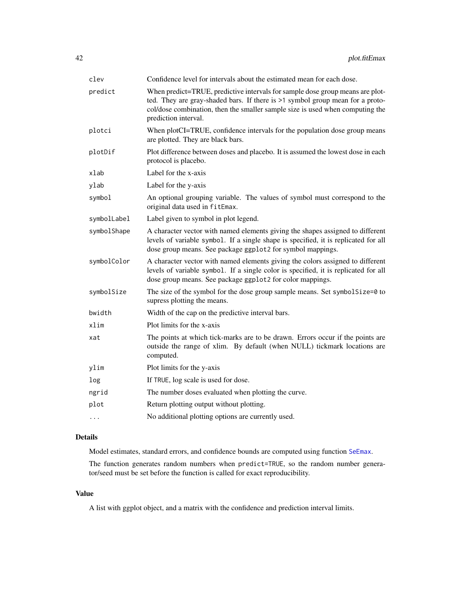| clev        | Confidence level for intervals about the estimated mean for each dose.                                                                                                                                                                                                  |
|-------------|-------------------------------------------------------------------------------------------------------------------------------------------------------------------------------------------------------------------------------------------------------------------------|
| predict     | When predict=TRUE, predictive intervals for sample dose group means are plot-<br>ted. They are gray-shaded bars. If there is >1 symbol group mean for a proto-<br>col/dose combination, then the smaller sample size is used when computing the<br>prediction interval. |
| plotci      | When plotCI=TRUE, confidence intervals for the population dose group means<br>are plotted. They are black bars.                                                                                                                                                         |
| plotDif     | Plot difference between doses and placebo. It is assumed the lowest dose in each<br>protocol is placebo.                                                                                                                                                                |
| xlab        | Label for the x-axis                                                                                                                                                                                                                                                    |
| ylab        | Label for the y-axis                                                                                                                                                                                                                                                    |
| symbol      | An optional grouping variable. The values of symbol must correspond to the<br>original data used in fitEmax.                                                                                                                                                            |
| symbolLabel | Label given to symbol in plot legend.                                                                                                                                                                                                                                   |
| symbolShape | A character vector with named elements giving the shapes assigned to different<br>levels of variable symbol. If a single shape is specified, it is replicated for all<br>dose group means. See package ggplot2 for symbol mappings.                                     |
| symbolColor | A character vector with named elements giving the colors assigned to different<br>levels of variable symbol. If a single color is specified, it is replicated for all<br>dose group means. See package ggplot2 for color mappings.                                      |
| symbolSize  | The size of the symbol for the dose group sample means. Set symbol Size=0 to<br>supress plotting the means.                                                                                                                                                             |
| bwidth      | Width of the cap on the predictive interval bars.                                                                                                                                                                                                                       |
| xlim        | Plot limits for the x-axis                                                                                                                                                                                                                                              |
| xat         | The points at which tick-marks are to be drawn. Errors occur if the points are<br>outside the range of xlim. By default (when NULL) tickmark locations are<br>computed.                                                                                                 |
| ylim        | Plot limits for the y-axis                                                                                                                                                                                                                                              |
| log         | If TRUE, log scale is used for dose.                                                                                                                                                                                                                                    |
| ngrid       | The number doses evaluated when plotting the curve.                                                                                                                                                                                                                     |
| plot        | Return plotting output without plotting.                                                                                                                                                                                                                                |
| .           | No additional plotting options are currently used.                                                                                                                                                                                                                      |

## Details

Model estimates, standard errors, and confidence bounds are computed using function [SeEmax](#page-73-0).

The function generates random numbers when predict=TRUE, so the random number generator/seed must be set before the function is called for exact reproducibility.

## Value

A list with ggplot object, and a matrix with the confidence and prediction interval limits.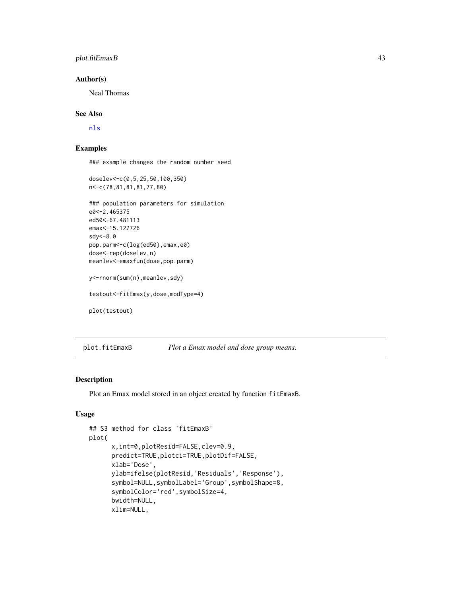### plot.fitEmaxB 43

#### Author(s)

Neal Thomas

### See Also

[nls](#page-0-0)

## Examples

### example changes the random number seed

```
doselev<-c(0,5,25,50,100,350)
n<-c(78,81,81,81,77,80)
### population parameters for simulation
e0<-2.465375
ed50<-67.481113
emax<-15.127726
sdy<-8.0
pop.parm<-c(log(ed50),emax,e0)
dose<-rep(doselev,n)
meanlev<-emaxfun(dose,pop.parm)
y<-rnorm(sum(n),meanlev,sdy)
testout<-fitEmax(y,dose,modType=4)
plot(testout)
```
plot.fitEmaxB *Plot a Emax model and dose group means.*

#### Description

Plot an Emax model stored in an object created by function fitEmaxB.

### Usage

```
## S3 method for class 'fitEmaxB'
plot(
     x,int=0,plotResid=FALSE,clev=0.9,
     predict=TRUE,plotci=TRUE,plotDif=FALSE,
     xlab='Dose',
     ylab=ifelse(plotResid,'Residuals','Response'),
     symbol=NULL,symbolLabel='Group',symbolShape=8,
     symbolColor='red',symbolSize=4,
     bwidth=NULL,
     xlim=NULL,
```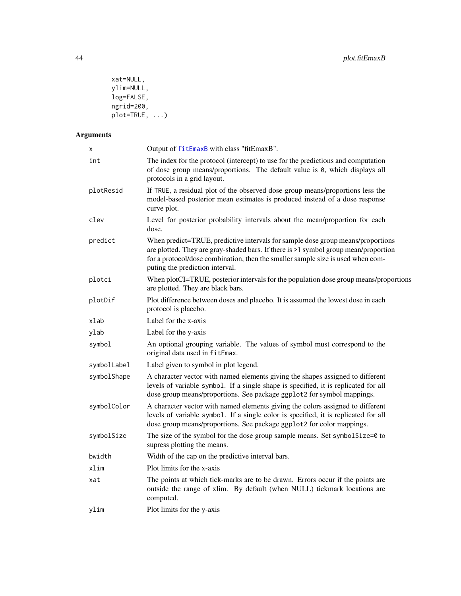```
xat=NULL,
ylim=NULL,
log=FALSE,
ngrid=200,
plot=TRUE, ...)
```
# Arguments

| Χ           | Output of fitEmaxB with class "fitEmaxB".                                                                                                                                                                                                                                                    |
|-------------|----------------------------------------------------------------------------------------------------------------------------------------------------------------------------------------------------------------------------------------------------------------------------------------------|
| int         | The index for the protocol (intercept) to use for the predictions and computation<br>of dose group means/proportions. The default value is 0, which displays all<br>protocols in a grid layout.                                                                                              |
| plotResid   | If TRUE, a residual plot of the observed dose group means/proportions less the<br>model-based posterior mean estimates is produced instead of a dose response<br>curve plot.                                                                                                                 |
| clev        | Level for posterior probability intervals about the mean/proportion for each<br>dose.                                                                                                                                                                                                        |
| predict     | When predict=TRUE, predictive intervals for sample dose group means/proportions<br>are plotted. They are gray-shaded bars. If there is >1 symbol group mean/proportion<br>for a protocol/dose combination, then the smaller sample size is used when com-<br>puting the prediction interval. |
| plotci      | When plotCI=TRUE, posterior intervals for the population dose group means/proportions<br>are plotted. They are black bars.                                                                                                                                                                   |
| plotDif     | Plot difference between doses and placebo. It is assumed the lowest dose in each<br>protocol is placebo.                                                                                                                                                                                     |
| xlab        | Label for the x-axis                                                                                                                                                                                                                                                                         |
| ylab        | Label for the y-axis                                                                                                                                                                                                                                                                         |
| symbol      | An optional grouping variable. The values of symbol must correspond to the<br>original data used in fitEmax.                                                                                                                                                                                 |
| symbolLabel | Label given to symbol in plot legend.                                                                                                                                                                                                                                                        |
| symbolShape | A character vector with named elements giving the shapes assigned to different<br>levels of variable symbol. If a single shape is specified, it is replicated for all<br>dose group means/proportions. See package ggplot2 for symbol mappings.                                              |
| symbolColor | A character vector with named elements giving the colors assigned to different<br>levels of variable symbol. If a single color is specified, it is replicated for all<br>dose group means/proportions. See package ggplot2 for color mappings.                                               |
| symbolSize  | The size of the symbol for the dose group sample means. Set symbol Size=0 to<br>supress plotting the means.                                                                                                                                                                                  |
| bwidth      | Width of the cap on the predictive interval bars.                                                                                                                                                                                                                                            |
| xlim        | Plot limits for the x-axis                                                                                                                                                                                                                                                                   |
| xat         | The points at which tick-marks are to be drawn. Errors occur if the points are<br>outside the range of xlim. By default (when NULL) tickmark locations are<br>computed.                                                                                                                      |
| ylim        | Plot limits for the y-axis                                                                                                                                                                                                                                                                   |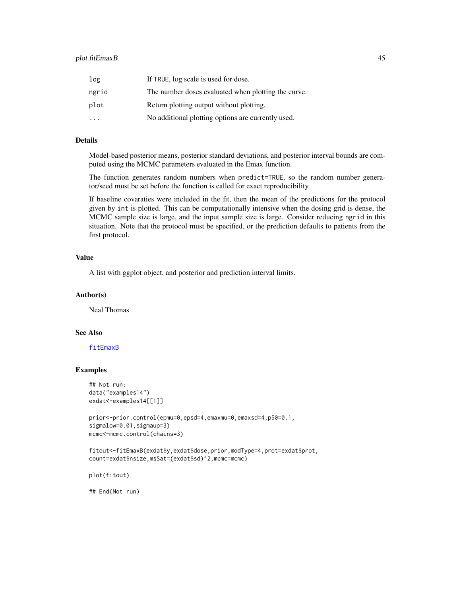| log                     | If TRUE, log scale is used for dose.                |
|-------------------------|-----------------------------------------------------|
| ngrid                   | The number doses evaluated when plotting the curve. |
| plot                    | Return plotting output without plotting.            |
| $\cdot$ $\cdot$ $\cdot$ | No additional plotting options are currently used.  |

### Details

Model-based posterior means, posterior standard deviations, and posterior interval bounds are computed using the MCMC parameters evaluated in the Emax function.

The function generates random numbers when predict=TRUE, so the random number generator/seed must be set before the function is called for exact reproducibility.

If baseline covaraties were included in the fit, then the mean of the predictions for the protocol given by int is plotted. This can be computationally intensive when the dosing grid is dense, the MCMC sample size is large, and the input sample size is large. Consider reducing ngrid in this situation. Note that the protocol must be specified, or the prediction defaults to patients from the first protocol.

### Value

A list with ggplot object, and posterior and prediction interval limits.

### Author(s)

Neal Thomas

### See Also

#### [fitEmaxB](#page-28-0)

### Examples

```
## Not run:
data("examples14")
exdat<-examples14[[1]]
```

```
prior<-prior.control(epmu=0,epsd=4,emaxmu=0,emaxsd=4,p50=0.1,
sigmalow=0.01, sigmaup=3)
mcmc<-mcmc.control(chains=3)
```

```
fitout<-fitEmaxB(exdat$y,exdat$dose,prior,modType=4,prot=exdat$prot,
count=exdat$nsize,msSat=(exdat$sd)^2,mcmc=mcmc)
```
plot(fitout)

## End(Not run)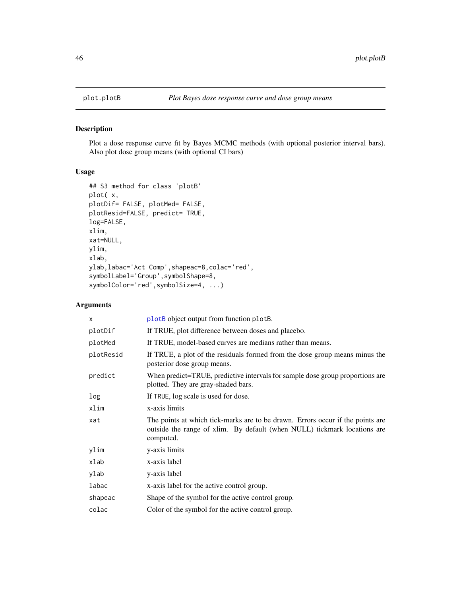### Description

Plot a dose response curve fit by Bayes MCMC methods (with optional posterior interval bars). Also plot dose group means (with optional CI bars)

## Usage

```
## S3 method for class 'plotB'
plot( x,
plotDif= FALSE, plotMed= FALSE,
plotResid=FALSE, predict= TRUE,
log=FALSE,
xlim,
xat=NULL,
ylim,
xlab,
ylab,labac='Act Comp',shapeac=8,colac='red',
symbolLabel='Group',symbolShape=8,
symbolColor='red',symbolSize=4, ...)
```
### Arguments

| X         | plot <sub>B</sub> object output from function plot <sub>B</sub> .                                                                                                       |
|-----------|-------------------------------------------------------------------------------------------------------------------------------------------------------------------------|
| plotDif   | If TRUE, plot difference between doses and placebo.                                                                                                                     |
| plotMed   | If TRUE, model-based curves are medians rather than means.                                                                                                              |
| plotResid | If TRUE, a plot of the residuals formed from the dose group means minus the<br>posterior dose group means.                                                              |
| predict   | When predict=TRUE, predictive intervals for sample dose group proportions are<br>plotted. They are gray-shaded bars.                                                    |
| log       | If TRUE, log scale is used for dose.                                                                                                                                    |
| xlim      | x-axis limits                                                                                                                                                           |
| xat       | The points at which tick-marks are to be drawn. Errors occur if the points are<br>outside the range of xlim. By default (when NULL) tickmark locations are<br>computed. |
| ylim      | y-axis limits                                                                                                                                                           |
| xlab      | x-axis label                                                                                                                                                            |
| ylab      | y-axis label                                                                                                                                                            |
| labac     | x-axis label for the active control group.                                                                                                                              |
| shapeac   | Shape of the symbol for the active control group.                                                                                                                       |
| colac     | Color of the symbol for the active control group.                                                                                                                       |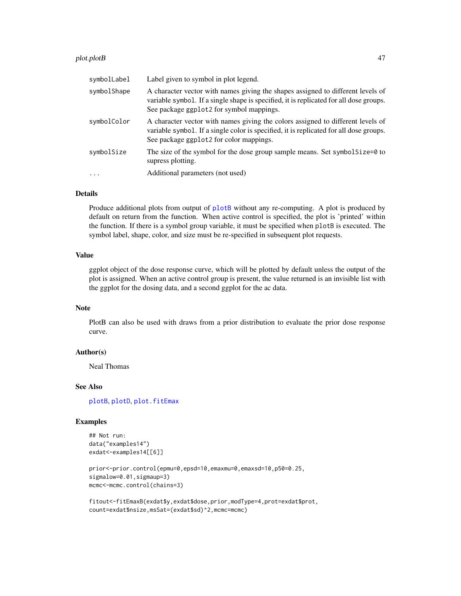#### plot.plotB 47

| symbolLabel | Label given to symbol in plot legend.                                                                                                                                                                                 |
|-------------|-----------------------------------------------------------------------------------------------------------------------------------------------------------------------------------------------------------------------|
| symbolShape | A character vector with names giving the shapes assigned to different levels of<br>variable symbol. If a single shape is specified, it is replicated for all dose groups.<br>See package ggplot2 for symbol mappings. |
| symbolColor | A character vector with names giving the colors assigned to different levels of<br>variable symbol. If a single color is specified, it is replicated for all dose groups.<br>See package ggplot2 for color mappings.  |
| symbolSize  | The size of the symbol for the dose group sample means. Set symbolsize=0 to<br>supress plotting.                                                                                                                      |
| $\ddots$    | Additional parameters (not used)                                                                                                                                                                                      |

#### Details

Produce additional plots from output of [plotB](#page-47-0) without any re-computing. A plot is produced by default on return from the function. When active control is specified, the plot is 'printed' within the function. If there is a symbol group variable, it must be specified when plotB is executed. The symbol label, shape, color, and size must be re-specified in subsequent plot requests.

## Value

ggplot object of the dose response curve, which will be plotted by default unless the output of the plot is assigned. When an active control group is present, the value returned is an invisible list with the ggplot for the dosing data, and a second ggplot for the ac data.

#### Note

PlotB can also be used with draws from a prior distribution to evaluate the prior dose response curve.

### Author(s)

Neal Thomas

#### See Also

[plotB](#page-47-0), [plotD](#page-52-0), [plot.fitEmax](#page-40-0)

#### Examples

```
## Not run:
data("examples14")
exdat<-examples14[[6]]
```

```
prior<-prior.control(epmu=0,epsd=10,emaxmu=0,emaxsd=10,p50=0.25,
sigmalow=0.01, sigmaup=3)
mcmc<-mcmc.control(chains=3)
```
fitout<-fitEmaxB(exdat\$y,exdat\$dose,prior,modType=4,prot=exdat\$prot, count=exdat\$nsize,msSat=(exdat\$sd)^2,mcmc=mcmc)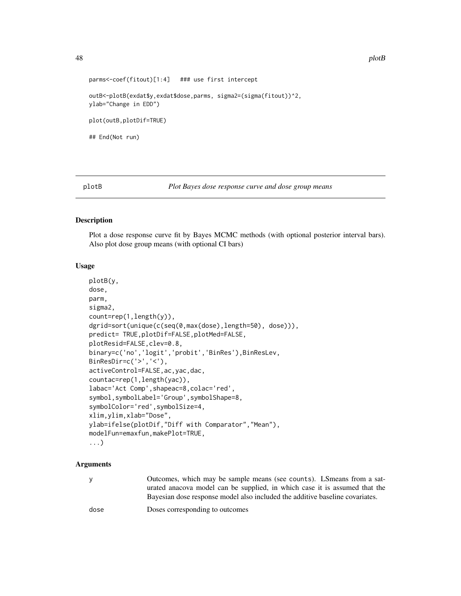```
parms<-coef(fitout)[1:4] ### use first intercept
outB<-plotB(exdat$y,exdat$dose,parms, sigma2=(sigma(fitout))^2,
ylab="Change in EDD")
plot(outB,plotDif=TRUE)
## End(Not run)
```
<span id="page-47-0"></span>

plotB *Plot Bayes dose response curve and dose group means*

#### Description

Plot a dose response curve fit by Bayes MCMC methods (with optional posterior interval bars). Also plot dose group means (with optional CI bars)

#### Usage

```
plotB(y,
dose,
parm,
sigma2,
count=rep(1,length(y)),
dgrid=sort(unique(c(seq(0,max(dose),length=50), dose))),
predict= TRUE,plotDif=FALSE,plotMed=FALSE,
plotResid=FALSE,clev=0.8,
binary=c('no','logit','probit','BinRes'),BinResLev,
BinResDir=c('>','<'),
activeControl=FALSE,ac,yac,dac,
countac=rep(1,length(yac)),
labac='Act Comp',shapeac=8,colac='red',
symbol,symbolLabel='Group',symbolShape=8,
symbolColor='red',symbolSize=4,
xlim,ylim,xlab="Dose",
ylab=ifelse(plotDif,"Diff with Comparator","Mean"),
modelFun=emaxfun,makePlot=TRUE,
...)
```
#### Arguments

y Outcomes, which may be sample means (see counts). LSmeans from a saturated anacova model can be supplied, in which case it is assumed that the Bayesian dose response model also included the additive baseline covariates.

dose Doses corresponding to outcomes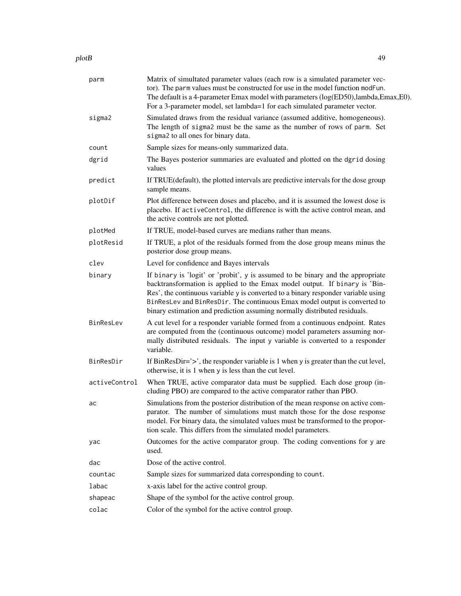#### plotB and the set of the set of the set of the set of the set of the set of the set of the set of the set of the set of the set of the set of the set of the set of the set of the set of the set of the set of the set of the

| parm          | Matrix of simultated parameter values (each row is a simulated parameter vec-<br>tor). The parm values must be constructed for use in the model function modFun.<br>The default is a 4-parameter Emax model with parameters (log(ED50),lambda,Emax,E0).<br>For a 3-parameter model, set lambda=1 for each simulated parameter vector.                                                                        |
|---------------|--------------------------------------------------------------------------------------------------------------------------------------------------------------------------------------------------------------------------------------------------------------------------------------------------------------------------------------------------------------------------------------------------------------|
| sigma2        | Simulated draws from the residual variance (assumed additive, homogeneous).<br>The length of sigma2 must be the same as the number of rows of parm. Set<br>sigma2 to all ones for binary data.                                                                                                                                                                                                               |
| count         | Sample sizes for means-only summarized data.                                                                                                                                                                                                                                                                                                                                                                 |
| dgrid         | The Bayes posterior summaries are evaluated and plotted on the dgrid dosing<br>values                                                                                                                                                                                                                                                                                                                        |
| predict       | If TRUE (default), the plotted intervals are predictive intervals for the dose group<br>sample means.                                                                                                                                                                                                                                                                                                        |
| plotDif       | Plot difference between doses and placebo, and it is assumed the lowest dose is<br>placebo. If activeControl, the difference is with the active control mean, and<br>the active controls are not plotted.                                                                                                                                                                                                    |
| plotMed       | If TRUE, model-based curves are medians rather than means.                                                                                                                                                                                                                                                                                                                                                   |
| plotResid     | If TRUE, a plot of the residuals formed from the dose group means minus the<br>posterior dose group means.                                                                                                                                                                                                                                                                                                   |
| clev          | Level for confidence and Bayes intervals                                                                                                                                                                                                                                                                                                                                                                     |
| binary        | If binary is 'logit' or 'probit', y is assumed to be binary and the appropriate<br>backtransformation is applied to the Emax model output. If binary is 'Bin-<br>Res', the continuous variable y is converted to a binary responder variable using<br>BinResLev and BinResDir. The continuous Emax model output is converted to<br>binary estimation and prediction assuming normally distributed residuals. |
| BinResLev     | A cut level for a responder variable formed from a continuous endpoint. Rates<br>are computed from the (continuous outcome) model parameters assuming nor-<br>mally distributed residuals. The input y variable is converted to a responder<br>variable.                                                                                                                                                     |
| BinResDir     | If BinResDir='>', the responder variable is 1 when y is greater than the cut level,<br>otherwise, it is 1 when y is less than the cut level.                                                                                                                                                                                                                                                                 |
| activeControl | When TRUE, active comparator data must be supplied. Each dose group (in-<br>cluding PBO) are compared to the active comparator rather than PBO.                                                                                                                                                                                                                                                              |
| ac            | Simulations from the posterior distribution of the mean response on active com-<br>parator. The number of simulations must match those for the dose response<br>model. For binary data, the simulated values must be transformed to the propor-<br>tion scale. This differs from the simulated model parameters.                                                                                             |
| yac           | Outcomes for the active comparator group. The coding conventions for y are<br>used.                                                                                                                                                                                                                                                                                                                          |
| dac           | Dose of the active control.                                                                                                                                                                                                                                                                                                                                                                                  |
| countac       | Sample sizes for summarized data corresponding to count.                                                                                                                                                                                                                                                                                                                                                     |
| labac         | x-axis label for the active control group.                                                                                                                                                                                                                                                                                                                                                                   |
| shapeac       | Shape of the symbol for the active control group.                                                                                                                                                                                                                                                                                                                                                            |
| colac         | Color of the symbol for the active control group.                                                                                                                                                                                                                                                                                                                                                            |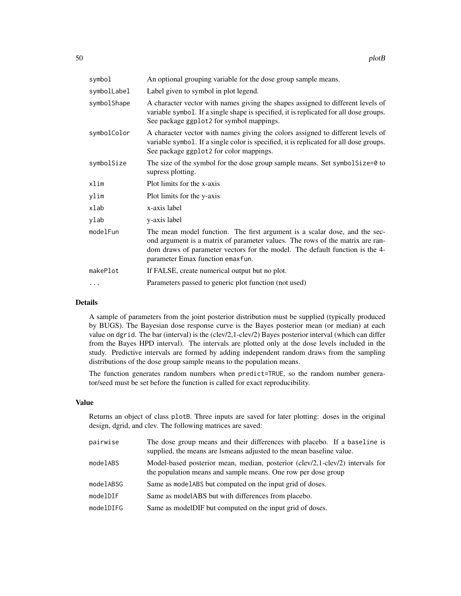| symbol      | An optional grouping variable for the dose group sample means.                                                                                                                                                                                                                  |
|-------------|---------------------------------------------------------------------------------------------------------------------------------------------------------------------------------------------------------------------------------------------------------------------------------|
| symbolLabel | Label given to symbol in plot legend.                                                                                                                                                                                                                                           |
| symbolShape | A character vector with names giving the shapes assigned to different levels of<br>variable symbol. If a single shape is specified, it is replicated for all dose groups.<br>See package ggplot2 for symbol mappings.                                                           |
| symbolColor | A character vector with names giving the colors assigned to different levels of<br>variable symbol. If a single color is specified, it is replicated for all dose groups.<br>See package ggplot2 for color mappings.                                                            |
| symbolSize  | The size of the symbol for the dose group sample means. Set symbolSize=0 to<br>supress plotting.                                                                                                                                                                                |
| xlim        | Plot limits for the x-axis                                                                                                                                                                                                                                                      |
| ylim        | Plot limits for the y-axis                                                                                                                                                                                                                                                      |
| xlab        | x-axis label                                                                                                                                                                                                                                                                    |
| ylab        | y-axis label                                                                                                                                                                                                                                                                    |
| modelFun    | The mean model function. The first argument is a scalar dose, and the sec-<br>ond argument is a matrix of parameter values. The rows of the matrix are ran-<br>dom draws of parameter vectors for the model. The default function is the 4-<br>parameter Emax function emaxfun. |
| makePlot    | If FALSE, create numerical output but no plot.                                                                                                                                                                                                                                  |
| .           | Parameters passed to generic plot function (not used)                                                                                                                                                                                                                           |

### Details

A sample of parameters from the joint posterior distribution must be supplied (typically produced by BUGS). The Bayesian dose response curve is the Bayes posterior mean (or median) at each value on dgrid. The bar (interval) is the (clev/2,1-clev/2) Bayes posterior interval (which can differ from the Bayes HPD interval). The intervals are plotted only at the dose levels included in the study. Predictive intervals are formed by adding independent random draws from the sampling distributions of the dose group sample means to the population means.

The function generates random numbers when predict=TRUE, so the random number generator/seed must be set before the function is called for exact reproducibility.

#### Value

Returns an object of class plotB. Three inputs are saved for later plotting: doses in the original design, dgrid, and clev. The following matrices are saved:

| pairwise  | The dose group means and their differences with placebo. If a baseline is<br>supplied, the means are Ismeans adjusted to the mean baseline value. |
|-----------|---------------------------------------------------------------------------------------------------------------------------------------------------|
| modelABS  | Model-based posterior mean, median, posterior (clev/2,1-clev/2) intervals for<br>the population means and sample means. One row per dose group    |
| modelABSG | Same as modelared but computed on the input grid of doses.                                                                                        |
| modelDIF  | Same as modelABS but with differences from placebo.                                                                                               |
| modelDIFG | Same as modelDIF but computed on the input grid of doses.                                                                                         |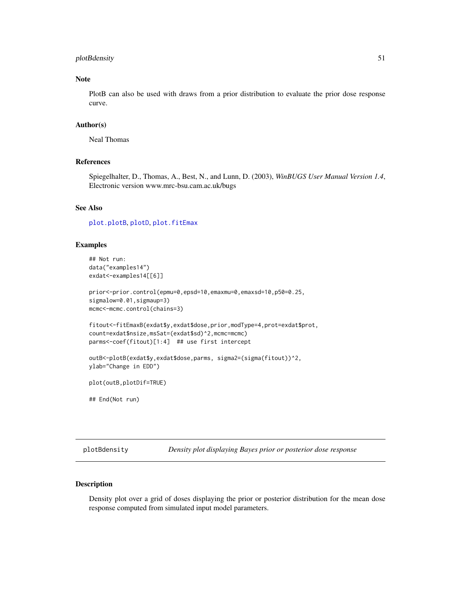### plotBdensity 51

### Note

PlotB can also be used with draws from a prior distribution to evaluate the prior dose response curve.

#### Author(s)

Neal Thomas

## References

Spiegelhalter, D., Thomas, A., Best, N., and Lunn, D. (2003), *WinBUGS User Manual Version 1.4*, Electronic version www.mrc-bsu.cam.ac.uk/bugs

#### See Also

[plot.plotB](#page-45-0), [plotD](#page-52-0), [plot.fitEmax](#page-40-0)

## Examples

```
## Not run:
data("examples14")
exdat<-examples14[[6]]
prior<-prior.control(epmu=0,epsd=10,emaxmu=0,emaxsd=10,p50=0.25,
```

```
sigmalow=0.01, sigmaup=3)
mcmc<-mcmc.control(chains=3)
```

```
fitout<-fitEmaxB(exdat$y,exdat$dose,prior,modType=4,prot=exdat$prot,
count=exdat$nsize,msSat=(exdat$sd)^2,mcmc=mcmc)
parms<-coef(fitout)[1:4] ## use first intercept
```

```
outB<-plotB(exdat$y,exdat$dose,parms, sigma2=(sigma(fitout))^2,
ylab="Change in EDD")
```

```
plot(outB,plotDif=TRUE)
```
## End(Not run)

plotBdensity *Density plot displaying Bayes prior or posterior dose response*

## Description

Density plot over a grid of doses displaying the prior or posterior distribution for the mean dose response computed from simulated input model parameters.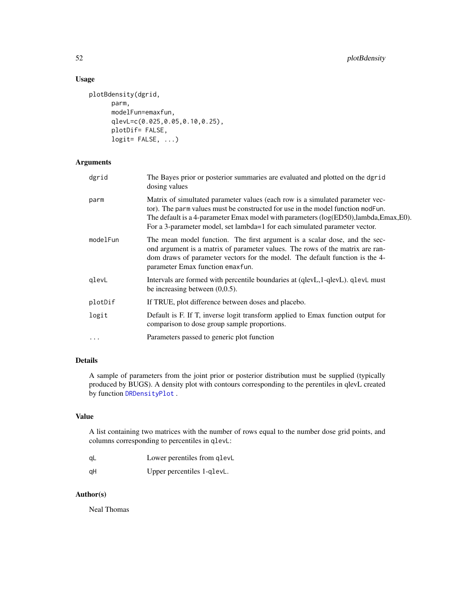## Usage

```
plotBdensity(dgrid,
      parm,
      modelFun=emaxfun,
      qlevL=c(0.025,0.05,0.10,0.25),
      plotDif= FALSE,
      logit= FALSE, ...)
```
## Arguments

| dgrid      | The Bayes prior or posterior summaries are evaluated and plotted on the dgrid<br>dosing values                                                                                                                                                                                                                                        |
|------------|---------------------------------------------------------------------------------------------------------------------------------------------------------------------------------------------------------------------------------------------------------------------------------------------------------------------------------------|
| parm       | Matrix of simultated parameter values (each row is a simulated parameter vec-<br>tor). The parm values must be constructed for use in the model function modFun.<br>The default is a 4-parameter Emax model with parameters (log(ED50),lambda,Emax,E0).<br>For a 3-parameter model, set lambda=1 for each simulated parameter vector. |
| modelFun   | The mean model function. The first argument is a scalar dose, and the sec-<br>ond argument is a matrix of parameter values. The rows of the matrix are ran-<br>dom draws of parameter vectors for the model. The default function is the 4-<br>parameter Emax function emaxfun.                                                       |
| glevL      | Intervals are formed with percentile boundaries at (qlevL, 1-qlevL). qlevL must<br>be increasing between $(0,0.5)$ .                                                                                                                                                                                                                  |
| plotDif    | If TRUE, plot difference between doses and placebo.                                                                                                                                                                                                                                                                                   |
| logit      | Default is F. If T, inverse logit transform applied to Emax function output for<br>comparison to dose group sample proportions.                                                                                                                                                                                                       |
| $\ddots$ . | Parameters passed to generic plot function                                                                                                                                                                                                                                                                                            |
|            |                                                                                                                                                                                                                                                                                                                                       |

## Details

A sample of parameters from the joint prior or posterior distribution must be supplied (typically produced by BUGS). A density plot with contours corresponding to the perentiles in qlevL created by function [DRDensityPlot](#page-11-0) .

#### Value

A list containing two matrices with the number of rows equal to the number dose grid points, and columns corresponding to percentiles in qlevL:

| -qL | Lower perentiles from glevL |
|-----|-----------------------------|
| αH  | Upper percentiles 1-qlevL.  |

#### Author(s)

Neal Thomas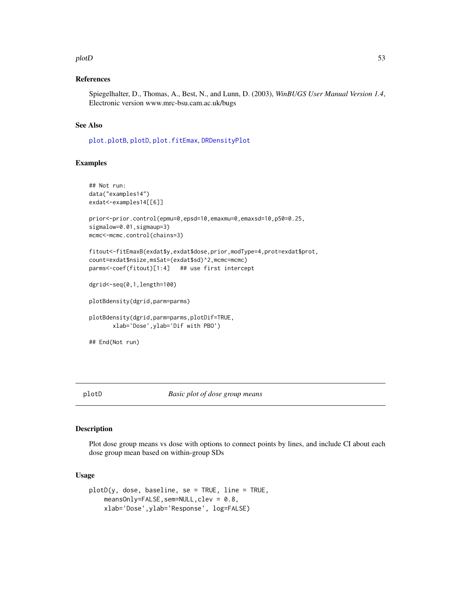#### $p$ lotD 53

#### References

Spiegelhalter, D., Thomas, A., Best, N., and Lunn, D. (2003), *WinBUGS User Manual Version 1.4*, Electronic version www.mrc-bsu.cam.ac.uk/bugs

#### See Also

[plot.plotB](#page-45-0), [plotD](#page-52-0), [plot.fitEmax](#page-40-0), [DRDensityPlot](#page-11-0)

#### Examples

```
## Not run:
data("examples14")
exdat<-examples14[[6]]
prior<-prior.control(epmu=0,epsd=10,emaxmu=0,emaxsd=10,p50=0.25,
sigmalow=0.01, sigmaup=3)
mcmc<-mcmc.control(chains=3)
fitout<-fitEmaxB(exdat$y,exdat$dose,prior,modType=4,prot=exdat$prot,
count=exdat$nsize,msSat=(exdat$sd)^2,mcmc=mcmc)
parms<-coef(fitout)[1:4] ## use first intercept
dgrid<-seq(0,1,length=100)
plotBdensity(dgrid,parm=parms)
plotBdensity(dgrid,parm=parms,plotDif=TRUE,
      xlab='Dose',ylab='Dif with PBO')
## End(Not run)
```
<span id="page-52-0"></span>plotD *Basic plot of dose group means*

#### Description

Plot dose group means vs dose with options to connect points by lines, and include CI about each dose group mean based on within-group SDs

#### Usage

```
plotD(y, dose, baseline, se = TRUE, line = TRUE,
    meansOnly=FALSE, sem=NULL, clev = 0.8,
    xlab='Dose',ylab='Response', log=FALSE)
```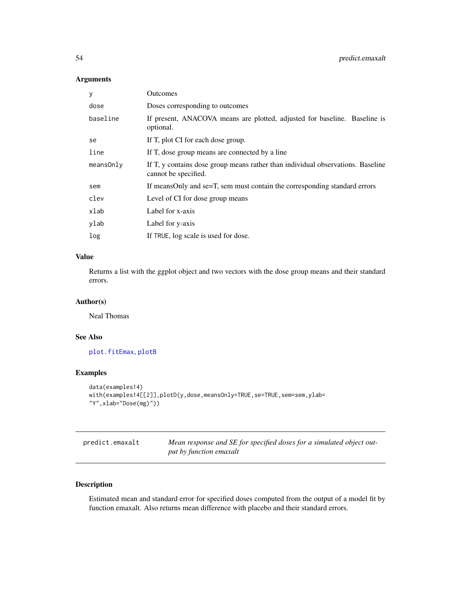### Arguments

| У            | <b>Outcomes</b>                                                                                         |
|--------------|---------------------------------------------------------------------------------------------------------|
| dose         | Doses corresponding to outcomes                                                                         |
| baseline     | If present, ANACOVA means are plotted, adjusted for baseline. Baseline is<br>optional.                  |
| se           | If T, plot CI for each dose group.                                                                      |
| line         | If T, dose group means are connected by a line                                                          |
| $mean$ SOnly | If T, y contains dose group means rather than individual observations. Baseline<br>cannot be specified. |
| sem          | If meansOnly and se=T, sem must contain the corresponding standard errors                               |
| clev         | Level of CI for dose group means                                                                        |
| xlab         | Label for x-axis                                                                                        |
| ylab         | Label for y-axis                                                                                        |
| log          | If TRUE, log scale is used for dose.                                                                    |

## Value

Returns a list with the ggplot object and two vectors with the dose group means and their standard errors.

### Author(s)

Neal Thomas

## See Also

[plot.fitEmax](#page-40-0), [plotB](#page-47-0)

## Examples

```
data(examples14)
with(examples14[[2]],plotD(y,dose,meansOnly=TRUE,se=TRUE,sem=sem,ylab=
"Y",xlab="Dose(mg)"))
```

| predict.emaxalt | Mean response and SE for specified doses for a simulated object out- |
|-----------------|----------------------------------------------------------------------|
|                 | put by function emaxalt                                              |

## Description

Estimated mean and standard error for specified doses computed from the output of a model fit by function emaxalt. Also returns mean difference with placebo and their standard errors.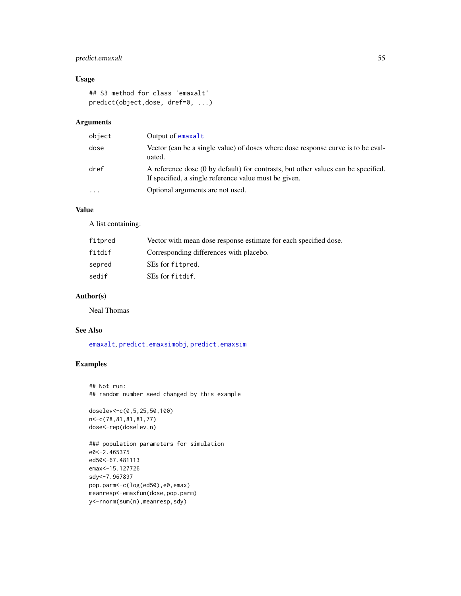### predict.emaxalt 55

## Usage

```
## S3 method for class 'emaxalt'
predict(object,dose, dref=0, ...)
```
### Arguments

| object | Output of emaxalt                                                                                                                          |
|--------|--------------------------------------------------------------------------------------------------------------------------------------------|
| dose   | Vector (can be a single value) of doses where dose response curve is to be eval-<br>uated.                                                 |
| dref   | A reference dose (0 by default) for contrasts, but other values can be specified.<br>If specified, a single reference value must be given. |
| .      | Optional arguments are not used.                                                                                                           |
|        |                                                                                                                                            |

## Value

A list containing:

| fitpred | Vector with mean dose response estimate for each specified dose. |
|---------|------------------------------------------------------------------|
| fitdif  | Corresponding differences with placebo.                          |
| sepred  | SEs for fitpred.                                                 |
| sedif   | SEs for fitdif.                                                  |

### Author(s)

Neal Thomas

#### See Also

[emaxalt](#page-13-0), [predict.emaxsimobj](#page-59-0), [predict.emaxsim](#page-55-0)

## Examples

```
## Not run:
## random number seed changed by this example
```

```
doselev<-c(0,5,25,50,100)
n<-c(78,81,81,81,77)
dose<-rep(doselev,n)
```

```
### population parameters for simulation
e0<-2.465375
ed50<-67.481113
emax<-15.127726
sdy<-7.967897
pop.parm<-c(log(ed50),e0,emax)
meanresp<-emaxfun(dose,pop.parm)
y<-rnorm(sum(n),meanresp,sdy)
```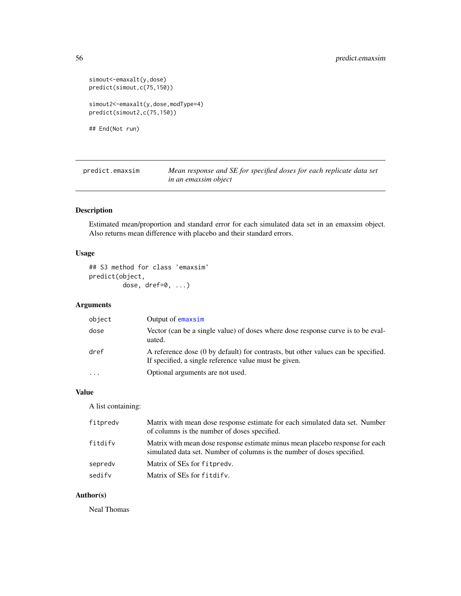```
simout <- emaxalt(y, dose)
predict(simout,c(75,150))
simout2<-emaxalt(y,dose,modType=4)
predict(simout2,c(75,150))
## End(Not run)
```
<span id="page-55-0"></span>predict.emaxsim *Mean response and SE for specified doses for each replicate data set in an emaxsim object*

### Description

Estimated mean/proportion and standard error for each simulated data set in an emaxsim object. Also returns mean difference with placebo and their standard errors.

### Usage

```
## S3 method for class 'emaxsim'
predict(object,
        dose, dref=0, ...)
```
### Arguments

| object  | Output of emaxsim                                                                                                                          |
|---------|--------------------------------------------------------------------------------------------------------------------------------------------|
| dose    | Vector (can be a single value) of doses where dose response curve is to be eval-<br>uated.                                                 |
| dref    | A reference dose (0 by default) for contrasts, but other values can be specified.<br>If specified, a single reference value must be given. |
| $\cdot$ | Optional arguments are not used.                                                                                                           |

#### Value

A list containing:

| fitpredv | Matrix with mean dose response estimate for each simulated data set. Number<br>of columns is the number of doses specified.                             |
|----------|---------------------------------------------------------------------------------------------------------------------------------------------------------|
| fitdify  | Matrix with mean dose response estimate minus mean placebo response for each<br>simulated data set. Number of columns is the number of doses specified. |
| sepredy  | Matrix of SEs for fitpredy.                                                                                                                             |
| sedify   | Matrix of SEs for fitdify.                                                                                                                              |

## Author(s)

Neal Thomas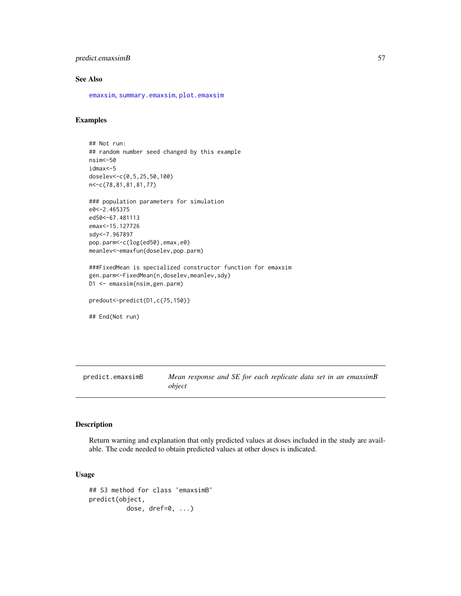#### predict.emaxsimB 57

### See Also

[emaxsim](#page-16-0), [summary.emaxsim](#page-79-0), [plot.emaxsim](#page-34-0)

### Examples

```
## Not run:
## random number seed changed by this example
nsim<-50
idmax<-5
doselev<-c(0,5,25,50,100)
n<-c(78,81,81,81,77)
### population parameters for simulation
e0<-2.465375
ed50<-67.481113
emax<-15.127726
sdy<-7.967897
pop.parm<-c(log(ed50),emax,e0)
meanlev<-emaxfun(doselev,pop.parm)
###FixedMean is specialized constructor function for emaxsim
gen.parm<-FixedMean(n,doselev,meanlev,sdy)
D1 <- emaxsim(nsim,gen.parm)
predout<-predict(D1,c(75,150))
```
## End(Not run)

predict.emaxsimB *Mean response and SE for each replicate data set in an emaxsimB object*

#### Description

Return warning and explanation that only predicted values at doses included in the study are available. The code needed to obtain predicted values at other doses is indicated.

#### Usage

```
## S3 method for class 'emaxsimB'
predict(object,
         dose, dref=0, ...)
```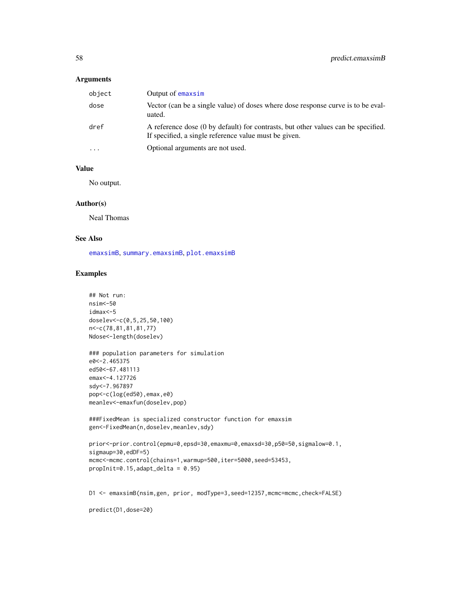### Arguments

| object    | Output of emaxsim                                                                                                                          |
|-----------|--------------------------------------------------------------------------------------------------------------------------------------------|
| dose      | Vector (can be a single value) of doses where dose response curve is to be eval-<br>uated.                                                 |
| dref      | A reference dose (0 by default) for contrasts, but other values can be specified.<br>If specified, a single reference value must be given. |
| $\ddotsc$ | Optional arguments are not used.                                                                                                           |

#### Value

No output.

### Author(s)

Neal Thomas

#### See Also

[emaxsimB](#page-20-0), [summary.emaxsimB](#page-80-0), [plot.emaxsimB](#page-35-0)

### Examples

```
## Not run:
nsim<-50
idmax<-5
doselev<-c(0,5,25,50,100)
n<-c(78,81,81,81,77)
Ndose<-length(doselev)
### population parameters for simulation
e0<-2.465375
ed50<-67.481113
emax<-4.127726
sdy<-7.967897
pop<-c(log(ed50),emax,e0)
meanlev<-emaxfun(doselev,pop)
###FixedMean is specialized constructor function for emaxsim
gen<-FixedMean(n,doselev,meanlev,sdy)
prior<-prior.control(epmu=0,epsd=30,emaxmu=0,emaxsd=30,p50=50,sigmalow=0.1,
sigmaup=30,edDF=5)
mcmc<-mcmc.control(chains=1,warmup=500,iter=5000,seed=53453,
propInit=0.15,adapt_delta = 0.95)
D1 <- emaxsimB(nsim,gen, prior, modType=3,seed=12357,mcmc=mcmc,check=FALSE)
predict(D1,dose=20)
```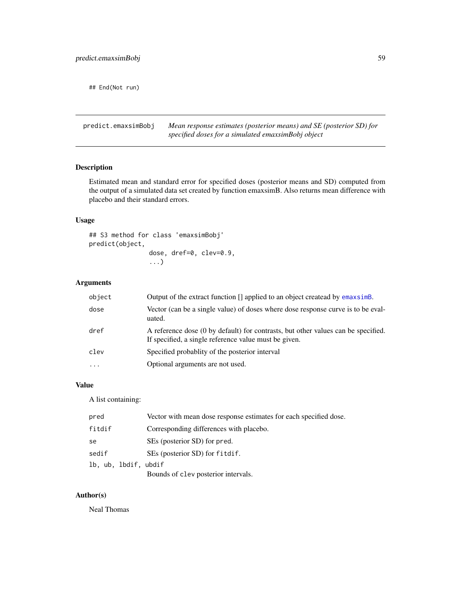## End(Not run)

predict.emaxsimBobj *Mean response estimates (posterior means) and SE (posterior SD) for specified doses for a simulated emaxsimBobj object*

### Description

Estimated mean and standard error for specified doses (posterior means and SD) computed from the output of a simulated data set created by function emaxsimB. Also returns mean difference with placebo and their standard errors.

### Usage

## S3 method for class 'emaxsimBobj' predict(object, dose, dref=0, clev=0.9, ...)

### Arguments

| object    | Output of the extract function [] applied to an object createad by emaxsime.                                                               |
|-----------|--------------------------------------------------------------------------------------------------------------------------------------------|
| dose      | Vector (can be a single value) of doses where dose response curve is to be eval-<br>uated.                                                 |
| dref      | A reference dose (0 by default) for contrasts, but other values can be specified.<br>If specified, a single reference value must be given. |
| clev      | Specified probability of the posterior interval                                                                                            |
| $\ddotsc$ | Optional arguments are not used.                                                                                                           |

#### Value

A list containing:

| pred                 | Vector with mean dose response estimates for each specified dose. |
|----------------------|-------------------------------------------------------------------|
| fitdif               | Corresponding differences with placebo.                           |
| se                   | SEs (posterior SD) for pred.                                      |
| sedif                | SEs (posterior SD) for fitdif.                                    |
| lb, ub, lbdif, ubdif |                                                                   |
|                      | Bounds of clev posterior intervals.                               |

### Author(s)

Neal Thomas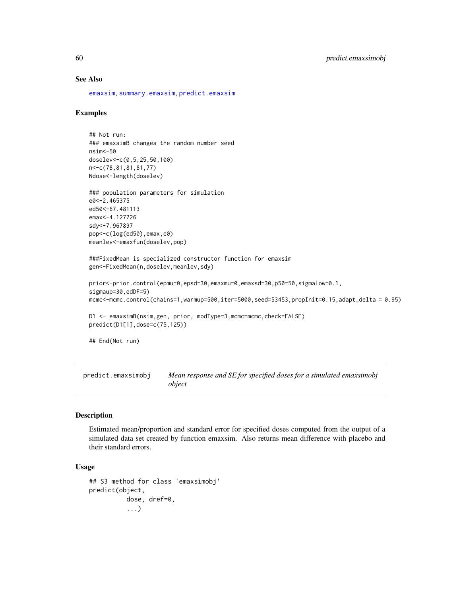### See Also

[emaxsim](#page-16-0), [summary.emaxsim](#page-79-0), [predict.emaxsim](#page-55-0)

#### Examples

```
## Not run:
### emaxsimB changes the random number seed
nsim<-50
doselev<-c(0,5,25,50,100)
n<-c(78,81,81,81,77)
Ndose<-length(doselev)
```

```
### population parameters for simulation
e0<-2.465375
ed50<-67.481113
emax<-4.127726
sdy<-7.967897
pop<-c(log(ed50),emax,e0)
meanlev<-emaxfun(doselev,pop)
```

```
###FixedMean is specialized constructor function for emaxsim
gen<-FixedMean(n,doselev,meanlev,sdy)
```

```
prior<-prior.control(epmu=0,epsd=30,emaxmu=0,emaxsd=30,p50=50,sigmalow=0.1,
sigmaup=30,edDF=5)
mcmc<-mcmc.control(chains=1,warmup=500,iter=5000,seed=53453,propInit=0.15,adapt_delta = 0.95)
```

```
D1 <- emaxsimB(nsim,gen, prior, modType=3,mcmc=mcmc,check=FALSE)
predict(D1[1],dose=c(75,125))
```

```
## End(Not run)
```
<span id="page-59-0"></span>predict.emaxsimobj *Mean response and SE for specified doses for a simulated emaxsimobj object*

#### Description

Estimated mean/proportion and standard error for specified doses computed from the output of a simulated data set created by function emaxsim. Also returns mean difference with placebo and their standard errors.

### Usage

```
## S3 method for class 'emaxsimobj'
predict(object,
          dose, dref=0,
          ...)
```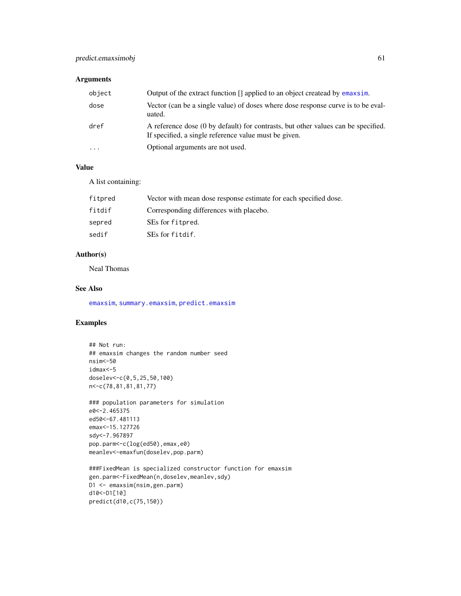## Arguments

| object                  | Output of the extract function [] applied to an object createad by emaxsim.                                                                |
|-------------------------|--------------------------------------------------------------------------------------------------------------------------------------------|
| dose                    | Vector (can be a single value) of doses where dose response curve is to be eval-<br>uated.                                                 |
| dref                    | A reference dose (0 by default) for contrasts, but other values can be specified.<br>If specified, a single reference value must be given. |
| $\cdot$ $\cdot$ $\cdot$ | Optional arguments are not used.                                                                                                           |

### Value

A list containing:

| fitpred | Vector with mean dose response estimate for each specified dose. |
|---------|------------------------------------------------------------------|
| fitdif  | Corresponding differences with placebo.                          |
| sepred  | SEs for fitpred.                                                 |
| sedif   | SEs for fitdif.                                                  |

### Author(s)

Neal Thomas

### See Also

[emaxsim](#page-16-0), [summary.emaxsim](#page-79-0), [predict.emaxsim](#page-55-0)

## Examples

```
## Not run:
## emaxsim changes the random number seed
nsim<-50
idmax<-5
doselev<-c(0,5,25,50,100)
n<-c(78,81,81,81,77)
```
### population parameters for simulation e0<-2.465375 ed50<-67.481113 emax<-15.127726 sdy<-7.967897 pop.parm<-c(log(ed50),emax,e0) meanlev<-emaxfun(doselev,pop.parm)

```
###FixedMean is specialized constructor function for emaxsim
gen.parm<-FixedMean(n,doselev,meanlev,sdy)
D1 <- emaxsim(nsim,gen.parm)
d10<-D1[10]
predict(d10,c(75,150))
```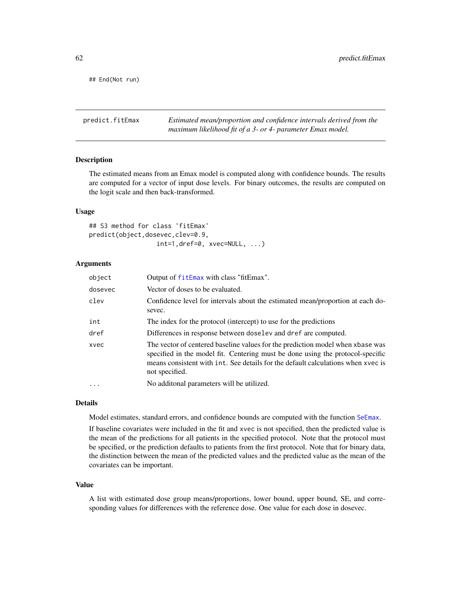## End(Not run)

predict.fitEmax *Estimated mean/proportion and confidence intervals derived from the maximum likelihood fit of a 3- or 4- parameter Emax model.*

#### Description

The estimated means from an Emax model is computed along with confidence bounds. The results are computed for a vector of input dose levels. For binary outcomes, the results are computed on the logit scale and then back-transformed.

#### Usage

```
## S3 method for class 'fitEmax'
predict(object,dosevec,clev=0.9,
                  int=1,dref=0, xvec=NULL, ...)
```
#### Arguments

| object  | Output of fitEmax with class "fitEmax".                                                                                                                                                                                                                                |
|---------|------------------------------------------------------------------------------------------------------------------------------------------------------------------------------------------------------------------------------------------------------------------------|
| dosevec | Vector of doses to be evaluated.                                                                                                                                                                                                                                       |
| clev    | Confidence level for intervals about the estimated mean/proportion at each do-<br>sevec.                                                                                                                                                                               |
| int     | The index for the protocol (intercept) to use for the predictions                                                                                                                                                                                                      |
| dref    | Differences in response between doselev and dref are computed.                                                                                                                                                                                                         |
| xvec    | The vector of centered baseline values for the prediction model when xbase was<br>specified in the model fit. Centering must be done using the protocol-specific<br>means consistent with int. See details for the default calculations when xyec is<br>not specified. |
| $\cdot$ | No additonal parameters will be utilized.                                                                                                                                                                                                                              |

#### Details

Model estimates, standard errors, and confidence bounds are computed with the function [SeEmax](#page-73-0).

If baseline covariates were included in the fit and xvec is not specified, then the predicted value is the mean of the predictions for all patients in the specified protocol. Note that the protocol must be specified, or the prediction defaults to patients from the first protocol. Note that for binary data, the distinction between the mean of the predicted values and the predicted value as the mean of the covariates can be important.

#### Value

A list with estimated dose group means/proportions, lower bound, upper bound, SE, and corresponding values for differences with the reference dose. One value for each dose in dosevec.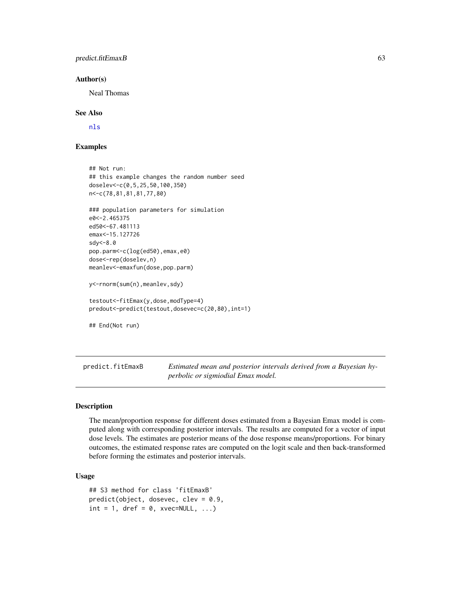### predict.fitEmaxB 63

#### Author(s)

Neal Thomas

#### See Also

[nls](#page-0-0)

## Examples

```
## Not run:
## this example changes the random number seed
doselev<-c(0,5,25,50,100,350)
n<-c(78,81,81,81,77,80)
### population parameters for simulation
e0<-2.465375
ed50<-67.481113
emax<-15.127726
sdy<-8.0
pop.parm<-c(log(ed50),emax,e0)
dose<-rep(doselev,n)
meanlev<-emaxfun(dose,pop.parm)
y<-rnorm(sum(n),meanlev,sdy)
testout<-fitEmax(y,dose,modType=4)
predout<-predict(testout,dosevec=c(20,80),int=1)
## End(Not run)
```
predict.fitEmaxB *Estimated mean and posterior intervals derived from a Bayesian hyperbolic or sigmiodial Emax model.*

## Description

The mean/proportion response for different doses estimated from a Bayesian Emax model is computed along with corresponding posterior intervals. The results are computed for a vector of input dose levels. The estimates are posterior means of the dose response means/proportions. For binary outcomes, the estimated response rates are computed on the logit scale and then back-transformed before forming the estimates and posterior intervals.

#### Usage

```
## S3 method for class 'fitEmaxB'
predict(object, dosevec, clev = 0.9,
int = 1, dref = 0, xvec=NULL, ...)
```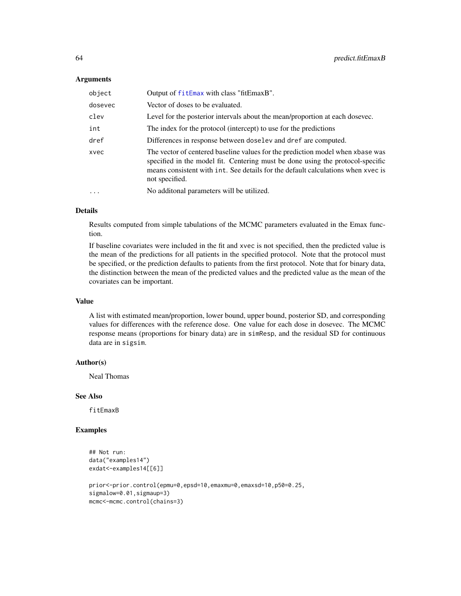#### **Arguments**

| object  | Output of fitEmax with class "fitEmaxB".                                                                                                                                                                                                                               |
|---------|------------------------------------------------------------------------------------------------------------------------------------------------------------------------------------------------------------------------------------------------------------------------|
| dosevec | Vector of doses to be evaluated.                                                                                                                                                                                                                                       |
| clev    | Level for the posterior intervals about the mean/proportion at each dosevec.                                                                                                                                                                                           |
| int     | The index for the protocol (intercept) to use for the predictions                                                                                                                                                                                                      |
| dref    | Differences in response between doselev and dref are computed.                                                                                                                                                                                                         |
| xvec    | The vector of centered baseline values for the prediction model when xbase was<br>specified in the model fit. Centering must be done using the protocol-specific<br>means consistent with int. See details for the default calculations when xvec is<br>not specified. |
|         | No additonal parameters will be utilized.                                                                                                                                                                                                                              |

### Details

Results computed from simple tabulations of the MCMC parameters evaluated in the Emax function.

If baseline covariates were included in the fit and xvec is not specified, then the predicted value is the mean of the predictions for all patients in the specified protocol. Note that the protocol must be specified, or the prediction defaults to patients from the first protocol. Note that for binary data, the distinction between the mean of the predicted values and the predicted value as the mean of the covariates can be important.

#### Value

A list with estimated mean/proportion, lower bound, upper bound, posterior SD, and corresponding values for differences with the reference dose. One value for each dose in dosevec. The MCMC response means (proportions for binary data) are in simResp, and the residual SD for continuous data are in sigsim.

#### Author(s)

Neal Thomas

### See Also

fitEmaxB

#### Examples

```
## Not run:
data("examples14")
exdat<-examples14[[6]]
prior<-prior.control(epmu=0,epsd=10,emaxmu=0,emaxsd=10,p50=0.25,
sigmalow=0.01, sigmaup=3)
```

```
mcmc<-mcmc.control(chains=3)
```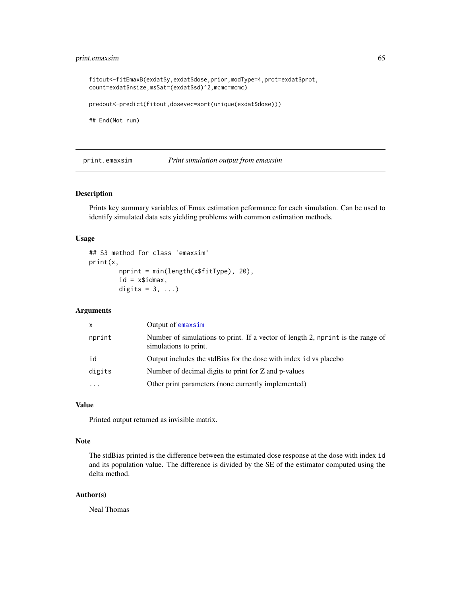### print.emaxsim 65

fitout<-fitEmaxB(exdat\$y,exdat\$dose,prior,modType=4,prot=exdat\$prot, count=exdat\$nsize,msSat=(exdat\$sd)^2,mcmc=mcmc) predout<-predict(fitout,dosevec=sort(unique(exdat\$dose)))

## End(Not run)

print.emaxsim *Print simulation output from emaxsim*

#### Description

Prints key summary variables of Emax estimation peformance for each simulation. Can be used to identify simulated data sets yielding problems with common estimation methods.

#### Usage

```
## S3 method for class 'emaxsim'
print(x,
        nprint = min(length(x$fitType), 20),
        id = x$idmax,
        digits = 3, ...)
```
## Arguments

| Output of emaxsim<br>x                                          |                                                                                 |
|-----------------------------------------------------------------|---------------------------------------------------------------------------------|
| nprint<br>simulations to print.                                 | Number of simulations to print. If a vector of length 2, nprint is the range of |
| id                                                              | Output includes the stdBias for the dose with index id vs placebo               |
| digits<br>Number of decimal digits to print for Z and p-values  |                                                                                 |
| Other print parameters (none currently implemented)<br>$\ddots$ |                                                                                 |

#### Value

Printed output returned as invisible matrix.

#### Note

The stdBias printed is the difference between the estimated dose response at the dose with index id and its population value. The difference is divided by the SE of the estimator computed using the delta method.

#### Author(s)

Neal Thomas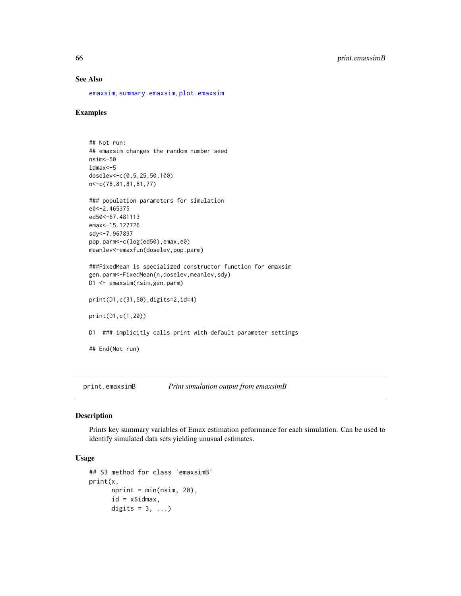### See Also

[emaxsim](#page-16-0), [summary.emaxsim](#page-79-0), [plot.emaxsim](#page-34-0)

#### Examples

```
## Not run:
## emaxsim changes the random number seed
nsim<-50
idmax<-5
doselev<-c(0,5,25,50,100)
n<-c(78,81,81,81,77)
### population parameters for simulation
e0<-2.465375
ed50<-67.481113
emax<-15.127726
sdy<-7.967897
pop.parm<-c(log(ed50),emax,e0)
meanlev<-emaxfun(doselev,pop.parm)
###FixedMean is specialized constructor function for emaxsim
gen.parm<-FixedMean(n,doselev,meanlev,sdy)
D1 <- emaxsim(nsim,gen.parm)
print(D1,c(31,50),digits=2,id=4)
print(D1,c(1,20))
D1 ### implicitly calls print with default parameter settings
## End(Not run)
```
<span id="page-65-0"></span>print.emaxsimB *Print simulation output from emaxsimB*

#### Description

Prints key summary variables of Emax estimation peformance for each simulation. Can be used to identify simulated data sets yielding unusual estimates.

#### Usage

```
## S3 method for class 'emaxsimB'
print(x,
      nprint = min(nsim, 20),
      id = x$i<sub>dmax</sub>,digits = 3, ...)
```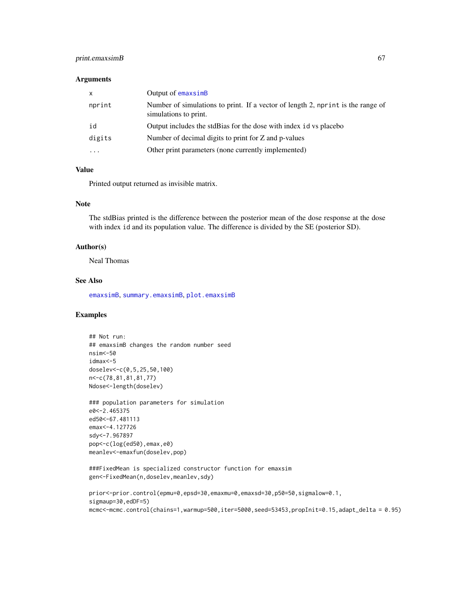### print.emaxsimB 67

#### **Arguments**

| $\mathsf{x}$ | Output of emaxsimB                                                                                       |
|--------------|----------------------------------------------------------------------------------------------------------|
| nprint       | Number of simulations to print. If a vector of length 2, nprint is the range of<br>simulations to print. |
| id           | Output includes the stdBias for the dose with index id vs placebo                                        |
| digits       | Number of decimal digits to print for Z and p-values                                                     |
| $\cdots$     | Other print parameters (none currently implemented)                                                      |

### Value

Printed output returned as invisible matrix.

### Note

The stdBias printed is the difference between the posterior mean of the dose response at the dose with index id and its population value. The difference is divided by the SE (posterior SD).

#### Author(s)

Neal Thomas

### See Also

[emaxsimB](#page-20-0), [summary.emaxsimB](#page-80-0), [plot.emaxsimB](#page-35-0)

### Examples

## Not run: ## emaxsimB changes the random number seed nsim<-50 idmax<-5 doselev<-c(0,5,25,50,100) n<-c(78,81,81,81,77) Ndose<-length(doselev)

### population parameters for simulation e0<-2.465375 ed50<-67.481113 emax<-4.127726 sdy<-7.967897 pop<-c(log(ed50),emax,e0) meanlev<-emaxfun(doselev,pop)

```
###FixedMean is specialized constructor function for emaxsim
gen<-FixedMean(n,doselev,meanlev,sdy)
```

```
prior<-prior.control(epmu=0,epsd=30,emaxmu=0,emaxsd=30,p50=50,sigmalow=0.1,
sigmaup=30,edDF=5)
mcmc<-mcmc.control(chains=1,warmup=500,iter=5000,seed=53453,propInit=0.15,adapt_delta = 0.95)
```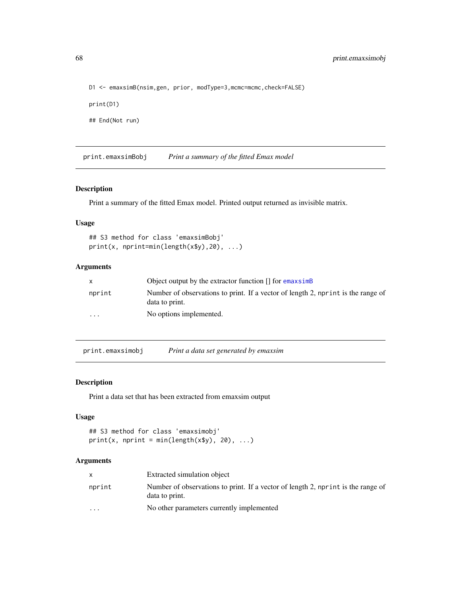D1 <- emaxsimB(nsim,gen, prior, modType=3,mcmc=mcmc,check=FALSE) print(D1) ## End(Not run)

print.emaxsimBobj *Print a summary of the fitted Emax model*

#### Description

Print a summary of the fitted Emax model. Printed output returned as invisible matrix.

### Usage

```
## S3 method for class 'emaxsimBobj'
print(x, nprint=min(length(x$y),20), ...)
```
### Arguments

| X        | Object output by the extractor function $\iint$ for emaxsime                                       |
|----------|----------------------------------------------------------------------------------------------------|
| nprint   | Number of observations to print. If a vector of length 2, nprint is the range of<br>data to print. |
| $\cdots$ | No options implemented.                                                                            |

<span id="page-67-0"></span>print.emaxsimobj *Print a data set generated by emaxsim*

### Description

Print a data set that has been extracted from emaxsim output

#### Usage

```
## S3 method for class 'emaxsimobj'
print(x, nprint = min(length(x\ y), 20), ...)
```
#### Arguments

|                         | Extracted simulation object                                                                        |
|-------------------------|----------------------------------------------------------------------------------------------------|
| nprint                  | Number of observations to print. If a vector of length 2, nprint is the range of<br>data to print. |
| $\cdot$ $\cdot$ $\cdot$ | No other parameters currently implemented                                                          |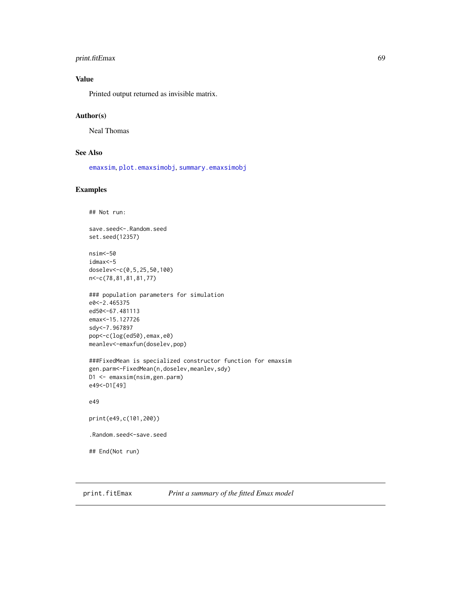### print.fitEmax 69

## Value

Printed output returned as invisible matrix.

### Author(s)

Neal Thomas

#### See Also

[emaxsim](#page-16-0), [plot.emaxsimobj](#page-38-0), [summary.emaxsimobj](#page-83-0)

### Examples

```
## Not run:
```
save.seed<-.Random.seed set.seed(12357)

```
nsim<-50
idmax<-5
doselev<-c(0,5,25,50,100)
n<-c(78,81,81,81,77)
```

```
### population parameters for simulation
e0<-2.465375
ed50<-67.481113
emax<-15.127726
sdy<-7.967897
pop<-c(log(ed50),emax,e0)
meanlev<-emaxfun(doselev,pop)
```

```
###FixedMean is specialized constructor function for emaxsim
gen.parm<-FixedMean(n,doselev,meanlev,sdy)
D1 <- emaxsim(nsim,gen.parm)
e49<-D1[49]
```
e49

```
print(e49,c(101,200))
```

```
.Random.seed<-save.seed
```
## End(Not run)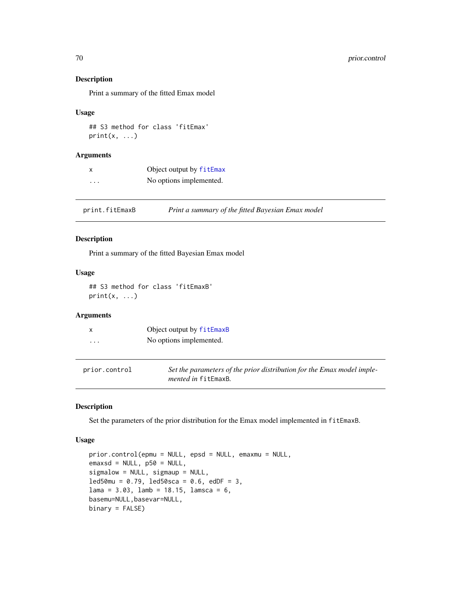### Description

Print a summary of the fitted Emax model

#### Usage

## S3 method for class 'fitEmax'  $print(x, \ldots)$ 

#### Arguments

| x | Object output by fitEmax |
|---|--------------------------|
| . | No options implemented.  |

print.fitEmaxB *Print a summary of the fitted Bayesian Emax model*

#### Description

Print a summary of the fitted Bayesian Emax model

### Usage

## S3 method for class 'fitEmaxB'  $print(x, \ldots)$ 

## Arguments

|   | Object output by fitEmaxB |
|---|---------------------------|
| . | No options implemented.   |

| prior.control | Set the parameters of the prior distribution for the Emax model imple- |
|---------------|------------------------------------------------------------------------|
|               | <i>mented in</i> fitEmaxB.                                             |

#### Description

Set the parameters of the prior distribution for the Emax model implemented in fitEmaxB.

#### Usage

```
prior.control(epmu = NULL, epsd = NULL, emaxmu = NULL,
emaxsd = NULL, p50 = NULL,sigmalow = NULL, sigmaup = NULL,
led50mu = 0.79, led50sca = 0.6, edDF = 3,
lama = 3.03, lamb = 18.15, lamsca = 6,
basemu=NULL,basevar=NULL,
binary = FALSE)
```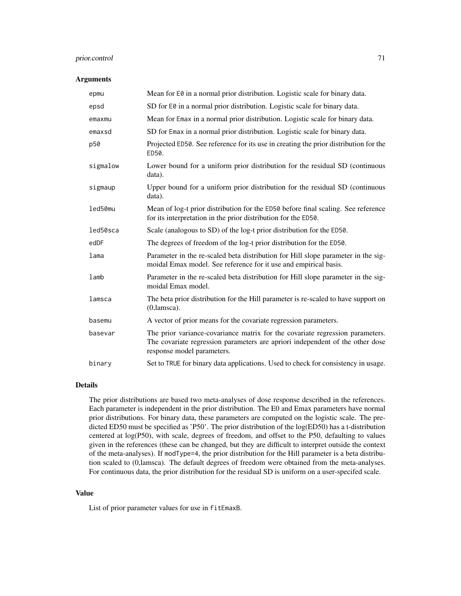### prior.control 71

#### **Arguments**

| epmu     | Mean for E0 in a normal prior distribution. Logistic scale for binary data.                                                                                                                  |
|----------|----------------------------------------------------------------------------------------------------------------------------------------------------------------------------------------------|
| epsd     | SD for E0 in a normal prior distribution. Logistic scale for binary data.                                                                                                                    |
| emaxmu   | Mean for Emax in a normal prior distribution. Logistic scale for binary data.                                                                                                                |
| emaxsd   | SD for Emax in a normal prior distribution. Logistic scale for binary data.                                                                                                                  |
| p50      | Projected ED50. See reference for its use in creating the prior distribution for the<br>ED50.                                                                                                |
| sigmalow | Lower bound for a uniform prior distribution for the residual SD (continuous<br>data).                                                                                                       |
| sigmaup  | Upper bound for a uniform prior distribution for the residual SD (continuous<br>data).                                                                                                       |
| led50mu  | Mean of log-t prior distribution for the ED50 before final scaling. See reference<br>for its interpretation in the prior distribution for the ED50.                                          |
| led50sca | Scale (analogous to SD) of the log-t prior distribution for the ED50.                                                                                                                        |
| edDF     | The degrees of freedom of the log-t prior distribution for the ED50.                                                                                                                         |
| lama     | Parameter in the re-scaled beta distribution for Hill slope parameter in the sig-<br>moidal Emax model. See reference for it use and empirical basis.                                        |
| lamb     | Parameter in the re-scaled beta distribution for Hill slope parameter in the sig-<br>moidal Emax model.                                                                                      |
| lamsca   | The beta prior distribution for the Hill parameter is re-scaled to have support on<br>$(0,$ lamsca $).$                                                                                      |
| basemu   | A vector of prior means for the covariate regression parameters.                                                                                                                             |
| basevar  | The prior variance-covariance matrix for the covariate regression parameters.<br>The covariate regression parameters are apriori independent of the other dose<br>response model parameters. |
| binary   | Set to TRUE for binary data applications. Used to check for consistency in usage.                                                                                                            |

#### Details

The prior distributions are based two meta-analyses of dose response described in the references. Each parameter is independent in the prior distribution. The E0 and Emax parameters have normal prior distributions. For binary data, these parameters are computed on the logistic scale. The predicted ED50 must be specified as 'P50'. The prior distribution of the log(ED50) has a t-distribution centered at log(P50), with scale, degrees of freedom, and offset to the P50, defaulting to values given in the references (these can be changed, but they are difficult to interpret outside the context of the meta-analyses). If modType=4, the prior distribution for the Hill parameter is a beta distribution scaled to (0,lamsca). The default degrees of freedom were obtained from the meta-analyses. For continuous data, the prior distribution for the residual SD is uniform on a user-specifed scale.

### Value

List of prior parameter values for use in fitEmaxB.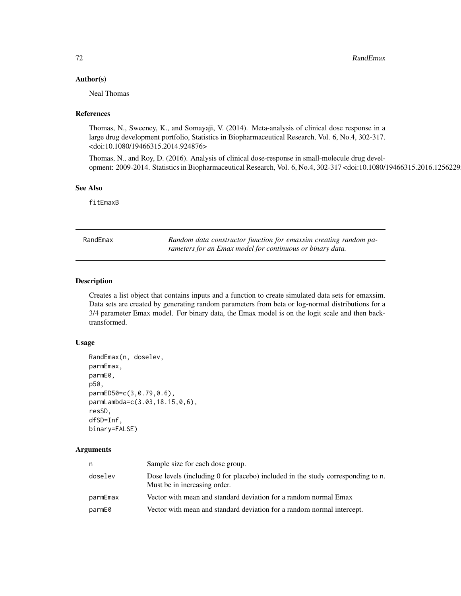#### Author(s)

Neal Thomas

### References

Thomas, N., Sweeney, K., and Somayaji, V. (2014). Meta-analysis of clinical dose response in a large drug development portfolio, Statistics in Biopharmaceutical Research, Vol. 6, No.4, 302-317. <doi:10.1080/19466315.2014.924876>

Thomas, N., and Roy, D. (2016). Analysis of clinical dose-response in small-molecule drug development: 2009-2014. Statistics in Biopharmaceutical Research, Vol. 6, No.4, 302-317 <doi:10.1080/19466315.2016.1256229>

### See Also

fitEmaxB

<span id="page-71-0"></span>

| RandEmax | Random data constructor function for emaxsim creating random pa- |
|----------|------------------------------------------------------------------|
|          | rameters for an Emax model for continuous or binary data.        |

### Description

Creates a list object that contains inputs and a function to create simulated data sets for emaxsim. Data sets are created by generating random parameters from beta or log-normal distributions for a 3/4 parameter Emax model. For binary data, the Emax model is on the logit scale and then backtransformed.

#### Usage

```
RandEmax(n, doselev,
parmEmax,
parmE0,
p50,
parmED50=c(3,0.79,0.6),
parmLambda=c(3.03,18.15,0,6),
resSD,
dfSD=Inf,
binary=FALSE)
```
#### Arguments

| n        | Sample size for each dose group.                                                                                |
|----------|-----------------------------------------------------------------------------------------------------------------|
| doselev  | Dose levels (including 0 for placebo) included in the study corresponding to n.<br>Must be in increasing order. |
| parmEmax | Vector with mean and standard deviation for a random normal Emax                                                |
| parmE0   | Vector with mean and standard deviation for a random normal intercept.                                          |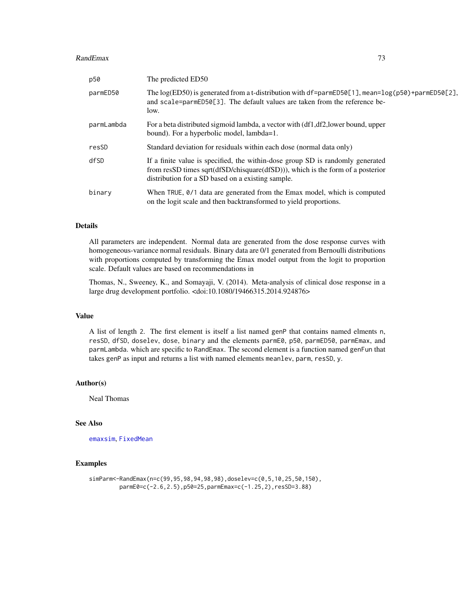#### <span id="page-72-0"></span>RandEmax 73

| p50        | The predicted ED50                                                                                                                                                                                                        |
|------------|---------------------------------------------------------------------------------------------------------------------------------------------------------------------------------------------------------------------------|
| parmED50   | The log(ED50) is generated from a t-distribution with df=parmED50[1], mean=log(p50)+parmED50[2],<br>and scale=parmED50[3]. The default values are taken from the reference be-<br>low.                                    |
| parmLambda | For a beta distributed sigmoid lambda, a vector with (df1,df2, lower bound, upper<br>bound). For a hyperbolic model, lambda=1.                                                                                            |
| resSD      | Standard deviation for residuals within each dose (normal data only)                                                                                                                                                      |
| dfSD       | If a finite value is specified, the within-dose group SD is randomly generated<br>from resSD times sqrt $(dfSD/chisquare(dfSD)))$ , which is the form of a posterior<br>distribution for a SD based on a existing sample. |
| binary     | When TRUE, 0/1 data are generated from the Emax model, which is computed<br>on the logit scale and then backtransformed to yield proportions.                                                                             |

#### Details

All parameters are independent. Normal data are generated from the dose response curves with homogeneous-variance normal residuals. Binary data are 0/1 generated from Bernoulli distributions with proportions computed by transforming the Emax model output from the logit to proportion scale. Default values are based on recommendations in

Thomas, N., Sweeney, K., and Somayaji, V. (2014). Meta-analysis of clinical dose response in a large drug development portfolio. <doi:10.1080/19466315.2014.924876>

## Value

A list of length 2. The first element is itself a list named genP that contains named elments n, resSD, dfSD, doselev, dose, binary and the elements parmE0, p50, parmED50, parmEmax, and parmLambda. which are specific to RandEmax. The second element is a function named genFun that takes genP as input and returns a list with named elements meanlev, parm, resSD, y.

#### Author(s)

Neal Thomas

#### See Also

[emaxsim](#page-16-0), [FixedMean](#page-31-0)

# Examples

```
simParm<-RandEmax(n=c(99,95,98,94,98,98),doselev=c(0,5,10,25,50,150),
        parmE0=c(-2.6,2.5),p50=25,parmEmax=c(-1.25,2),resSD=3.88)
```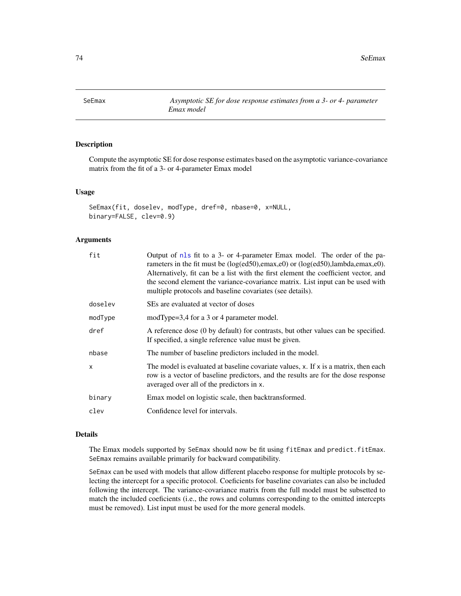<span id="page-73-1"></span><span id="page-73-0"></span>SeEmax *Asymptotic SE for dose response estimates from a 3- or 4- parameter Emax model*

# Description

Compute the asymptotic SE for dose response estimates based on the asymptotic variance-covariance matrix from the fit of a 3- or 4-parameter Emax model

#### Usage

```
SeEmax(fit, doselev, modType, dref=0, nbase=0, x=NULL,
binary=FALSE, clev=0.9)
```
## Arguments

| fit     | Output of nls fit to a 3- or 4-parameter Emax model. The order of the pa-<br>rameters in the fit must be (log(ed50), emax, e0) or (log(ed50), lambda, emax, e0).<br>Alternatively, fit can be a list with the first element the coefficient vector, and<br>the second element the variance-covariance matrix. List input can be used with<br>multiple protocols and baseline covariates (see details). |
|---------|--------------------------------------------------------------------------------------------------------------------------------------------------------------------------------------------------------------------------------------------------------------------------------------------------------------------------------------------------------------------------------------------------------|
| doselev | SEs are evaluated at vector of doses                                                                                                                                                                                                                                                                                                                                                                   |
| modType | modType=3,4 for a 3 or 4 parameter model.                                                                                                                                                                                                                                                                                                                                                              |
| dref    | A reference dose (0 by default) for contrasts, but other values can be specified.<br>If specified, a single reference value must be given.                                                                                                                                                                                                                                                             |
| nbase   | The number of baseline predictors included in the model.                                                                                                                                                                                                                                                                                                                                               |
| X       | The model is evaluated at baseline covariate values, $x$ . If $x$ is a matrix, then each<br>row is a vector of baseline predictors, and the results are for the dose response<br>averaged over all of the predictors in x.                                                                                                                                                                             |
| binary  | Emax model on logistic scale, then backtransformed.                                                                                                                                                                                                                                                                                                                                                    |
| clev    | Confidence level for intervals.                                                                                                                                                                                                                                                                                                                                                                        |

# Details

The Emax models supported by SeEmax should now be fit using fitEmax and predict.fitEmax. SeEmax remains available primarily for backward compatibility.

SeEmax can be used with models that allow different placebo response for multiple protocols by selecting the intercept for a specific protocol. Coeficients for baseline covariates can also be included following the intercept. The variance-covariance matrix from the full model must be subsetted to match the included coeficients (i.e., the rows and columns corresponding to the omitted intercepts must be removed). List input must be used for the more general models.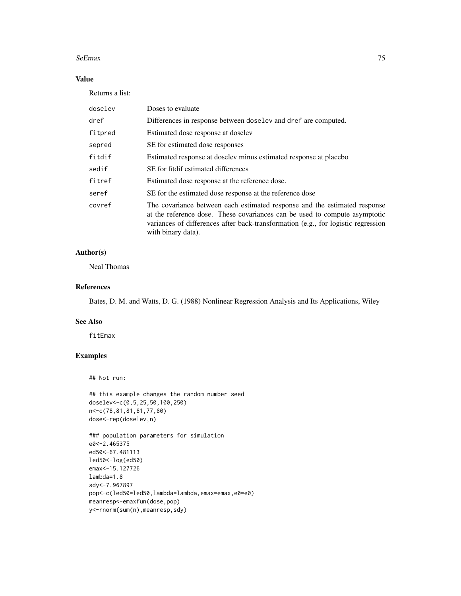#### SeEmax 75

# Value

Returns a list:

| doselev | Doses to evaluate                                                                                                                                                                                                                                                  |
|---------|--------------------------------------------------------------------------------------------------------------------------------------------------------------------------------------------------------------------------------------------------------------------|
| dref    | Differences in response between doselev and dref are computed.                                                                                                                                                                                                     |
| fitpred | Estimated dose response at doselev                                                                                                                                                                                                                                 |
| sepred  | SE for estimated dose responses                                                                                                                                                                                                                                    |
| fitdif  | Estimated response at doselev minus estimated response at placebo                                                                                                                                                                                                  |
| sedif   | SE for fitdif estimated differences                                                                                                                                                                                                                                |
| fitref  | Estimated dose response at the reference dose.                                                                                                                                                                                                                     |
| seref   | SE for the estimated dose response at the reference dose                                                                                                                                                                                                           |
| covref  | The covariance between each estimated response and the estimated response<br>at the reference dose. These covariances can be used to compute asymptotic<br>variances of differences after back-transformation (e.g., for logistic regression<br>with binary data). |

# Author(s)

Neal Thomas

## References

Bates, D. M. and Watts, D. G. (1988) Nonlinear Regression Analysis and Its Applications, Wiley

# See Also

fitEmax

# Examples

#### ## Not run:

```
## this example changes the random number seed
doselev<-c(0,5,25,50,100,250)
n<-c(78,81,81,81,77,80)
dose<-rep(doselev,n)
```

```
### population parameters for simulation
e0<-2.465375
ed50<-67.481113
led50<-log(ed50)
emax<-15.127726
lambda=1.8
sdy<-7.967897
pop<-c(led50=led50,lambda=lambda,emax=emax,e0=e0)
meanresp<-emaxfun(dose,pop)
y<-rnorm(sum(n),meanresp,sdy)
```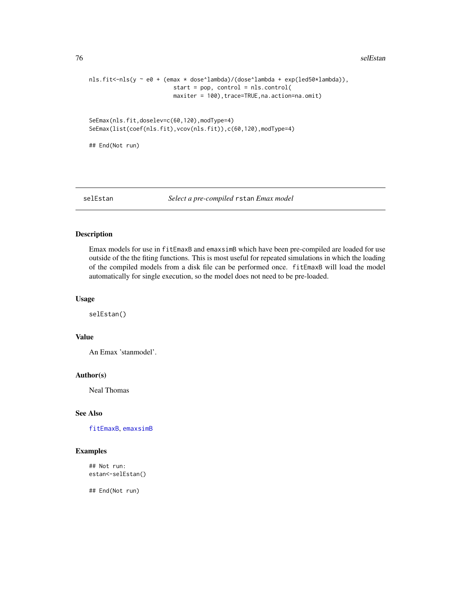```
nls.fit<-nls(y ~ e0 + (emax * dose^lambda)/(dose^lambda + exp(led50*lambda)),
                        start = pop, control = nls.control(
                        maxiter = 100),trace=TRUE,na.action=na.omit)
```

```
SeEmax(nls.fit,doselev=c(60,120),modType=4)
SeEmax(list(coef(nls.fit),vcov(nls.fit)),c(60,120),modType=4)
```
## End(Not run)

## selEstan *Select a pre-compiled* rstan *Emax model*

#### Description

Emax models for use in fitEmaxB and emaxsimB which have been pre-compiled are loaded for use outside of the the fiting functions. This is most useful for repeated simulations in which the loading of the compiled models from a disk file can be performed once. fitEmaxB will load the model automatically for single execution, so the model does not need to be pre-loaded.

#### Usage

selEstan()

#### Value

An Emax 'stanmodel'.

#### Author(s)

Neal Thomas

## See Also

[fitEmaxB](#page-28-0), [emaxsimB](#page-20-0)

# Examples

## Not run: estan<-selEstan()

## End(Not run)

<span id="page-75-0"></span>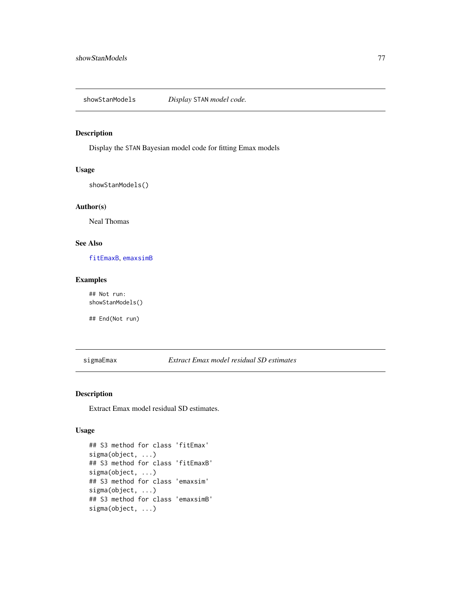<span id="page-76-0"></span>showStanModels *Display* STAN *model code.*

#### Description

Display the STAN Bayesian model code for fitting Emax models

# Usage

showStanModels()

## Author(s)

Neal Thomas

## See Also

[fitEmaxB](#page-28-0), [emaxsimB](#page-20-0)

#### Examples

## Not run: showStanModels()

## End(Not run)

sigmaEmax *Extract Emax model residual SD estimates*

## Description

Extract Emax model residual SD estimates.

# Usage

```
## S3 method for class 'fitEmax'
sigma(object, ...)
## S3 method for class 'fitEmaxB'
sigma(object, ...)
## S3 method for class 'emaxsim'
sigma(object, ...)
## S3 method for class 'emaxsimB'
sigma(object, ...)
```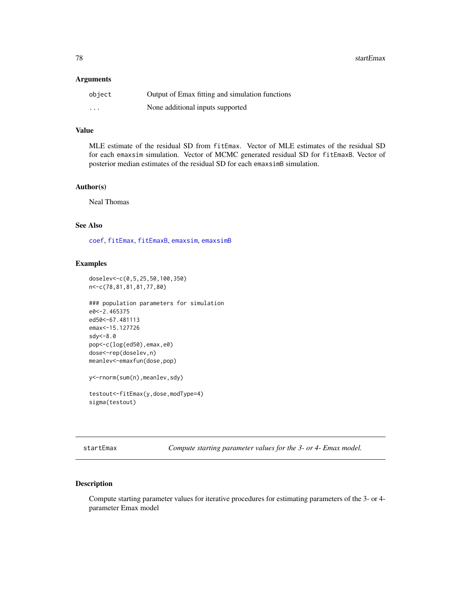<span id="page-77-0"></span>**78** startEmax

## Arguments

| object   | Output of Emax fitting and simulation functions |
|----------|-------------------------------------------------|
| $\cdots$ | None additional inputs supported                |

# Value

MLE estimate of the residual SD from fitEmax. Vector of MLE estimates of the residual SD for each emaxsim simulation. Vector of MCMC generated residual SD for fitEmaxB. Vector of posterior median estimates of the residual SD for each emaxsimB simulation.

## Author(s)

Neal Thomas

# See Also

[coef](#page-0-0), [fitEmax](#page-26-0), [fitEmaxB](#page-28-0), [emaxsim](#page-16-0), [emaxsimB](#page-20-0)

## Examples

```
doselev<-c(0,5,25,50,100,350)
n<-c(78,81,81,81,77,80)
```

```
### population parameters for simulation
e0<-2.465375
ed50<-67.481113
emax<-15.127726
sdy<-8.0
pop<-c(log(ed50),emax,e0)
dose<-rep(doselev,n)
meanlev<-emaxfun(dose,pop)
```
y<-rnorm(sum(n),meanlev,sdy)

```
testout<-fitEmax(y,dose,modType=4)
sigma(testout)
```
startEmax *Compute starting parameter values for the 3- or 4- Emax model.*

## Description

Compute starting parameter values for iterative procedures for estimating parameters of the 3- or 4 parameter Emax model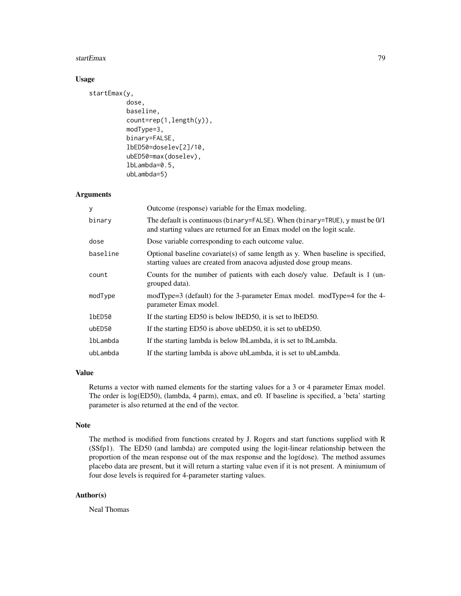#### startEmax 79

## Usage

```
startEmax(y,
          dose,
          baseline,
          count=rep(1,length(y)),
          modType=3,
          binary=FALSE,
          lbED50=doselev[2]/10,
          ubED50=max(doselev),
          lbLambda=0.5,
          ubLambda=5)
```
## Arguments

| У        | Outcome (response) variable for the Emax modeling.                                                                                                      |
|----------|---------------------------------------------------------------------------------------------------------------------------------------------------------|
| binary   | The default is continuous (binary=FALSE). When (binary=TRUE), y must be $0/1$<br>and starting values are returned for an Emax model on the logit scale. |
| dose     | Dose variable corresponding to each outcome value.                                                                                                      |
| baseline | Optional baseline covariate(s) of same length as y. When baseline is specified,<br>starting values are created from anacova adjusted dose group means.  |
| count    | Counts for the number of patients with each dose/y value. Default is 1 (un-<br>grouped data).                                                           |
| modType  | modType=3 (default) for the 3-parameter Emax model. modType=4 for the 4-<br>parameter Emax model.                                                       |
| 1bED50   | If the starting ED50 is below lbED50, it is set to lbED50.                                                                                              |
| ubED50   | If the starting ED50 is above ubED50, it is set to ubED50.                                                                                              |
| lbLambda | If the starting lambda is below lbLambda, it is set to lbLambda.                                                                                        |
| ubLambda | If the starting lambda is above ubLambda, it is set to ubLambda.                                                                                        |

## Value

Returns a vector with named elements for the starting values for a 3 or 4 parameter Emax model. The order is log(ED50), (lambda, 4 parm), emax, and e0. If baseline is specified, a 'beta' starting parameter is also returned at the end of the vector.

#### Note

The method is modified from functions created by J. Rogers and start functions supplied with R (SSfp1). The ED50 (and lambda) are computed using the logit-linear relationship between the proportion of the mean response out of the max response and the log(dose). The method assumes placebo data are present, but it will return a starting value even if it is not present. A miniumum of four dose levels is required for 4-parameter starting values.

## Author(s)

Neal Thomas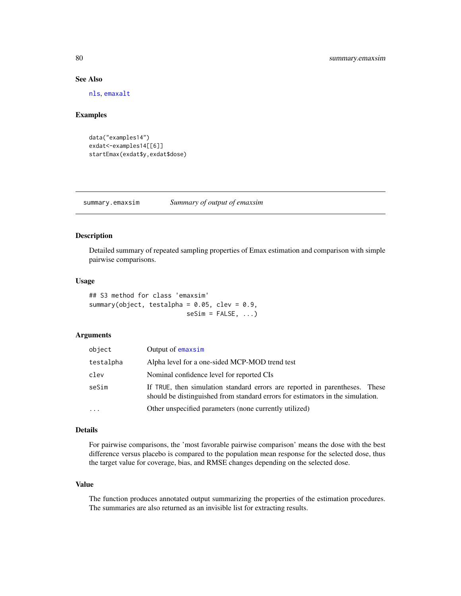## See Also

[nls](#page-0-0), [emaxalt](#page-13-0)

#### Examples

```
data("examples14")
exdat<-examples14[[6]]
startEmax(exdat$y,exdat$dose)
```
summary.emaxsim *Summary of output of emaxsim*

## Description

Detailed summary of repeated sampling properties of Emax estimation and comparison with simple pairwise comparisons.

## Usage

```
## S3 method for class 'emaxsim'
summary(object, testalpha = 0.05, clev = 0.9,
                          seSim = FALSE, ...)
```
# Arguments

| object    | Output of emaxsim                                                                                                                                             |
|-----------|---------------------------------------------------------------------------------------------------------------------------------------------------------------|
| testalpha | Alpha level for a one-sided MCP-MOD trend test                                                                                                                |
| clev      | Nominal confidence level for reported CIs                                                                                                                     |
| seSim     | If TRUE, then simulation standard errors are reported in parentheses. These<br>should be distinguished from standard errors for estimators in the simulation. |
| .         | Other unspecified parameters (none currently utilized)                                                                                                        |

## Details

For pairwise comparisons, the 'most favorable pairwise comparison' means the dose with the best difference versus placebo is compared to the population mean response for the selected dose, thus the target value for coverage, bias, and RMSE changes depending on the selected dose.

## Value

The function produces annotated output summarizing the properties of the estimation procedures. The summaries are also returned as an invisible list for extracting results.

<span id="page-79-0"></span>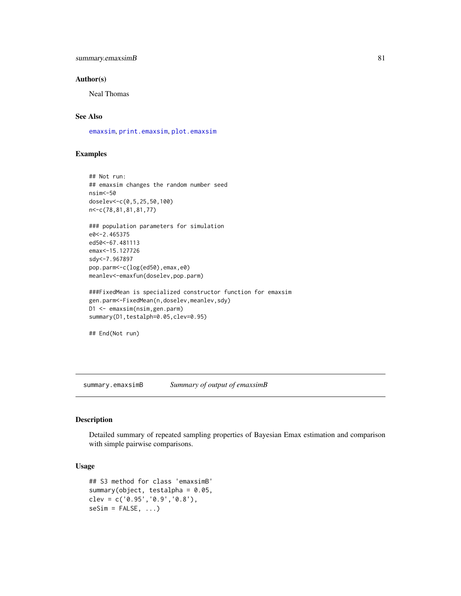# <span id="page-80-0"></span>summary.emaxsimB 81

#### Author(s)

Neal Thomas

# See Also

[emaxsim](#page-16-0), [print.emaxsim](#page-64-0), [plot.emaxsim](#page-34-0)

# Examples

```
## Not run:
## emaxsim changes the random number seed
nsim<-50
doselev<-c(0,5,25,50,100)
n<-c(78,81,81,81,77)
### population parameters for simulation
e0<-2.465375
ed50<-67.481113
emax<-15.127726
sdy<-7.967897
pop.parm<-c(log(ed50),emax,e0)
meanlev<-emaxfun(doselev,pop.parm)
###FixedMean is specialized constructor function for emaxsim
gen.parm<-FixedMean(n,doselev,meanlev,sdy)
D1 <- emaxsim(nsim,gen.parm)
summary(D1,testalph=0.05,clev=0.95)
## End(Not run)
```
summary.emaxsimB *Summary of output of emaxsimB*

#### Description

Detailed summary of repeated sampling properties of Bayesian Emax estimation and comparison with simple pairwise comparisons.

#### Usage

```
## S3 method for class 'emaxsimB'
summary(object, testalpha = 0.05,
clev = c('0.95','0.9','0.8'),
seSim = FALSE, ...)
```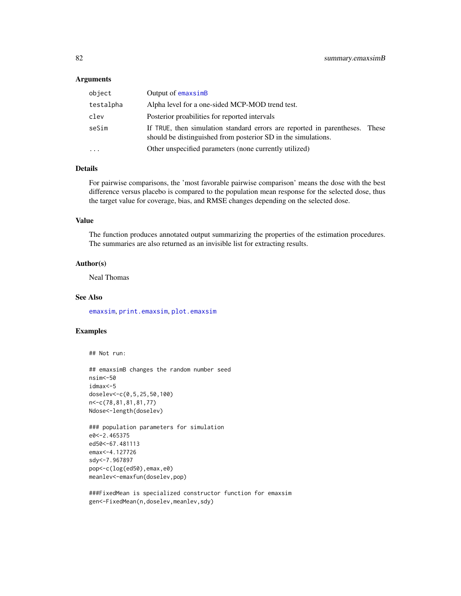#### <span id="page-81-0"></span>**Arguments**

| object    | Output of emaxsimB                                                                                                                     |       |
|-----------|----------------------------------------------------------------------------------------------------------------------------------------|-------|
| testalpha | Alpha level for a one-sided MCP-MOD trend test.                                                                                        |       |
| clev      | Posterior proabilities for reported intervals                                                                                          |       |
| seSim     | If TRUE, then simulation standard errors are reported in parentheses.<br>should be distinguished from posterior SD in the simulations. | These |
| $\ddotsc$ | Other unspecified parameters (none currently utilized)                                                                                 |       |

#### Details

For pairwise comparisons, the 'most favorable pairwise comparison' means the dose with the best difference versus placebo is compared to the population mean response for the selected dose, thus the target value for coverage, bias, and RMSE changes depending on the selected dose.

#### Value

The function produces annotated output summarizing the properties of the estimation procedures. The summaries are also returned as an invisible list for extracting results.

#### Author(s)

Neal Thomas

## See Also

[emaxsim](#page-16-0), [print.emaxsim](#page-64-0), [plot.emaxsim](#page-34-0)

# Examples

## Not run:

```
## emaxsimB changes the random number seed
nsim<-50
idmax<-5
doselev<-c(0,5,25,50,100)
n<-c(78,81,81,81,77)
Ndose<-length(doselev)
```

```
### population parameters for simulation
e0<-2.465375
ed50<-67.481113
emax<-4.127726
sdy<-7.967897
pop<-c(log(ed50),emax,e0)
meanlev<-emaxfun(doselev,pop)
```
###FixedMean is specialized constructor function for emaxsim gen<-FixedMean(n,doselev,meanlev,sdy)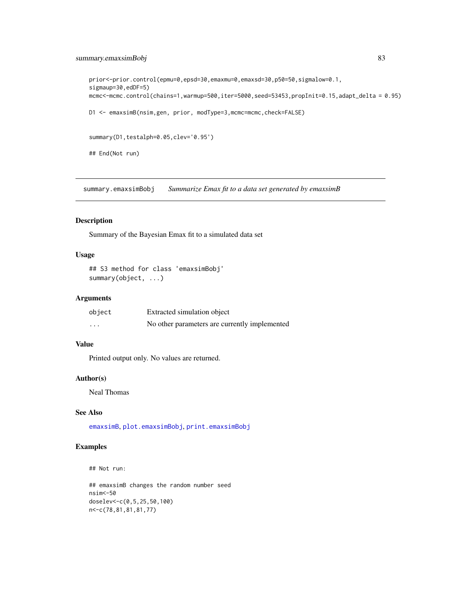# <span id="page-82-0"></span>summary.emaxsimBobj 83

```
prior<-prior.control(epmu=0,epsd=30,emaxmu=0,emaxsd=30,p50=50,sigmalow=0.1,
sigmaup=30,edDF=5)
mcmc<-mcmc.control(chains=1,warmup=500,iter=5000,seed=53453,propInit=0.15,adapt_delta = 0.95)
D1 <- emaxsimB(nsim,gen, prior, modType=3,mcmc=mcmc,check=FALSE)
summary(D1,testalph=0.05,clev='0.95')
## End(Not run)
```
summary.emaxsimBobj *Summarize Emax fit to a data set generated by emaxsimB*

#### Description

Summary of the Bayesian Emax fit to a simulated data set

## Usage

```
## S3 method for class 'emaxsimBobj'
summary(object, ...)
```
## Arguments

| object   | Extracted simulation object                   |
|----------|-----------------------------------------------|
| $\cdots$ | No other parameters are currently implemented |

# Value

Printed output only. No values are returned.

## Author(s)

Neal Thomas

# See Also

[emaxsimB](#page-20-0), [plot.emaxsimBobj](#page-37-0), [print.emaxsimBobj](#page-67-0)

# Examples

## Not run:

```
## emaxsimB changes the random number seed
nsim<-50
doselev<-c(0,5,25,50,100)
n<-c(78,81,81,81,77)
```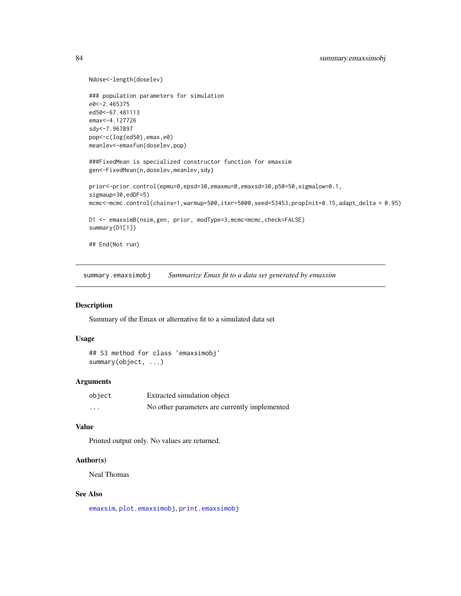```
Ndose<-length(doselev)
### population parameters for simulation
e0<-2.465375
ed50<-67.481113
emax<-4.127726
sdy<-7.967897
pop<-c(log(ed50),emax,e0)
meanlev<-emaxfun(doselev,pop)
###FixedMean is specialized constructor function for emaxsim
gen<-FixedMean(n,doselev,meanlev,sdy)
prior<-prior.control(epmu=0,epsd=30,emaxmu=0,emaxsd=30,p50=50,sigmalow=0.1,
sigmaup=30,edDF=5)
mcmc<-mcmc.control(chains=1,warmup=500,iter=5000,seed=53453,propInit=0.15,adapt_delta = 0.95)
D1 <- emaxsimB(nsim,gen, prior, modType=3,mcmc=mcmc,check=FALSE)
summary(D1[1])
## End(Not run)
```
summary.emaxsimobj *Summarize Emax fit to a data set generated by emaxsim*

#### Description

Summary of the Emax or alternative fit to a simulated data set

## Usage

## S3 method for class 'emaxsimobj' summary(object, ...)

#### **Arguments**

| object | Extracted simulation object                   |
|--------|-----------------------------------------------|
| .      | No other parameters are currently implemented |

## Value

Printed output only. No values are returned.

#### Author(s)

Neal Thomas

#### See Also

[emaxsim](#page-16-0), [plot.emaxsimobj](#page-38-0), [print.emaxsimobj](#page-67-1)

<span id="page-83-0"></span>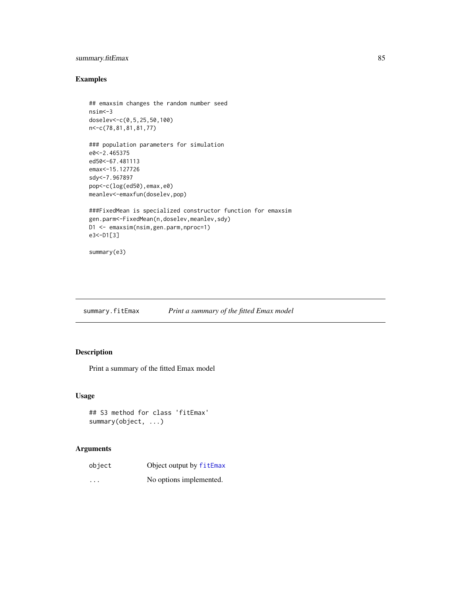# <span id="page-84-0"></span>summary.fitEmax 85

# Examples

```
## emaxsim changes the random number seed
nsim<-3
doselev<-c(0,5,25,50,100)
n<-c(78,81,81,81,77)
### population parameters for simulation
e0<-2.465375
ed50<-67.481113
emax<-15.127726
sdy<-7.967897
pop<-c(log(ed50),emax,e0)
meanlev<-emaxfun(doselev,pop)
###FixedMean is specialized constructor function for emaxsim
gen.parm<-FixedMean(n,doselev,meanlev,sdy)
D1 <- emaxsim(nsim,gen.parm,nproc=1)
e3<-D1[3]
summary(e3)
```

```
summary.fitEmax Print a summary of the fitted Emax model
```
# Description

Print a summary of the fitted Emax model

## Usage

```
## S3 method for class 'fitEmax'
summary(object, ...)
```
# Arguments

| object   | Object output by fitEmax |
|----------|--------------------------|
| $\cdots$ | No options implemented.  |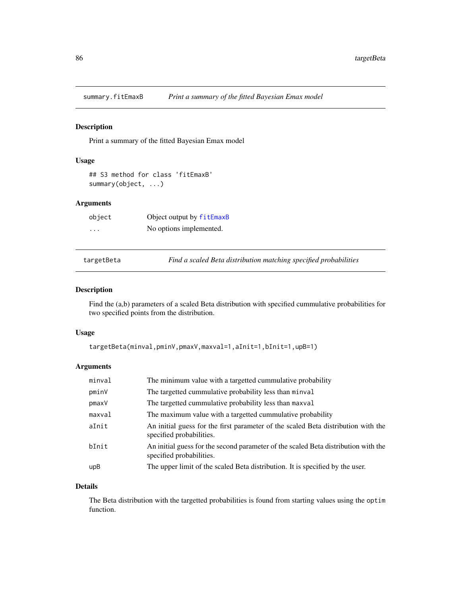<span id="page-85-0"></span>

## Description

Print a summary of the fitted Bayesian Emax model

# Usage

```
## S3 method for class 'fitEmaxB'
summary(object, ...)
```
# Arguments

| object | Object output by fitEmaxB |
|--------|---------------------------|
| .      | No options implemented.   |

targetBeta *Find a scaled Beta distribution matching specified probabilities*

## Description

Find the (a,b) parameters of a scaled Beta distribution with specified cummulative probabilities for two specified points from the distribution.

# Usage

```
targetBeta(minval,pminV,pmaxV,maxval=1,aInit=1,bInit=1,upB=1)
```
# Arguments

| minval | The minimum value with a targetted cummulative probability                                                     |
|--------|----------------------------------------------------------------------------------------------------------------|
| pminV  | The targetted cummulative probability less than minval                                                         |
| pmaxV  | The targetted cummulative probability less than maxval                                                         |
| maxval | The maximum value with a targetted cummulative probability                                                     |
| aInit  | An initial guess for the first parameter of the scaled Beta distribution with the<br>specified probabilities.  |
| bInit  | An initial guess for the second parameter of the scaled Beta distribution with the<br>specified probabilities. |
| upB    | The upper limit of the scaled Beta distribution. It is specified by the user.                                  |

#### Details

The Beta distribution with the targetted probabilities is found from starting values using the optim function.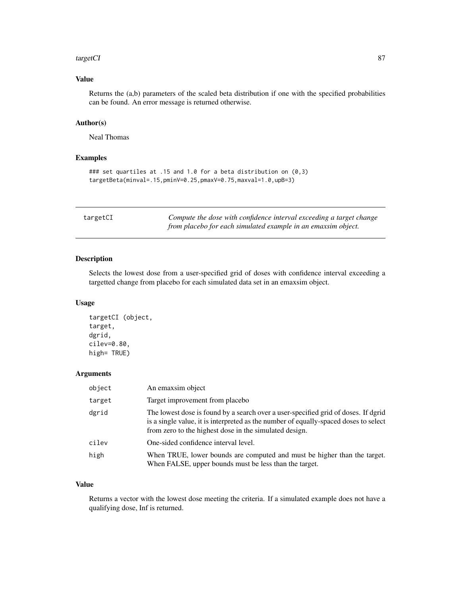#### <span id="page-86-0"></span>targetCI 87

# Value

Returns the (a,b) parameters of the scaled beta distribution if one with the specified probabilities can be found. An error message is returned otherwise.

## Author(s)

Neal Thomas

# Examples

```
### set quartiles at .15 and 1.0 for a beta distribution on (0,3)
targetBeta(minval=.15,pminV=0.25,pmaxV=0.75,maxval=1.0,upB=3)
```

| targetCI | Compute the dose with confidence interval exceeding a target change |
|----------|---------------------------------------------------------------------|
|          | from placebo for each simulated example in an emaxsim object.       |

# Description

Selects the lowest dose from a user-specified grid of doses with confidence interval exceeding a targetted change from placebo for each simulated data set in an emaxsim object.

## Usage

```
targetCI (object,
target,
dgrid,
cilev=0.80,
high= TRUE)
```
## Arguments

| object | An emaxsim object                                                                                                                                                                                                                    |
|--------|--------------------------------------------------------------------------------------------------------------------------------------------------------------------------------------------------------------------------------------|
| target | Target improvement from placebo                                                                                                                                                                                                      |
| dgrid  | The lowest dose is found by a search over a user-specified grid of doses. If dgrid<br>is a single value, it is interpreted as the number of equally-spaced doses to select<br>from zero to the highest dose in the simulated design. |
| cilev  | One-sided confidence interval level.                                                                                                                                                                                                 |
| high   | When TRUE, lower bounds are computed and must be higher than the target.<br>When FALSE, upper bounds must be less than the target.                                                                                                   |

# Value

Returns a vector with the lowest dose meeting the criteria. If a simulated example does not have a qualifying dose, Inf is returned.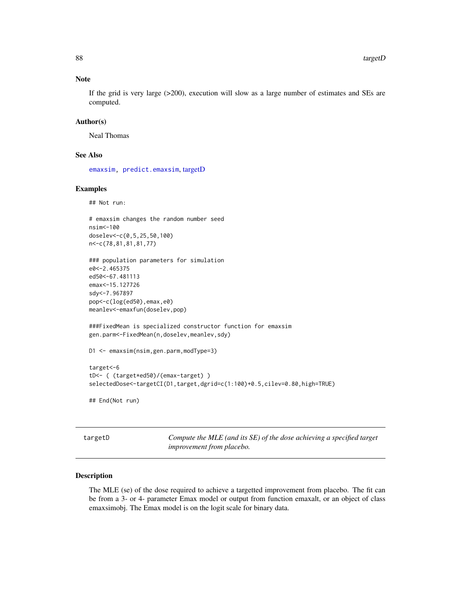## Note

If the grid is very large (>200), execution will slow as a large number of estimates and SEs are computed.

#### Author(s)

Neal Thomas

#### See Also

[emaxsim,](#page-16-0) [predict.emaxsim](#page-55-0), [targetD](#page-87-0)

## Examples

## Not run:

```
# emaxsim changes the random number seed
nsim<-100
doselev<-c(0,5,25,50,100)
n<-c(78,81,81,81,77)
```

```
### population parameters for simulation
e0<-2.465375
ed50<-67.481113
emax<-15.127726
sdy<-7.967897
pop<-c(log(ed50),emax,e0)
meanlev<-emaxfun(doselev,pop)
```

```
###FixedMean is specialized constructor function for emaxsim
gen.parm<-FixedMean(n,doselev,meanlev,sdy)
```

```
D1 <- emaxsim(nsim,gen.parm,modType=3)
```
target<-6 tD<- ( (target\*ed50)/(emax-target) ) selectedDose<-targetCI(D1,target,dgrid=c(1:100)+0.5,cilev=0.80,high=TRUE)

## End(Not run)

<span id="page-87-0"></span>targetD *Compute the MLE (and its SE) of the dose achieving a specified target improvement from placebo.*

# **Description**

The MLE (se) of the dose required to achieve a targetted improvement from placebo. The fit can be from a 3- or 4- parameter Emax model or output from function emaxalt, or an object of class emaxsimobj. The Emax model is on the logit scale for binary data.

<span id="page-87-1"></span>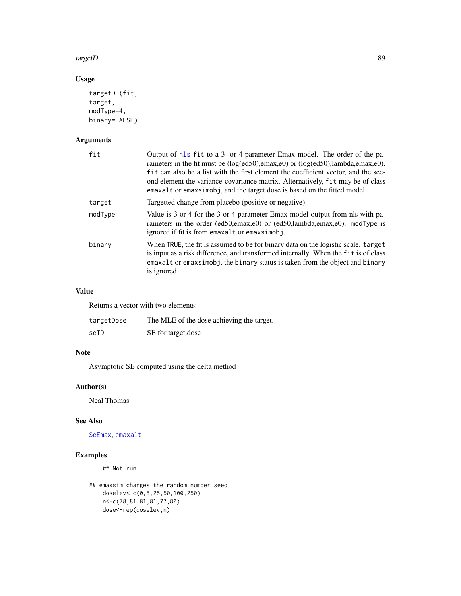#### <span id="page-88-0"></span>targetD 89

# Usage

```
targetD (fit,
target,
modType=4,
binary=FALSE)
```
# Arguments

| fit     | Output of nls fit to a 3- or 4-parameter Emax model. The order of the pa-<br>rameters in the fit must be (log(ed50), emax, e0) or (log(ed50), lambda, emax, e0).<br>fit can also be a list with the first element the coefficient vector, and the sec-<br>ond element the variance-covariance matrix. Alternatively, fit may be of class<br>emaxalt or emaxsimobj, and the target dose is based on the fitted model. |
|---------|----------------------------------------------------------------------------------------------------------------------------------------------------------------------------------------------------------------------------------------------------------------------------------------------------------------------------------------------------------------------------------------------------------------------|
| target  | Targetted change from placebo (positive or negative).                                                                                                                                                                                                                                                                                                                                                                |
| modType | Value is 3 or 4 for the 3 or 4-parameter Emax model output from nls with pa-<br>rameters in the order (ed50, emax, e0) or (ed50, lambda, emax, e0). mod Type is<br>ignored if fit is from emaxalt or emaxsimobj.                                                                                                                                                                                                     |
| binary  | When TRUE, the fit is assumed to be for binary data on the logistic scale. target<br>is input as a risk difference, and transformed internally. When the fit is of class<br>emaxalt or emaxsimobj, the binary status is taken from the object and binary<br>is ignored.                                                                                                                                              |

# Value

Returns a vector with two elements:

| targetDose | The MLE of the dose achieving the target. |
|------------|-------------------------------------------|
| seTD       | SE for target.dose                        |

# Note

Asymptotic SE computed using the delta method

# Author(s)

Neal Thomas

## See Also

[SeEmax](#page-73-0), [emaxalt](#page-13-0)

# Examples

## Not run:

```
## emaxsim changes the random number seed
   doselev<-c(0,5,25,50,100,250)
   n<-c(78,81,81,81,77,80)
   dose<-rep(doselev,n)
```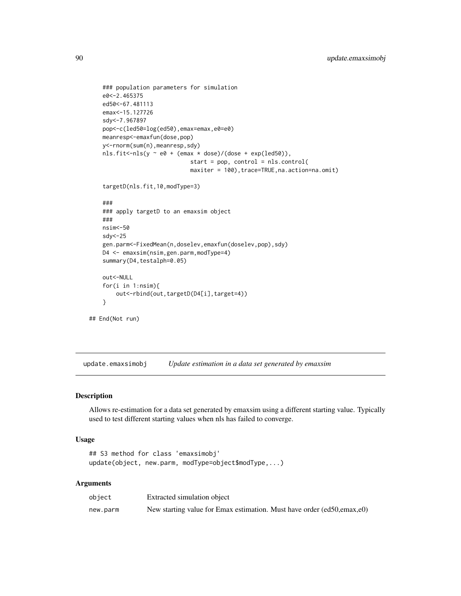```
### population parameters for simulation
    e0<-2.465375
    ed50<-67.481113
    emax<-15.127726
   sdy<-7.967897
   pop<-c(led50=log(ed50),emax=emax,e0=e0)
   meanresp<-emaxfun(dose,pop)
   y<-rnorm(sum(n),meanresp,sdy)
   nls.fit <- nls(y ~ e0 + (emax * dose)/(dose + exp(led50)),
                              start = pop, control = nls.control(
                              maxiter = 100),trace=TRUE,na.action=na.omit)
    targetD(nls.fit,10,modType=3)
    ###
    ### apply targetD to an emaxsim object
    ###
   nsim<-50
    sdy<-25
   gen.parm<-FixedMean(n,doselev,emaxfun(doselev,pop),sdy)
   D4 <- emaxsim(nsim,gen.parm,modType=4)
   summary(D4,testalph=0.05)
   out<-NULL
    for(i in 1:nsim){
       out<-rbind(out,targetD(D4[i],target=4))
    }
## End(Not run)
```
update.emaxsimobj *Update estimation in a data set generated by emaxsim*

#### Description

Allows re-estimation for a data set generated by emaxsim using a different starting value. Typically used to test different starting values when nls has failed to converge.

#### Usage

```
## S3 method for class 'emaxsimobj'
update(object, new.parm, modType=object$modType,...)
```
#### **Arguments**

| object   | Extracted simulation object                                            |
|----------|------------------------------------------------------------------------|
| new.parm | New starting value for Emax estimation. Must have order (ed50,emax,e0) |

<span id="page-89-0"></span>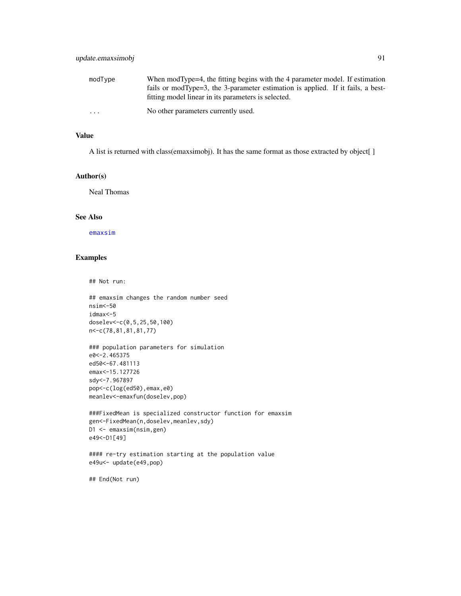<span id="page-90-0"></span>

| modType  | When modType=4, the fitting begins with the 4 parameter model. If estimation    |
|----------|---------------------------------------------------------------------------------|
|          | fails or modType=3, the 3-parameter estimation is applied. If it fails, a best- |
|          | fitting model linear in its parameters is selected.                             |
| $\cdots$ | No other parameters currently used.                                             |

#### Value

A list is returned with class(emaxsimobj). It has the same format as those extracted by object[ ]

#### Author(s)

Neal Thomas

## See Also

[emaxsim](#page-16-0)

## Examples

## Not run:

```
## emaxsim changes the random number seed
nsim<-50
idmax<-5
doselev<-c(0,5,25,50,100)
n<-c(78,81,81,81,77)
```

```
### population parameters for simulation
e0<-2.465375
ed50<-67.481113
emax<-15.127726
sdy<-7.967897
pop<-c(log(ed50),emax,e0)
meanlev<-emaxfun(doselev,pop)
```

```
###FixedMean is specialized constructor function for emaxsim
gen<-FixedMean(n,doselev,meanlev,sdy)
D1 <- emaxsim(nsim,gen)
e49<-D1[49]
```

```
#### re-try estimation starting at the population value
e49u<- update(e49,pop)
```
## End(Not run)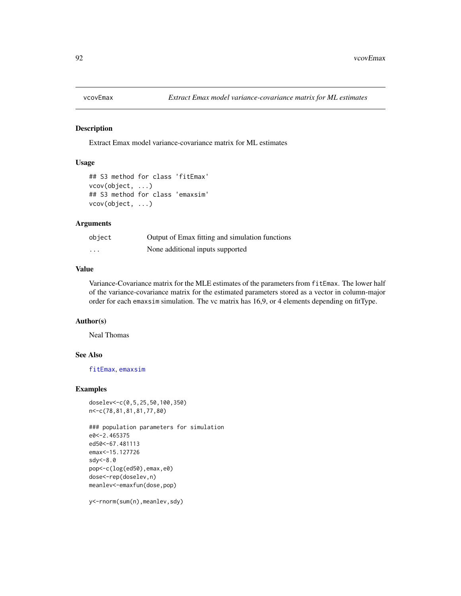<span id="page-91-0"></span>

#### Description

Extract Emax model variance-covariance matrix for ML estimates

#### Usage

```
## S3 method for class 'fitEmax'
vcov(object, ...)
## S3 method for class 'emaxsim'
vcov(object, ...)
```
#### Arguments

| object   | Output of Emax fitting and simulation functions |
|----------|-------------------------------------------------|
| $\cdots$ | None additional inputs supported                |

## Value

Variance-Covariance matrix for the MLE estimates of the parameters from fitEmax. The lower half of the variance-covariance matrix for the estimated parameters stored as a vector in column-major order for each emaxsim simulation. The vc matrix has 16,9, or 4 elements depending on fitType.

#### Author(s)

Neal Thomas

# See Also

[fitEmax](#page-26-0), [emaxsim](#page-16-0)

# Examples

```
doselev<-c(0,5,25,50,100,350)
n<-c(78,81,81,81,77,80)
```

```
### population parameters for simulation
e0<-2.465375
ed50<-67.481113
emax<-15.127726
sdy<-8.0
pop<-c(log(ed50),emax,e0)
dose<-rep(doselev,n)
meanlev<-emaxfun(dose,pop)
```
y<-rnorm(sum(n),meanlev,sdy)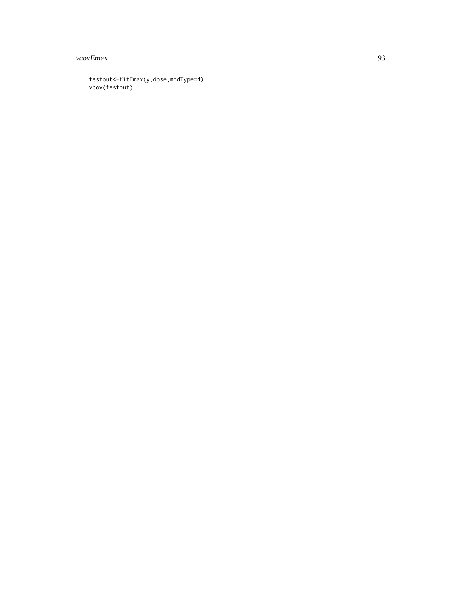#### vcovEmax 93

testout<-fitEmax(y,dose,modType=4) vcov(testout)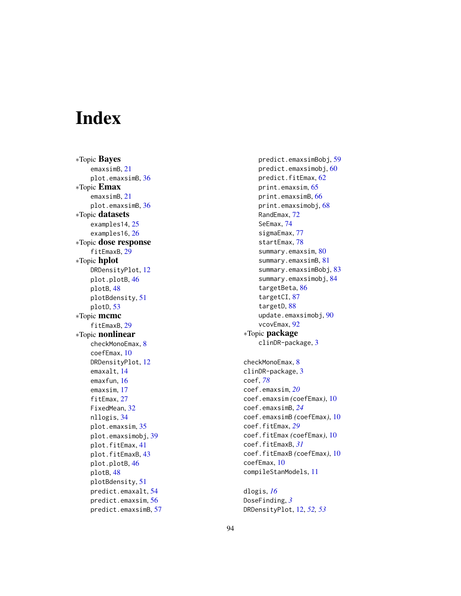# **Index**

∗Topic Bayes emaxsimB, [21](#page-20-1) plot.emaxsimB, [36](#page-35-0) ∗Topic Emax emaxsimB, [21](#page-20-1) plot.emaxsimB, [36](#page-35-0) ∗Topic datasets examples14, [25](#page-24-0) examples16, [26](#page-25-0) ∗Topic dose response fitEmaxB, [29](#page-28-1) ∗Topic hplot DRDensityPlot, [12](#page-11-0) plot.plotB, [46](#page-45-0) plotB, [48](#page-47-0) plotBdensity, [51](#page-50-0) plotD, [53](#page-52-0) ∗Topic mcmc fitEmaxB, [29](#page-28-1) ∗Topic nonlinear checkMonoEmax, [8](#page-7-0) coefEmax, [10](#page-9-0) DRDensityPlot, [12](#page-11-0) emaxalt, [14](#page-13-1) emaxfun, [16](#page-15-0) emaxsim, [17](#page-16-1) fitEmax, [27](#page-26-1) FixedMean, [32](#page-31-1) nllogis, [34](#page-33-0) plot.emaxsim, [35](#page-34-1) plot.emaxsimobj, [39](#page-38-1) plot.fitEmax, [41](#page-40-0) plot.fitEmaxB, [43](#page-42-0) plot.plotB, [46](#page-45-0) plotB, [48](#page-47-0) plotBdensity, [51](#page-50-0) predict.emaxalt, [54](#page-53-0) predict.emaxsim, [56](#page-55-1) predict.emaxsimB, [57](#page-56-0)

predict.emaxsimBobj, [59](#page-58-0) predict.emaxsimobj, [60](#page-59-0) predict.fitEmax, [62](#page-61-0) print.emaxsim, [65](#page-64-1) print.emaxsimB, [66](#page-65-0) print.emaxsimobj, [68](#page-67-2) RandEmax, [72](#page-71-0) SeEmax, [74](#page-73-1) sigmaEmax, [77](#page-76-0) startEmax, [78](#page-77-0) summary.emaxsim, [80](#page-79-0) summary.emaxsimB, [81](#page-80-0) summary.emaxsimBobj, [83](#page-82-0) summary.emaxsimobj, [84](#page-83-0) targetBeta, [86](#page-85-0) targetCI, [87](#page-86-0) targetD, [88](#page-87-1) update.emaxsimobj, [90](#page-89-0) vcovEmax, [92](#page-91-0) ∗Topic package clinDR-package, [3](#page-2-0) checkMonoEmax, [8](#page-7-0) clinDR-package, [3](#page-2-0) coef, *[78](#page-77-0)* coef.emaxsim, *[20](#page-19-0)* coef.emaxsim *(*coefEmax*)*, [10](#page-9-0) coef.emaxsimB, *[24](#page-23-0)* coef.emaxsimB *(*coefEmax*)*, [10](#page-9-0) coef.fitEmax, *[29](#page-28-1)* coef.fitEmax *(*coefEmax*)*, [10](#page-9-0) coef.fitEmaxB, *[31](#page-30-0)* coef.fitEmaxB *(*coefEmax*)*, [10](#page-9-0) coefEmax, [10](#page-9-0) compileStanModels, [11](#page-10-0)

dlogis, *[16](#page-15-0)* DoseFinding, *[3](#page-2-0)* DRDensityPlot, [12,](#page-11-0) *[52,](#page-51-0) [53](#page-52-0)*